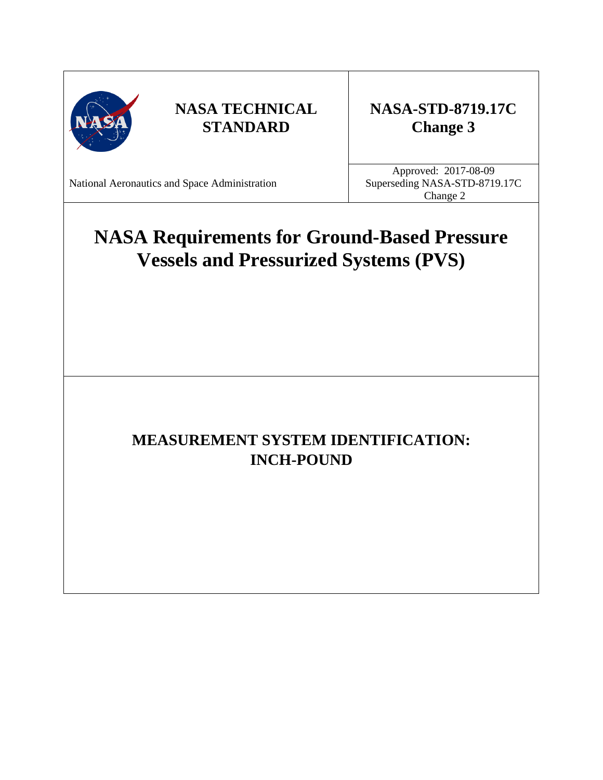

## **NASA-STD-8719.17C Change 3**

National Aeronautics and Space Administration

Approved: 2017-08-09 Superseding NASA-STD-8719.17C Change 2

# **NASA Requirements for Ground-Based Pressure Vessels and Pressurized Systems (PVS)**

## **MEASUREMENT SYSTEM IDENTIFICATION: INCH-POUND**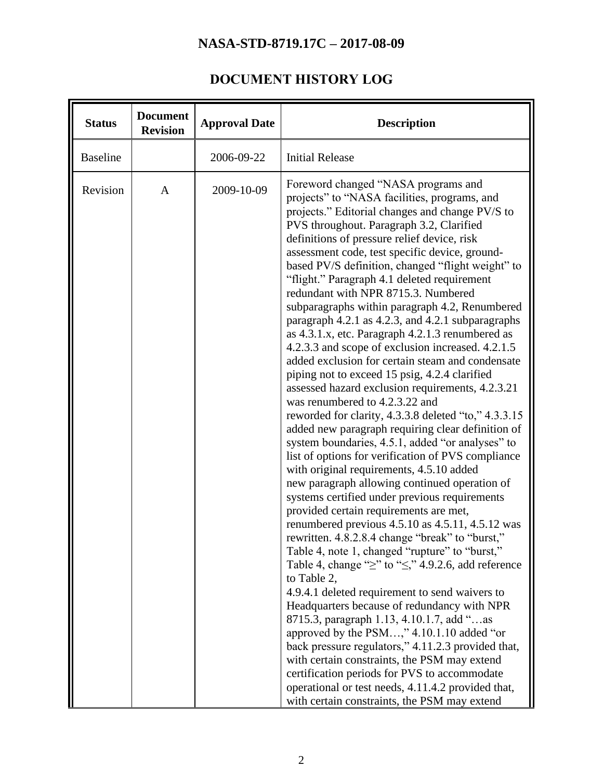## **DOCUMENT HISTORY LOG**

<span id="page-1-0"></span>

| <b>Status</b>   | <b>Document</b><br><b>Approval Date</b><br><b>Revision</b> |            | <b>Description</b>                                                                                                                                                                                                                                                                                                                                                                                                                                                                                                                                                                                                                                                                                                                                                                                                                                                                                                                                                                                                                                                                                                                                                                                                                                                                                                                                                                                                                                                                                                                                                                                                                                                                                                                                                                                                                                                                                                                                          |  |  |
|-----------------|------------------------------------------------------------|------------|-------------------------------------------------------------------------------------------------------------------------------------------------------------------------------------------------------------------------------------------------------------------------------------------------------------------------------------------------------------------------------------------------------------------------------------------------------------------------------------------------------------------------------------------------------------------------------------------------------------------------------------------------------------------------------------------------------------------------------------------------------------------------------------------------------------------------------------------------------------------------------------------------------------------------------------------------------------------------------------------------------------------------------------------------------------------------------------------------------------------------------------------------------------------------------------------------------------------------------------------------------------------------------------------------------------------------------------------------------------------------------------------------------------------------------------------------------------------------------------------------------------------------------------------------------------------------------------------------------------------------------------------------------------------------------------------------------------------------------------------------------------------------------------------------------------------------------------------------------------------------------------------------------------------------------------------------------------|--|--|
| <b>Baseline</b> |                                                            | 2006-09-22 | <b>Initial Release</b>                                                                                                                                                                                                                                                                                                                                                                                                                                                                                                                                                                                                                                                                                                                                                                                                                                                                                                                                                                                                                                                                                                                                                                                                                                                                                                                                                                                                                                                                                                                                                                                                                                                                                                                                                                                                                                                                                                                                      |  |  |
| Revision        | $\mathbf{A}$                                               | 2009-10-09 | Foreword changed "NASA programs and<br>projects" to "NASA facilities, programs, and<br>projects." Editorial changes and change PV/S to<br>PVS throughout. Paragraph 3.2, Clarified<br>definitions of pressure relief device, risk<br>assessment code, test specific device, ground-<br>based PV/S definition, changed "flight weight" to<br>"flight." Paragraph 4.1 deleted requirement<br>redundant with NPR 8715.3. Numbered<br>subparagraphs within paragraph 4.2, Renumbered<br>paragraph 4.2.1 as 4.2.3, and 4.2.1 subparagraphs<br>as 4.3.1.x, etc. Paragraph 4.2.1.3 renumbered as<br>4.2.3.3 and scope of exclusion increased. 4.2.1.5<br>added exclusion for certain steam and condensate<br>piping not to exceed 15 psig, 4.2.4 clarified<br>assessed hazard exclusion requirements, 4.2.3.21<br>was renumbered to 4.2.3.22 and<br>reworded for clarity, 4.3.3.8 deleted "to," 4.3.3.15<br>added new paragraph requiring clear definition of<br>system boundaries, 4.5.1, added "or analyses" to<br>list of options for verification of PVS compliance<br>with original requirements, 4.5.10 added<br>new paragraph allowing continued operation of<br>systems certified under previous requirements<br>provided certain requirements are met,<br>renumbered previous 4.5.10 as 4.5.11, 4.5.12 was<br>rewritten. 4.8.2.8.4 change "break" to "burst,"<br>Table 4, note 1, changed "rupture" to "burst,"<br>Table 4, change " $\geq$ " to " $\leq$ ," 4.9.2.6, add reference<br>to Table 2,<br>4.9.4.1 deleted requirement to send waivers to<br>Headquarters because of redundancy with NPR<br>8715.3, paragraph 1.13, 4.10.1.7, add "as<br>approved by the PSM," 4.10.1.10 added "or<br>back pressure regulators," 4.11.2.3 provided that,<br>with certain constraints, the PSM may extend<br>certification periods for PVS to accommodate<br>operational or test needs, 4.11.4.2 provided that,<br>with certain constraints, the PSM may extend |  |  |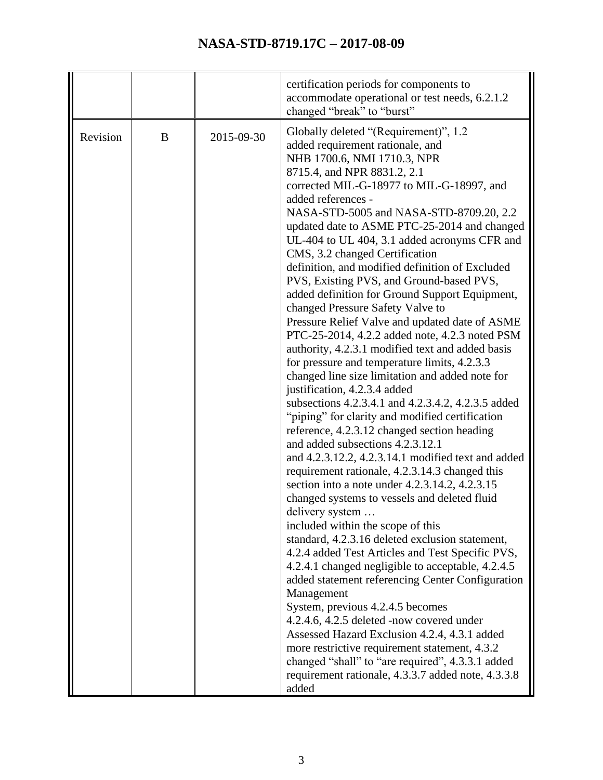|          |   |            | certification periods for components to<br>accommodate operational or test needs, 6.2.1.2<br>changed "break" to "burst"                                                                                                                                                                                                                                                                                                                                                                                                                                                                                                                                                                                                                                                                                                                                                                                                                                                                                                                                                                                                                                                                                                                                                                                                                                                                                                                                                                                                                                                                                                                                                                                                                                                                                                                                         |
|----------|---|------------|-----------------------------------------------------------------------------------------------------------------------------------------------------------------------------------------------------------------------------------------------------------------------------------------------------------------------------------------------------------------------------------------------------------------------------------------------------------------------------------------------------------------------------------------------------------------------------------------------------------------------------------------------------------------------------------------------------------------------------------------------------------------------------------------------------------------------------------------------------------------------------------------------------------------------------------------------------------------------------------------------------------------------------------------------------------------------------------------------------------------------------------------------------------------------------------------------------------------------------------------------------------------------------------------------------------------------------------------------------------------------------------------------------------------------------------------------------------------------------------------------------------------------------------------------------------------------------------------------------------------------------------------------------------------------------------------------------------------------------------------------------------------------------------------------------------------------------------------------------------------|
| Revision | B | 2015-09-30 | Globally deleted "(Requirement)", 1.2<br>added requirement rationale, and<br>NHB 1700.6, NMI 1710.3, NPR<br>8715.4, and NPR 8831.2, 2.1<br>corrected MIL-G-18977 to MIL-G-18997, and<br>added references -<br>NASA-STD-5005 and NASA-STD-8709.20, 2.2<br>updated date to ASME PTC-25-2014 and changed<br>UL-404 to UL 404, 3.1 added acronyms CFR and<br>CMS, 3.2 changed Certification<br>definition, and modified definition of Excluded<br>PVS, Existing PVS, and Ground-based PVS,<br>added definition for Ground Support Equipment,<br>changed Pressure Safety Valve to<br>Pressure Relief Valve and updated date of ASME<br>PTC-25-2014, 4.2.2 added note, 4.2.3 noted PSM<br>authority, 4.2.3.1 modified text and added basis<br>for pressure and temperature limits, 4.2.3.3<br>changed line size limitation and added note for<br>justification, 4.2.3.4 added<br>subsections 4.2.3.4.1 and 4.2.3.4.2, 4.2.3.5 added<br>"piping" for clarity and modified certification<br>reference, 4.2.3.12 changed section heading<br>and added subsections 4.2.3.12.1<br>and 4.2.3.12.2, 4.2.3.14.1 modified text and added<br>requirement rationale, 4.2.3.14.3 changed this<br>section into a note under 4.2.3.14.2, 4.2.3.15<br>changed systems to vessels and deleted fluid<br>delivery system<br>included within the scope of this<br>standard, 4.2.3.16 deleted exclusion statement,<br>4.2.4 added Test Articles and Test Specific PVS,<br>4.2.4.1 changed negligible to acceptable, 4.2.4.5<br>added statement referencing Center Configuration<br>Management<br>System, previous 4.2.4.5 becomes<br>4.2.4.6, 4.2.5 deleted -now covered under<br>Assessed Hazard Exclusion 4.2.4, 4.3.1 added<br>more restrictive requirement statement, 4.3.2<br>changed "shall" to "are required", 4.3.3.1 added<br>requirement rationale, 4.3.3.7 added note, 4.3.3.8 |
|          |   |            | added                                                                                                                                                                                                                                                                                                                                                                                                                                                                                                                                                                                                                                                                                                                                                                                                                                                                                                                                                                                                                                                                                                                                                                                                                                                                                                                                                                                                                                                                                                                                                                                                                                                                                                                                                                                                                                                           |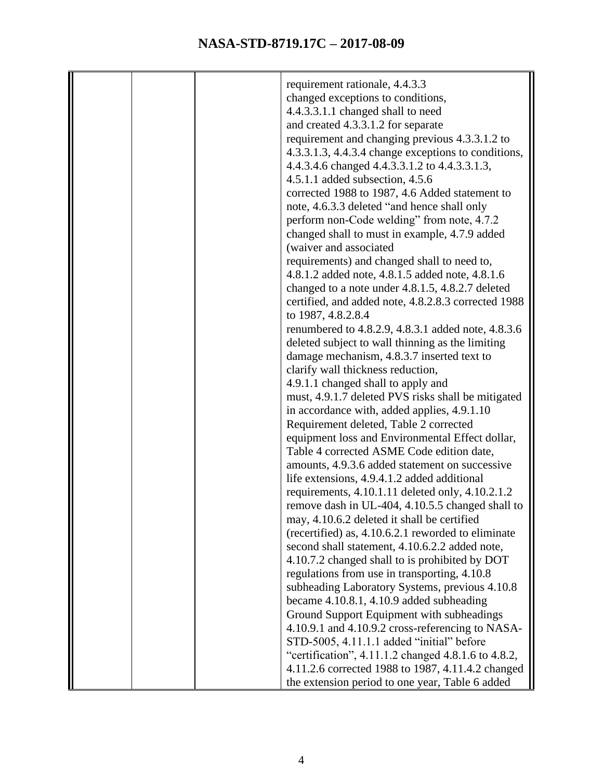|  | requirement rationale, 4.4.3.3                      |
|--|-----------------------------------------------------|
|  | changed exceptions to conditions,                   |
|  | 4.4.3.3.1.1 changed shall to need                   |
|  |                                                     |
|  | and created 4.3.3.1.2 for separate                  |
|  | requirement and changing previous 4.3.3.1.2 to      |
|  | 4.3.3.1.3, 4.4.3.4 change exceptions to conditions, |
|  | 4.4.3.4.6 changed 4.4.3.3.1.2 to 4.4.3.3.1.3,       |
|  | $4.5.1.1$ added subsection, $4.5.6$                 |
|  | corrected 1988 to 1987, 4.6 Added statement to      |
|  | note, 4.6.3.3 deleted "and hence shall only         |
|  | perform non-Code welding" from note, 4.7.2          |
|  | changed shall to must in example, 4.7.9 added       |
|  | (waiver and associated                              |
|  | requirements) and changed shall to need to,         |
|  | 4.8.1.2 added note, 4.8.1.5 added note, 4.8.1.6     |
|  | changed to a note under 4.8.1.5, 4.8.2.7 deleted    |
|  | certified, and added note, 4.8.2.8.3 corrected 1988 |
|  | to 1987, 4.8.2.8.4                                  |
|  | renumbered to 4.8.2.9, 4.8.3.1 added note, 4.8.3.6  |
|  | deleted subject to wall thinning as the limiting    |
|  |                                                     |
|  | damage mechanism, 4.8.3.7 inserted text to          |
|  | clarify wall thickness reduction,                   |
|  | 4.9.1.1 changed shall to apply and                  |
|  | must, 4.9.1.7 deleted PVS risks shall be mitigated  |
|  | in accordance with, added applies, 4.9.1.10         |
|  | Requirement deleted, Table 2 corrected              |
|  | equipment loss and Environmental Effect dollar,     |
|  | Table 4 corrected ASME Code edition date,           |
|  | amounts, 4.9.3.6 added statement on successive      |
|  | life extensions, 4.9.4.1.2 added additional         |
|  | requirements, 4.10.1.11 deleted only, 4.10.2.1.2    |
|  | remove dash in UL-404, 4.10.5.5 changed shall to    |
|  | may, 4.10.6.2 deleted it shall be certified         |
|  | (recertified) as, 4.10.6.2.1 reworded to eliminate  |
|  | second shall statement, 4.10.6.2.2 added note,      |
|  | 4.10.7.2 changed shall to is prohibited by DOT      |
|  | regulations from use in transporting, 4.10.8        |
|  | subheading Laboratory Systems, previous 4.10.8      |
|  | became 4.10.8.1, 4.10.9 added subheading            |
|  | Ground Support Equipment with subheadings           |
|  | 4.10.9.1 and 4.10.9.2 cross-referencing to NASA-    |
|  | STD-5005, 4.11.1.1 added "initial" before           |
|  | "certification", 4.11.1.2 changed 4.8.1.6 to 4.8.2, |
|  | 4.11.2.6 corrected 1988 to 1987, 4.11.4.2 changed   |
|  |                                                     |
|  | the extension period to one year, Table 6 added     |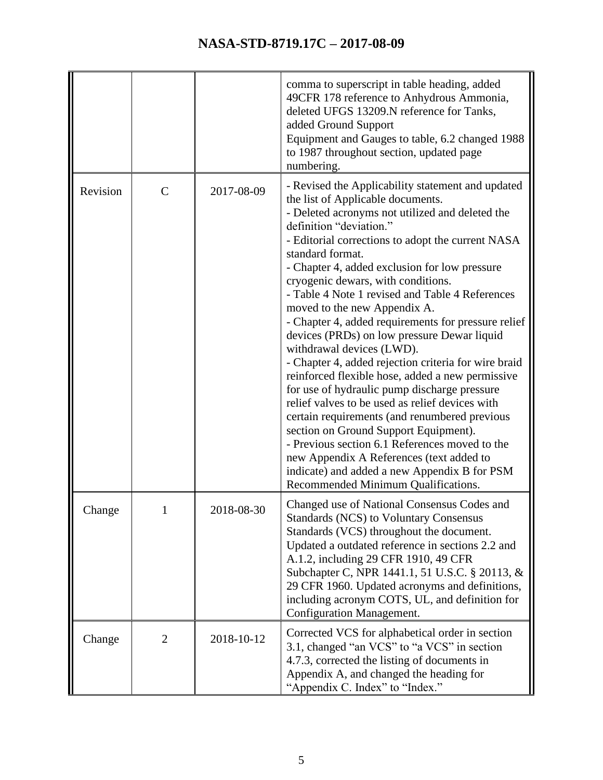|          |                |            | comma to superscript in table heading, added<br>49CFR 178 reference to Anhydrous Ammonia,<br>deleted UFGS 13209.N reference for Tanks,<br>added Ground Support<br>Equipment and Gauges to table, 6.2 changed 1988<br>to 1987 throughout section, updated page<br>numbering.                                                                                                                                                                                                                                                                                                                                                                                                                                                                                                                                                                                                                                                                                                                                                                              |
|----------|----------------|------------|----------------------------------------------------------------------------------------------------------------------------------------------------------------------------------------------------------------------------------------------------------------------------------------------------------------------------------------------------------------------------------------------------------------------------------------------------------------------------------------------------------------------------------------------------------------------------------------------------------------------------------------------------------------------------------------------------------------------------------------------------------------------------------------------------------------------------------------------------------------------------------------------------------------------------------------------------------------------------------------------------------------------------------------------------------|
| Revision | $\mathbf C$    | 2017-08-09 | - Revised the Applicability statement and updated<br>the list of Applicable documents.<br>- Deleted acronyms not utilized and deleted the<br>definition "deviation."<br>- Editorial corrections to adopt the current NASA<br>standard format.<br>- Chapter 4, added exclusion for low pressure<br>cryogenic dewars, with conditions.<br>- Table 4 Note 1 revised and Table 4 References<br>moved to the new Appendix A.<br>- Chapter 4, added requirements for pressure relief<br>devices (PRDs) on low pressure Dewar liquid<br>withdrawal devices (LWD).<br>- Chapter 4, added rejection criteria for wire braid<br>reinforced flexible hose, added a new permissive<br>for use of hydraulic pump discharge pressure<br>relief valves to be used as relief devices with<br>certain requirements (and renumbered previous<br>section on Ground Support Equipment).<br>- Previous section 6.1 References moved to the<br>new Appendix A References (text added to<br>indicate) and added a new Appendix B for PSM<br>Recommended Minimum Qualifications. |
| Change   |                | 2018-08-30 | Changed use of National Consensus Codes and<br><b>Standards (NCS) to Voluntary Consensus</b><br>Standards (VCS) throughout the document.<br>Updated a outdated reference in sections 2.2 and<br>A.1.2, including 29 CFR 1910, 49 CFR<br>Subchapter C, NPR 1441.1, 51 U.S.C. § 20113, &<br>29 CFR 1960. Updated acronyms and definitions,<br>including acronym COTS, UL, and definition for<br>Configuration Management.                                                                                                                                                                                                                                                                                                                                                                                                                                                                                                                                                                                                                                  |
| Change   | $\overline{2}$ | 2018-10-12 | Corrected VCS for alphabetical order in section<br>3.1, changed "an VCS" to "a VCS" in section<br>4.7.3, corrected the listing of documents in<br>Appendix A, and changed the heading for<br>"Appendix C. Index" to "Index."                                                                                                                                                                                                                                                                                                                                                                                                                                                                                                                                                                                                                                                                                                                                                                                                                             |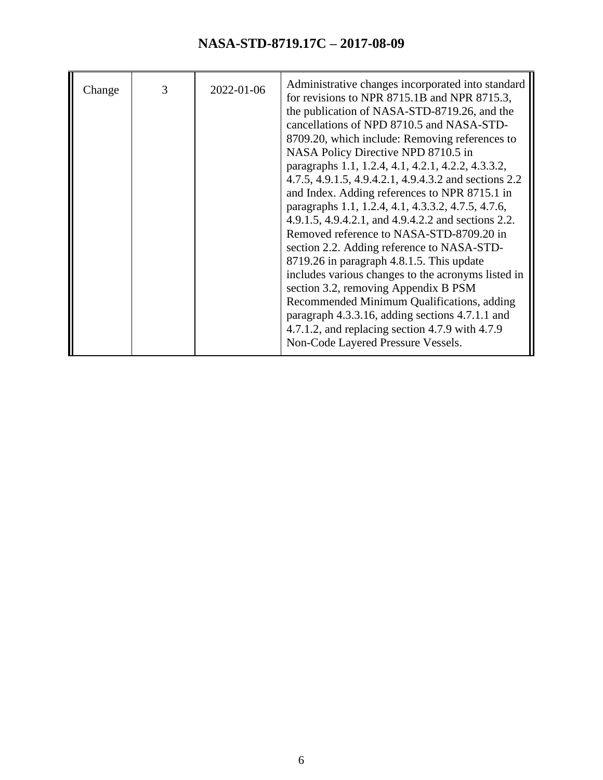| 3<br>2022-01-06<br>Change | Administrative changes incorporated into standard<br>for revisions to NPR 8715.1B and NPR 8715.3,<br>the publication of NASA-STD-8719.26, and the<br>cancellations of NPD 8710.5 and NASA-STD-<br>8709.20, which include: Removing references to<br>NASA Policy Directive NPD 8710.5 in<br>paragraphs 1.1, 1.2.4, 4.1, 4.2.1, 4.2.2, 4.3.3.2,<br>4.7.5, 4.9.1.5, 4.9.4.2.1, 4.9.4.3.2 and sections 2.2<br>and Index. Adding references to NPR 8715.1 in<br>paragraphs 1.1, 1.2.4, 4.1, 4.3.3.2, 4.7.5, 4.7.6,<br>4.9.1.5, 4.9.4.2.1, and 4.9.4.2.2 and sections 2.2.<br>Removed reference to NASA-STD-8709.20 in<br>section 2.2. Adding reference to NASA-STD-<br>8719.26 in paragraph 4.8.1.5. This update<br>includes various changes to the acronyms listed in<br>section 3.2, removing Appendix B PSM<br>Recommended Minimum Qualifications, adding<br>paragraph 4.3.3.16, adding sections 4.7.1.1 and<br>4.7.1.2, and replacing section 4.7.9 with 4.7.9<br>Non-Code Layered Pressure Vessels. |
|---------------------------|-----------------------------------------------------------------------------------------------------------------------------------------------------------------------------------------------------------------------------------------------------------------------------------------------------------------------------------------------------------------------------------------------------------------------------------------------------------------------------------------------------------------------------------------------------------------------------------------------------------------------------------------------------------------------------------------------------------------------------------------------------------------------------------------------------------------------------------------------------------------------------------------------------------------------------------------------------------------------------------------------------|
|---------------------------|-----------------------------------------------------------------------------------------------------------------------------------------------------------------------------------------------------------------------------------------------------------------------------------------------------------------------------------------------------------------------------------------------------------------------------------------------------------------------------------------------------------------------------------------------------------------------------------------------------------------------------------------------------------------------------------------------------------------------------------------------------------------------------------------------------------------------------------------------------------------------------------------------------------------------------------------------------------------------------------------------------|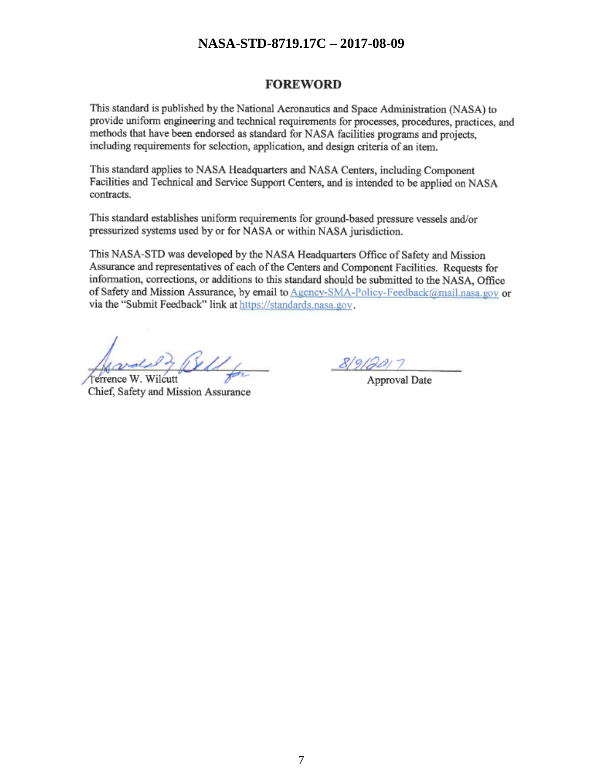#### **FOREWORD**

This standard is published by the National Aeronautics and Space Administration (NASA) to provide uniform engineering and technical requirements for processes, procedures, practices, and methods that have been endorsed as standard for NASA facilities programs and projects, including requirements for selection, application, and design criteria of an item.

This standard applies to NASA Headquarters and NASA Centers, including Component Facilities and Technical and Service Support Centers, and is intended to be applied on NASA contracts.

This standard establishes uniform requirements for ground-based pressure vessels and/or pressurized systems used by or for NASA or within NASA jurisdiction.

This NASA-STD was developed by the NASA Headquarters Office of Safety and Mission Assurance and representatives of each of the Centers and Component Facilities. Requests for information, corrections, or additions to this standard should be submitted to the NASA, Office of Safety and Mission Assurance, by email to Agency-SMA-Policy-Feedback@mail.nasa.gov or via the "Submit Feedback" link at https://standards.nasa.gov.

Ferrence W. Wilcutt Chief, Safety and Mission Assurance

Approval Date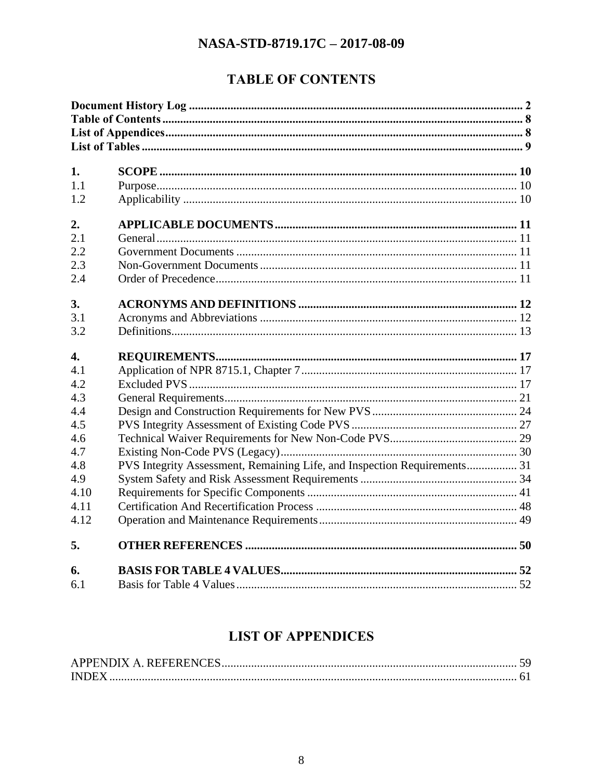## **TABLE OF CONTENTS**

<span id="page-7-0"></span>

| 1.               |                                                                          |  |
|------------------|--------------------------------------------------------------------------|--|
| 1.1              |                                                                          |  |
| 1.2              |                                                                          |  |
| 2.               |                                                                          |  |
| 2.1              |                                                                          |  |
| 2.2              |                                                                          |  |
| 2.3              |                                                                          |  |
| 2.4              |                                                                          |  |
| 3.               |                                                                          |  |
| 3.1              |                                                                          |  |
| 3.2              |                                                                          |  |
| $\overline{4}$ . |                                                                          |  |
| 4.1              |                                                                          |  |
| 4.2              |                                                                          |  |
| 4.3              |                                                                          |  |
| 4.4              |                                                                          |  |
| 4.5              |                                                                          |  |
| 4.6              |                                                                          |  |
| 4.7              |                                                                          |  |
| 4.8              | PVS Integrity Assessment, Remaining Life, and Inspection Requirements 31 |  |
| 4.9              |                                                                          |  |
| 4.10             |                                                                          |  |
| 4.11             |                                                                          |  |
| 4.12             |                                                                          |  |
| 5.               |                                                                          |  |
| 6.               |                                                                          |  |
| 6.1              |                                                                          |  |

## **LIST OF APPENDICES**

<span id="page-7-1"></span>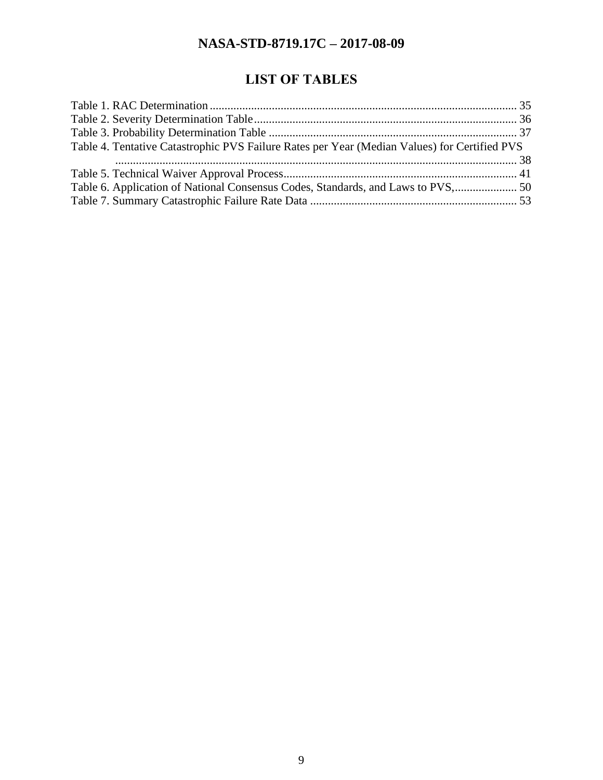## **LIST OF TABLES**

<span id="page-8-0"></span>

| Table 4. Tentative Catastrophic PVS Failure Rates per Year (Median Values) for Certified PVS |  |
|----------------------------------------------------------------------------------------------|--|
|                                                                                              |  |
|                                                                                              |  |
|                                                                                              |  |
|                                                                                              |  |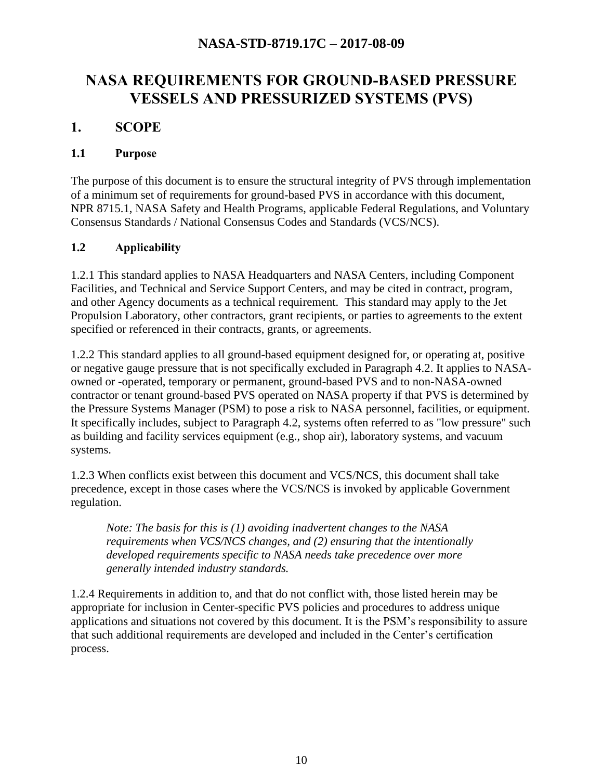## **NASA REQUIREMENTS FOR GROUND-BASED PRESSURE VESSELS AND PRESSURIZED SYSTEMS (PVS)**

#### <span id="page-9-0"></span>**1. SCOPE**

#### <span id="page-9-1"></span>**1.1 Purpose**

The purpose of this document is to ensure the structural integrity of PVS through implementation of a minimum set of requirements for ground-based PVS in accordance with this document, NPR 8715.1, NASA Safety and Health Programs, applicable Federal Regulations, and Voluntary Consensus Standards / National Consensus Codes and Standards (VCS/NCS).

#### <span id="page-9-2"></span>**1.2 Applicability**

1.2.1 This standard applies to NASA Headquarters and NASA Centers, including Component Facilities, and Technical and Service Support Centers, and may be cited in contract, program, and other Agency documents as a technical requirement. This standard may apply to the Jet Propulsion Laboratory, other contractors, grant recipients, or parties to agreements to the extent specified or referenced in their contracts, grants, or agreements.

1.2.2 This standard applies to all ground-based equipment designed for, or operating at, positive or negative gauge pressure that is not specifically excluded in Paragraph 4.2. It applies to NASAowned or -operated, temporary or permanent, ground-based PVS and to non-NASA-owned contractor or tenant ground-based PVS operated on NASA property if that PVS is determined by the Pressure Systems Manager (PSM) to pose a risk to NASA personnel, facilities, or equipment. It specifically includes, subject to Paragraph 4.2, systems often referred to as "low pressure" such as building and facility services equipment (e.g., shop air), laboratory systems, and vacuum systems.

1.2.3 When conflicts exist between this document and VCS/NCS, this document shall take precedence, except in those cases where the VCS/NCS is invoked by applicable Government regulation.

*Note: The basis for this is (1) avoiding inadvertent changes to the NASA requirements when VCS/NCS changes, and (2) ensuring that the intentionally developed requirements specific to NASA needs take precedence over more generally intended industry standards.*

1.2.4 Requirements in addition to, and that do not conflict with, those listed herein may be appropriate for inclusion in Center-specific PVS policies and procedures to address unique applications and situations not covered by this document. It is the PSM's responsibility to assure that such additional requirements are developed and included in the Center's certification process.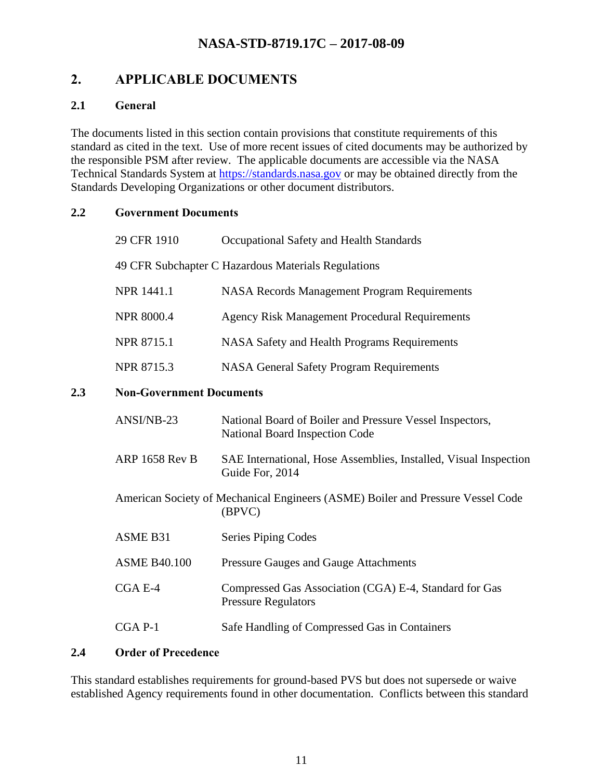## <span id="page-10-0"></span>**2. APPLICABLE DOCUMENTS**

#### <span id="page-10-1"></span>**2.1 General**

The documents listed in this section contain provisions that constitute requirements of this standard as cited in the text. Use of more recent issues of cited documents may be authorized by the responsible PSM after review. The applicable documents are accessible via the NASA Technical Standards System at [https://standards.nasa.gov](https://standards.nasa.gov/) or may be obtained directly from the Standards Developing Organizations or other document distributors.

#### <span id="page-10-2"></span>**2.2 Government Documents**

<span id="page-10-3"></span>

|     | 29 CFR 1910                     | Occupational Safety and Health Standards                                                   |
|-----|---------------------------------|--------------------------------------------------------------------------------------------|
|     |                                 | 49 CFR Subchapter C Hazardous Materials Regulations                                        |
|     | NPR 1441.1                      | <b>NASA Records Management Program Requirements</b>                                        |
|     | <b>NPR 8000.4</b>               | <b>Agency Risk Management Procedural Requirements</b>                                      |
|     | NPR 8715.1                      | NASA Safety and Health Programs Requirements                                               |
|     | NPR 8715.3                      | <b>NASA General Safety Program Requirements</b>                                            |
| 2.3 | <b>Non-Government Documents</b> |                                                                                            |
|     | ANSI/NB-23                      | National Board of Boiler and Pressure Vessel Inspectors,<br>National Board Inspection Code |
|     | <b>ARP 1658 Rev B</b>           | SAE International, Hose Assemblies, Installed, Visual Inspection<br>Guide For, 2014        |
|     |                                 | American Society of Mechanical Engineers (ASME) Boiler and Pressure Vessel Code<br>(BPVC)  |
|     | ASME B31                        | <b>Series Piping Codes</b>                                                                 |
|     | <b>ASME B40.100</b>             | <b>Pressure Gauges and Gauge Attachments</b>                                               |
|     | CGA E-4                         | Compressed Gas Association (CGA) E-4, Standard for Gas<br><b>Pressure Regulators</b>       |
|     | CGA P-1                         | Safe Handling of Compressed Gas in Containers                                              |

#### <span id="page-10-4"></span>**2.4 Order of Precedence**

This standard establishes requirements for ground-based PVS but does not supersede or waive established Agency requirements found in other documentation. Conflicts between this standard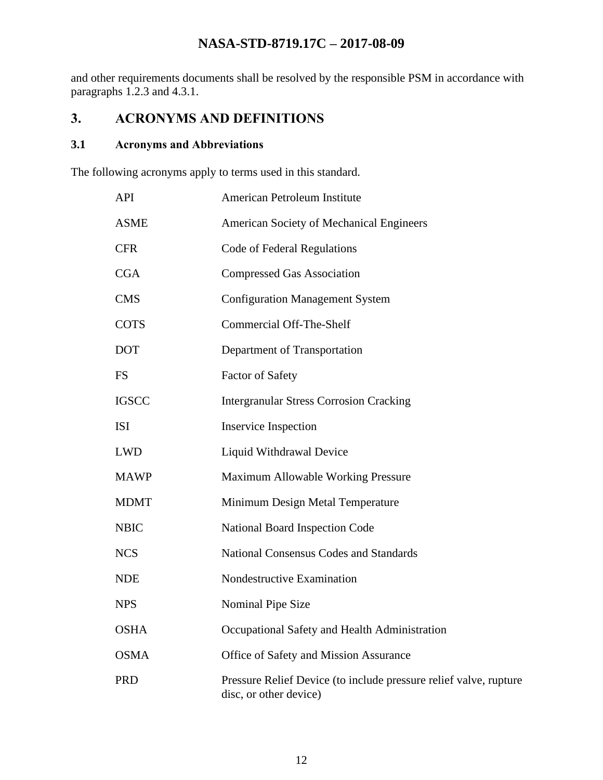and other requirements documents shall be resolved by the responsible PSM in accordance with paragraphs 1.2.3 and 4.3.1.

## <span id="page-11-0"></span>**3. ACRONYMS AND DEFINITIONS**

#### <span id="page-11-1"></span>**3.1 Acronyms and Abbreviations**

The following acronyms apply to terms used in this standard.

| <b>API</b>   | American Petroleum Institute                                                                |
|--------------|---------------------------------------------------------------------------------------------|
| <b>ASME</b>  | American Society of Mechanical Engineers                                                    |
| <b>CFR</b>   | Code of Federal Regulations                                                                 |
| CGA          | <b>Compressed Gas Association</b>                                                           |
| <b>CMS</b>   | <b>Configuration Management System</b>                                                      |
| <b>COTS</b>  | <b>Commercial Off-The-Shelf</b>                                                             |
| <b>DOT</b>   | Department of Transportation                                                                |
| <b>FS</b>    | <b>Factor of Safety</b>                                                                     |
| <b>IGSCC</b> | <b>Intergranular Stress Corrosion Cracking</b>                                              |
| <b>ISI</b>   | <b>Inservice Inspection</b>                                                                 |
| <b>LWD</b>   | Liquid Withdrawal Device                                                                    |
| <b>MAWP</b>  | Maximum Allowable Working Pressure                                                          |
| <b>MDMT</b>  | Minimum Design Metal Temperature                                                            |
| <b>NBIC</b>  | National Board Inspection Code                                                              |
| <b>NCS</b>   | <b>National Consensus Codes and Standards</b>                                               |
| <b>NDE</b>   | Nondestructive Examination                                                                  |
| <b>NPS</b>   | Nominal Pipe Size                                                                           |
| <b>OSHA</b>  | Occupational Safety and Health Administration                                               |
| <b>OSMA</b>  | Office of Safety and Mission Assurance                                                      |
| <b>PRD</b>   | Pressure Relief Device (to include pressure relief valve, rupture<br>disc, or other device) |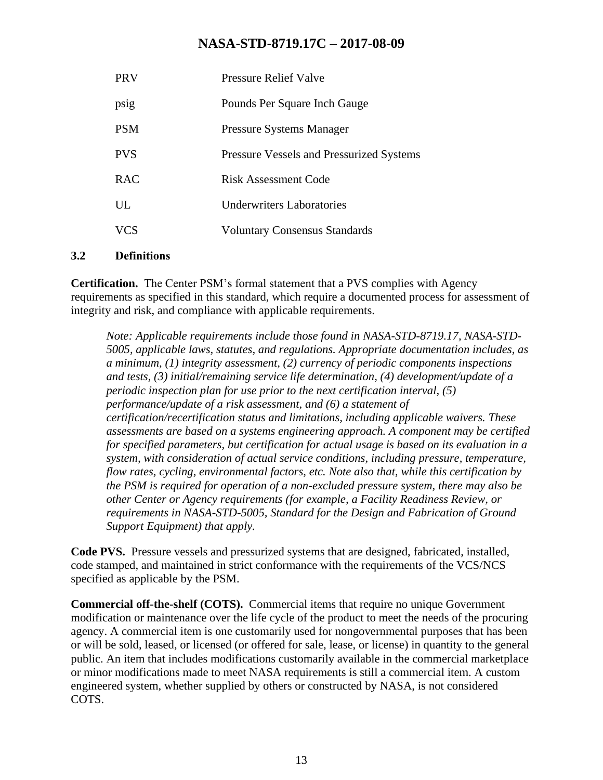| <b>PRV</b> | <b>Pressure Relief Valve</b>                    |
|------------|-------------------------------------------------|
| psig       | Pounds Per Square Inch Gauge                    |
| <b>PSM</b> | <b>Pressure Systems Manager</b>                 |
| <b>PVS</b> | <b>Pressure Vessels and Pressurized Systems</b> |
| <b>RAC</b> | <b>Risk Assessment Code</b>                     |
| UL         | <b>Underwriters Laboratories</b>                |
| <b>VCS</b> | <b>Voluntary Consensus Standards</b>            |
|            |                                                 |

#### <span id="page-12-0"></span>**3.2 Definitions**

**Certification.** The Center PSM's formal statement that a PVS complies with Agency requirements as specified in this standard, which require a documented process for assessment of integrity and risk, and compliance with applicable requirements.

*Note: Applicable requirements include those found in NASA-STD-8719.17, NASA-STD-5005, applicable laws, statutes, and regulations. Appropriate documentation includes, as a minimum, (1) integrity assessment, (2) currency of periodic components inspections and tests, (3) initial/remaining service life determination, (4) development/update of a periodic inspection plan for use prior to the next certification interval, (5) performance/update of a risk assessment, and (6) a statement of certification/recertification status and limitations, including applicable waivers. These assessments are based on a systems engineering approach. A component may be certified for specified parameters, but certification for actual usage is based on its evaluation in a system, with consideration of actual service conditions, including pressure, temperature, flow rates, cycling, environmental factors, etc. Note also that, while this certification by the PSM is required for operation of a non-excluded pressure system, there may also be other Center or Agency requirements (for example, a Facility Readiness Review, or requirements in NASA-STD-5005, Standard for the Design and Fabrication of Ground Support Equipment) that apply.*

**Code PVS.** Pressure vessels and pressurized systems that are designed, fabricated, installed, code stamped, and maintained in strict conformance with the requirements of the VCS/NCS specified as applicable by the PSM.

**Commercial off-the-shelf (COTS).** Commercial items that require no unique Government modification or maintenance over the life cycle of the product to meet the needs of the procuring agency. A commercial item is one customarily used for nongovernmental purposes that has been or will be sold, leased, or licensed (or offered for sale, lease, or license) in quantity to the general public. An item that includes modifications customarily available in the commercial marketplace or minor modifications made to meet NASA requirements is still a commercial item. A custom engineered system, whether supplied by others or constructed by NASA, is not considered COTS.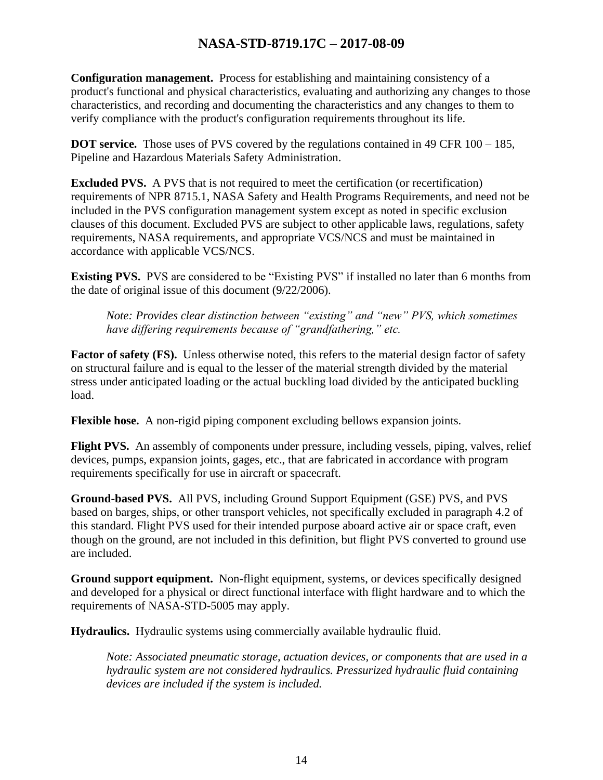**Configuration management.** Process for establishing and maintaining consistency of a product's functional and physical characteristics, evaluating and authorizing any changes to those characteristics, and recording and documenting the characteristics and any changes to them to verify compliance with the product's configuration requirements throughout its life.

**DOT service.** Those uses of PVS covered by the regulations contained in 49 CFR 100 – 185, Pipeline and Hazardous Materials Safety Administration.

**Excluded PVS.** A PVS that is not required to meet the certification (or recertification) requirements of NPR 8715.1, NASA Safety and Health Programs Requirements, and need not be included in the PVS configuration management system except as noted in specific exclusion clauses of this document. Excluded PVS are subject to other applicable laws, regulations, safety requirements, NASA requirements, and appropriate VCS/NCS and must be maintained in accordance with applicable VCS/NCS.

**Existing PVS.** PVS are considered to be "Existing PVS" if installed no later than 6 months from the date of original issue of this document (9/22/2006).

*Note: Provides clear distinction between "existing" and "new" PVS, which sometimes have differing requirements because of "grandfathering," etc.*

**Factor of safety (FS).** Unless otherwise noted, this refers to the material design factor of safety on structural failure and is equal to the lesser of the material strength divided by the material stress under anticipated loading or the actual buckling load divided by the anticipated buckling load.

**Flexible hose.** A non-rigid piping component excluding bellows expansion joints.

**Flight PVS.** An assembly of components under pressure, including vessels, piping, valves, relief devices, pumps, expansion joints, gages, etc., that are fabricated in accordance with program requirements specifically for use in aircraft or spacecraft.

**Ground-based PVS.** All PVS, including Ground Support Equipment (GSE) PVS, and PVS based on barges, ships, or other transport vehicles, not specifically excluded in paragraph 4.2 of this standard. Flight PVS used for their intended purpose aboard active air or space craft, even though on the ground, are not included in this definition, but flight PVS converted to ground use are included.

**Ground support equipment.** Non-flight equipment, systems, or devices specifically designed and developed for a physical or direct functional interface with flight hardware and to which the requirements of NASA-STD-5005 may apply.

**Hydraulics.** Hydraulic systems using commercially available hydraulic fluid.

*Note: Associated pneumatic storage, actuation devices, or components that are used in a hydraulic system are not considered hydraulics. Pressurized hydraulic fluid containing devices are included if the system is included.*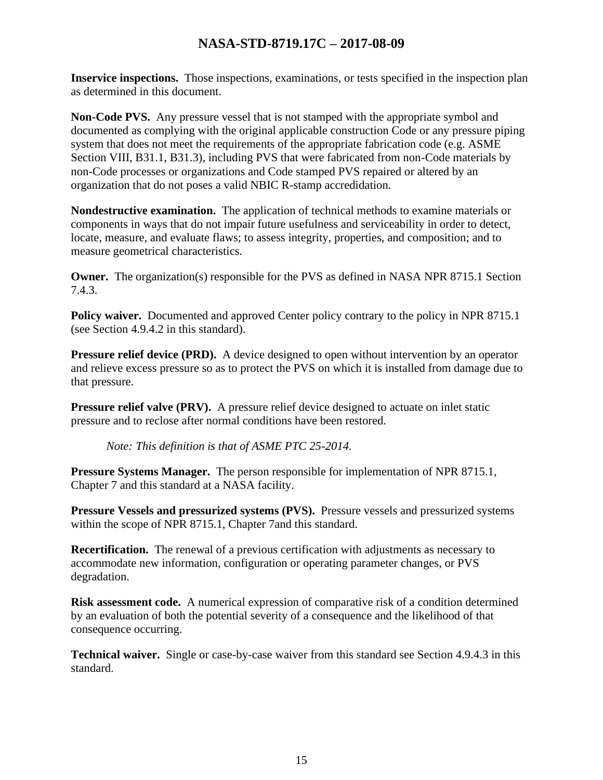**Inservice inspections.** Those inspections, examinations, or tests specified in the inspection plan as determined in this document.

**Non-Code PVS.** Any pressure vessel that is not stamped with the appropriate symbol and documented as complying with the original applicable construction Code or any pressure piping system that does not meet the requirements of the appropriate fabrication code (e.g. ASME Section VIII, B31.1, B31.3), including PVS that were fabricated from non-Code materials by non-Code processes or organizations and Code stamped PVS repaired or altered by an organization that do not poses a valid NBIC R-stamp accredidation.

**Nondestructive examination.** The application of technical methods to examine materials or components in ways that do not impair future usefulness and serviceability in order to detect, locate, measure, and evaluate flaws; to assess integrity, properties, and composition; and to measure geometrical characteristics.

**Owner.** The organization(s) responsible for the PVS as defined in NASA NPR 8715.1 Section 7.4.3.

**Policy waiver.** Documented and approved Center policy contrary to the policy in NPR 8715.1 (see Section 4.9.4.2 in this standard).

**Pressure relief device (PRD).** A device designed to open without intervention by an operator and relieve excess pressure so as to protect the PVS on which it is installed from damage due to that pressure.

**Pressure relief valve (PRV).** A pressure relief device designed to actuate on inlet static pressure and to reclose after normal conditions have been restored.

*Note: This definition is that of ASME PTC 25-2014.*

**Pressure Systems Manager.** The person responsible for implementation of NPR 8715.1, Chapter 7 and this standard at a NASA facility.

**Pressure Vessels and pressurized systems (PVS).** Pressure vessels and pressurized systems within the scope of NPR 8715.1, Chapter 7and this standard.

**Recertification.** The renewal of a previous certification with adjustments as necessary to accommodate new information, configuration or operating parameter changes, or PVS degradation.

**Risk assessment code.** A numerical expression of comparative risk of a condition determined by an evaluation of both the potential severity of a consequence and the likelihood of that consequence occurring.

**Technical waiver.** Single or case-by-case waiver from this standard see Section 4.9.4.3 in this standard.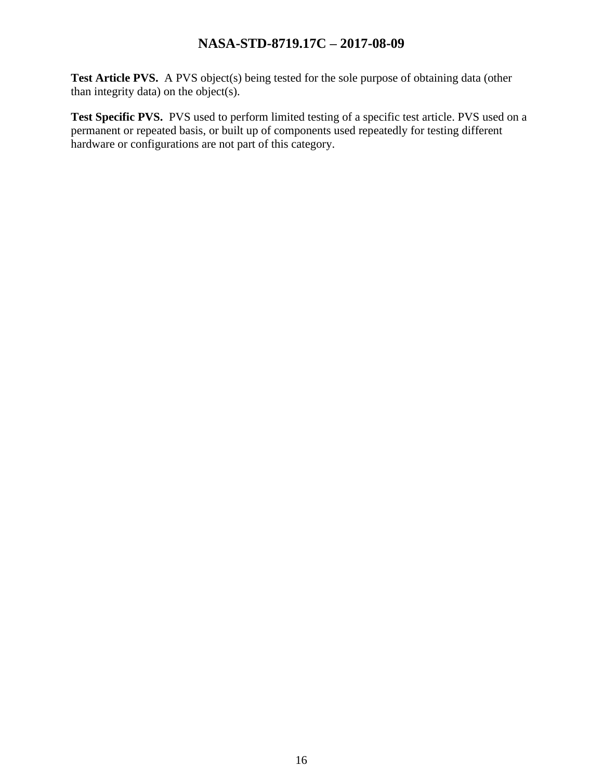Test Article PVS. A PVS object(s) being tested for the sole purpose of obtaining data (other than integrity data) on the object(s).

Test Specific PVS. PVS used to perform limited testing of a specific test article. PVS used on a permanent or repeated basis, or built up of components used repeatedly for testing different hardware or configurations are not part of this category.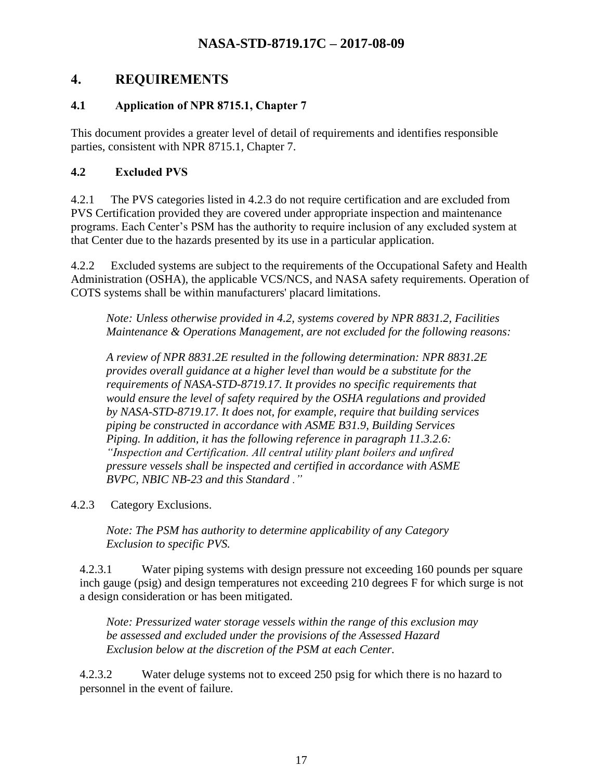## <span id="page-16-0"></span>**4. REQUIREMENTS**

#### <span id="page-16-1"></span>**4.1 Application of NPR 8715.1, Chapter 7**

This document provides a greater level of detail of requirements and identifies responsible parties, consistent with NPR 8715.1, Chapter 7.

#### <span id="page-16-2"></span>**4.2 Excluded PVS**

4.2.1 The PVS categories listed in 4.2.3 do not require certification and are excluded from PVS Certification provided they are covered under appropriate inspection and maintenance programs. Each Center's PSM has the authority to require inclusion of any excluded system at that Center due to the hazards presented by its use in a particular application.

4.2.2 Excluded systems are subject to the requirements of the Occupational Safety and Health Administration (OSHA), the applicable VCS/NCS, and NASA safety requirements. Operation of COTS systems shall be within manufacturers' placard limitations.

*Note: Unless otherwise provided in 4.2, systems covered by NPR 8831.2, Facilities Maintenance & Operations Management, are not excluded for the following reasons:*

*A review of NPR 8831.2E resulted in the following determination: NPR 8831.2E provides overall guidance at a higher level than would be a substitute for the requirements of NASA-STD-8719.17. It provides no specific requirements that would ensure the level of safety required by the OSHA regulations and provided by NASA-STD-8719.17. It does not, for example, require that building services piping be constructed in accordance with ASME B31.9, Building Services Piping. In addition, it has the following reference in paragraph 11.3.2.6: "Inspection and Certification. All central utility plant boilers and unfired pressure vessels shall be inspected and certified in accordance with ASME BVPC, NBIC NB-23 and this Standard ."*

#### 4.2.3 Category Exclusions.

*Note: The PSM has authority to determine applicability of any Category Exclusion to specific PVS.*

4.2.3.1 Water piping systems with design pressure not exceeding 160 pounds per square inch gauge (psig) and design temperatures not exceeding 210 degrees F for which surge is not a design consideration or has been mitigated.

*Note: Pressurized water storage vessels within the range of this exclusion may be assessed and excluded under the provisions of the Assessed Hazard Exclusion below at the discretion of the PSM at each Center.*

4.2.3.2 Water deluge systems not to exceed 250 psig for which there is no hazard to personnel in the event of failure.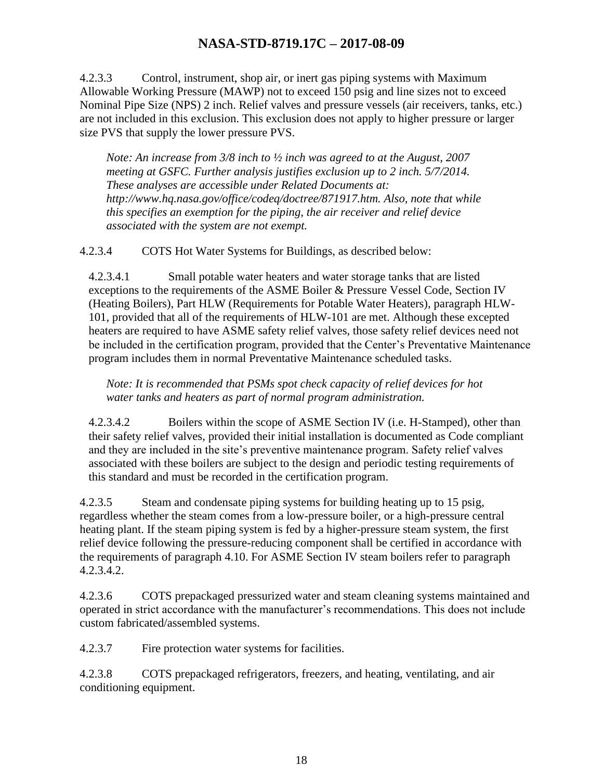4.2.3.3 Control, instrument, shop air, or inert gas piping systems with Maximum Allowable Working Pressure (MAWP) not to exceed 150 psig and line sizes not to exceed Nominal Pipe Size (NPS) 2 inch. Relief valves and pressure vessels (air receivers, tanks, etc.) are not included in this exclusion. This exclusion does not apply to higher pressure or larger size PVS that supply the lower pressure PVS.

*Note: An increase from 3/8 inch to ½ inch was agreed to at the August, 2007 meeting at GSFC. Further analysis justifies exclusion up to 2 inch. 5/7/2014. These analyses are accessible under Related Documents at: http://www.hq.nasa.gov/office/codeq/doctree/871917.htm. Also, note that while this specifies an exemption for the piping, the air receiver and relief device associated with the system are not exempt.*

4.2.3.4 COTS Hot Water Systems for Buildings, as described below:

4.2.3.4.1 Small potable water heaters and water storage tanks that are listed exceptions to the requirements of the ASME Boiler & Pressure Vessel Code, Section IV (Heating Boilers), Part HLW (Requirements for Potable Water Heaters), paragraph HLW-101, provided that all of the requirements of HLW-101 are met. Although these excepted heaters are required to have ASME safety relief valves, those safety relief devices need not be included in the certification program, provided that the Center's Preventative Maintenance program includes them in normal Preventative Maintenance scheduled tasks.

*Note: It is recommended that PSMs spot check capacity of relief devices for hot water tanks and heaters as part of normal program administration.*

4.2.3.4.2 Boilers within the scope of ASME Section IV (i.e. H-Stamped), other than their safety relief valves, provided their initial installation is documented as Code compliant and they are included in the site's preventive maintenance program. Safety relief valves associated with these boilers are subject to the design and periodic testing requirements of this standard and must be recorded in the certification program.

4.2.3.5 Steam and condensate piping systems for building heating up to 15 psig, regardless whether the steam comes from a low-pressure boiler, or a high-pressure central heating plant. If the steam piping system is fed by a higher-pressure steam system, the first relief device following the pressure-reducing component shall be certified in accordance with the requirements of paragraph 4.10. For ASME Section IV steam boilers refer to paragraph 4.2.3.4.2.

4.2.3.6 COTS prepackaged pressurized water and steam cleaning systems maintained and operated in strict accordance with the manufacturer's recommendations. This does not include custom fabricated/assembled systems.

4.2.3.7 Fire protection water systems for facilities.

4.2.3.8 COTS prepackaged refrigerators, freezers, and heating, ventilating, and air conditioning equipment.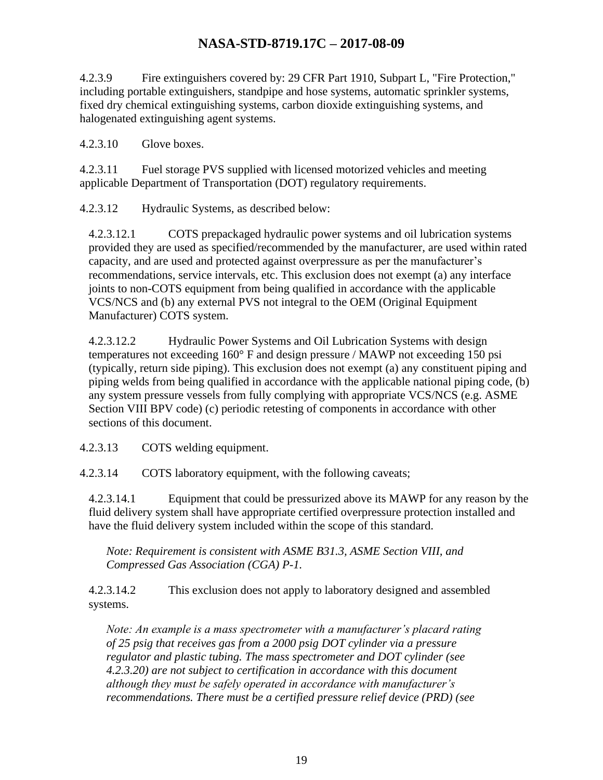4.2.3.9 Fire extinguishers covered by: 29 CFR Part 1910, Subpart L, "Fire Protection," including portable extinguishers, standpipe and hose systems, automatic sprinkler systems, fixed dry chemical extinguishing systems, carbon dioxide extinguishing systems, and halogenated extinguishing agent systems.

4.2.3.10 Glove boxes.

4.2.3.11 Fuel storage PVS supplied with licensed motorized vehicles and meeting applicable Department of Transportation (DOT) regulatory requirements.

4.2.3.12 Hydraulic Systems, as described below:

4.2.3.12.1 COTS prepackaged hydraulic power systems and oil lubrication systems provided they are used as specified/recommended by the manufacturer, are used within rated capacity, and are used and protected against overpressure as per the manufacturer's recommendations, service intervals, etc. This exclusion does not exempt (a) any interface joints to non-COTS equipment from being qualified in accordance with the applicable VCS/NCS and (b) any external PVS not integral to the OEM (Original Equipment Manufacturer) COTS system.

4.2.3.12.2 Hydraulic Power Systems and Oil Lubrication Systems with design temperatures not exceeding 160° F and design pressure / MAWP not exceeding 150 psi (typically, return side piping). This exclusion does not exempt (a) any constituent piping and piping welds from being qualified in accordance with the applicable national piping code, (b) any system pressure vessels from fully complying with appropriate VCS/NCS (e.g. ASME Section VIII BPV code) (c) periodic retesting of components in accordance with other sections of this document.

4.2.3.13 COTS welding equipment.

4.2.3.14 COTS laboratory equipment, with the following caveats;

4.2.3.14.1 Equipment that could be pressurized above its MAWP for any reason by the fluid delivery system shall have appropriate certified overpressure protection installed and have the fluid delivery system included within the scope of this standard.

*Note: Requirement is consistent with ASME B31.3, ASME Section VIII, and Compressed Gas Association (CGA) P-1.*

4.2.3.14.2 This exclusion does not apply to laboratory designed and assembled systems.

*Note: An example is a mass spectrometer with a manufacturer's placard rating of 25 psig that receives gas from a 2000 psig DOT cylinder via a pressure regulator and plastic tubing. The mass spectrometer and DOT cylinder (see 4.2.3.20) are not subject to certification in accordance with this document although they must be safely operated in accordance with manufacturer's recommendations. There must be a certified pressure relief device (PRD) (see*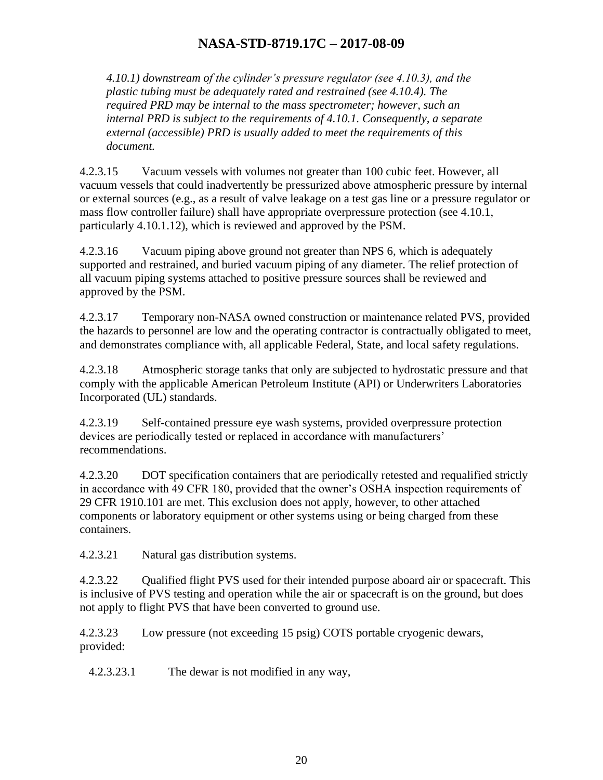*4.10.1) downstream of the cylinder's pressure regulator (see 4.10.3), and the plastic tubing must be adequately rated and restrained (see 4.10.4). The required PRD may be internal to the mass spectrometer; however, such an internal PRD is subject to the requirements of 4.10.1. Consequently, a separate external (accessible) PRD is usually added to meet the requirements of this document.*

4.2.3.15 Vacuum vessels with volumes not greater than 100 cubic feet. However, all vacuum vessels that could inadvertently be pressurized above atmospheric pressure by internal or external sources (e.g., as a result of valve leakage on a test gas line or a pressure regulator or mass flow controller failure) shall have appropriate overpressure protection (see 4.10.1, particularly 4.10.1.12), which is reviewed and approved by the PSM.

4.2.3.16 Vacuum piping above ground not greater than NPS 6, which is adequately supported and restrained, and buried vacuum piping of any diameter. The relief protection of all vacuum piping systems attached to positive pressure sources shall be reviewed and approved by the PSM.

4.2.3.17 Temporary non-NASA owned construction or maintenance related PVS, provided the hazards to personnel are low and the operating contractor is contractually obligated to meet, and demonstrates compliance with, all applicable Federal, State, and local safety regulations.

4.2.3.18 Atmospheric storage tanks that only are subjected to hydrostatic pressure and that comply with the applicable American Petroleum Institute (API) or Underwriters Laboratories Incorporated (UL) standards.

4.2.3.19 Self-contained pressure eye wash systems, provided overpressure protection devices are periodically tested or replaced in accordance with manufacturers' recommendations.

4.2.3.20 DOT specification containers that are periodically retested and requalified strictly in accordance with 49 CFR 180, provided that the owner's OSHA inspection requirements of 29 CFR 1910.101 are met. This exclusion does not apply, however, to other attached components or laboratory equipment or other systems using or being charged from these containers.

4.2.3.21 Natural gas distribution systems.

4.2.3.22 Qualified flight PVS used for their intended purpose aboard air or spacecraft. This is inclusive of PVS testing and operation while the air or spacecraft is on the ground, but does not apply to flight PVS that have been converted to ground use.

4.2.3.23 Low pressure (not exceeding 15 psig) COTS portable cryogenic dewars, provided:

4.2.3.23.1 The dewar is not modified in any way,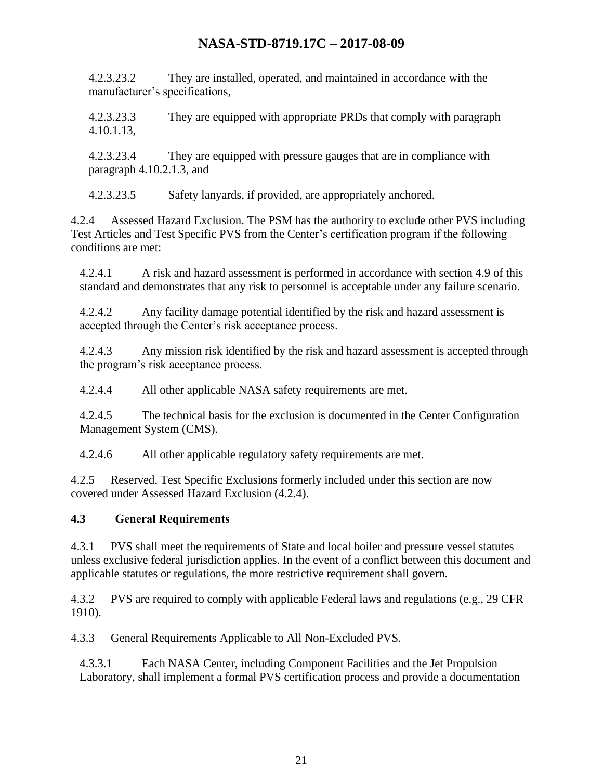4.2.3.23.2 They are installed, operated, and maintained in accordance with the manufacturer's specifications,

4.2.3.23.3 They are equipped with appropriate PRDs that comply with paragraph 4.10.1.13,

4.2.3.23.4 They are equipped with pressure gauges that are in compliance with paragraph 4.10.2.1.3, and

4.2.3.23.5 Safety lanyards, if provided, are appropriately anchored.

4.2.4 Assessed Hazard Exclusion. The PSM has the authority to exclude other PVS including Test Articles and Test Specific PVS from the Center's certification program if the following conditions are met:

4.2.4.1 A risk and hazard assessment is performed in accordance with section 4.9 of this standard and demonstrates that any risk to personnel is acceptable under any failure scenario.

4.2.4.2 Any facility damage potential identified by the risk and hazard assessment is accepted through the Center's risk acceptance process.

4.2.4.3 Any mission risk identified by the risk and hazard assessment is accepted through the program's risk acceptance process.

4.2.4.4 All other applicable NASA safety requirements are met.

4.2.4.5 The technical basis for the exclusion is documented in the Center Configuration Management System (CMS).

4.2.4.6 All other applicable regulatory safety requirements are met.

4.2.5 Reserved. Test Specific Exclusions formerly included under this section are now covered under Assessed Hazard Exclusion (4.2.4).

#### <span id="page-20-0"></span>**4.3 General Requirements**

4.3.1 PVS shall meet the requirements of State and local boiler and pressure vessel statutes unless exclusive federal jurisdiction applies. In the event of a conflict between this document and applicable statutes or regulations, the more restrictive requirement shall govern.

4.3.2 PVS are required to comply with applicable Federal laws and regulations (e.g., 29 CFR 1910).

4.3.3 General Requirements Applicable to All Non-Excluded PVS.

4.3.3.1 Each NASA Center, including Component Facilities and the Jet Propulsion Laboratory, shall implement a formal PVS certification process and provide a documentation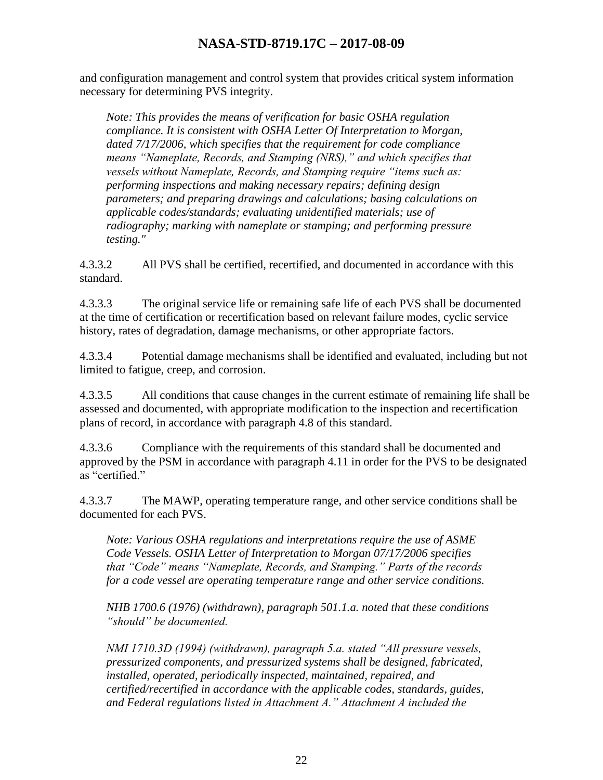and configuration management and control system that provides critical system information necessary for determining PVS integrity.

*Note: This provides the means of verification for basic OSHA regulation compliance. It is consistent with OSHA Letter Of Interpretation to Morgan, dated 7/17/2006, which specifies that the requirement for code compliance means "Nameplate, Records, and Stamping (NRS)," and which specifies that vessels without Nameplate, Records, and Stamping require "items such as: performing inspections and making necessary repairs; defining design parameters; and preparing drawings and calculations; basing calculations on applicable codes/standards; evaluating unidentified materials; use of radiography; marking with nameplate or stamping; and performing pressure testing."*

4.3.3.2 All PVS shall be certified, recertified, and documented in accordance with this standard.

4.3.3.3 The original service life or remaining safe life of each PVS shall be documented at the time of certification or recertification based on relevant failure modes, cyclic service history, rates of degradation, damage mechanisms, or other appropriate factors.

4.3.3.4 Potential damage mechanisms shall be identified and evaluated, including but not limited to fatigue, creep, and corrosion.

4.3.3.5 All conditions that cause changes in the current estimate of remaining life shall be assessed and documented, with appropriate modification to the inspection and recertification plans of record, in accordance with paragraph 4.8 of this standard.

4.3.3.6 Compliance with the requirements of this standard shall be documented and approved by the PSM in accordance with paragraph 4.11 in order for the PVS to be designated as "certified."

4.3.3.7 The MAWP, operating temperature range, and other service conditions shall be documented for each PVS.

*Note: Various OSHA regulations and interpretations require the use of ASME Code Vessels. OSHA Letter of Interpretation to Morgan 07/17/2006 specifies that "Code" means "Nameplate, Records, and Stamping." Parts of the records for a code vessel are operating temperature range and other service conditions.*

*NHB 1700.6 (1976) (withdrawn), paragraph 501.1.a. noted that these conditions "should" be documented.*

*NMI 1710.3D (1994) (withdrawn), paragraph 5.a. stated "All pressure vessels, pressurized components, and pressurized systems shall be designed, fabricated, installed, operated, periodically inspected, maintained, repaired, and certified/recertified in accordance with the applicable codes, standards, guides, and Federal regulations listed in Attachment A." Attachment A included the*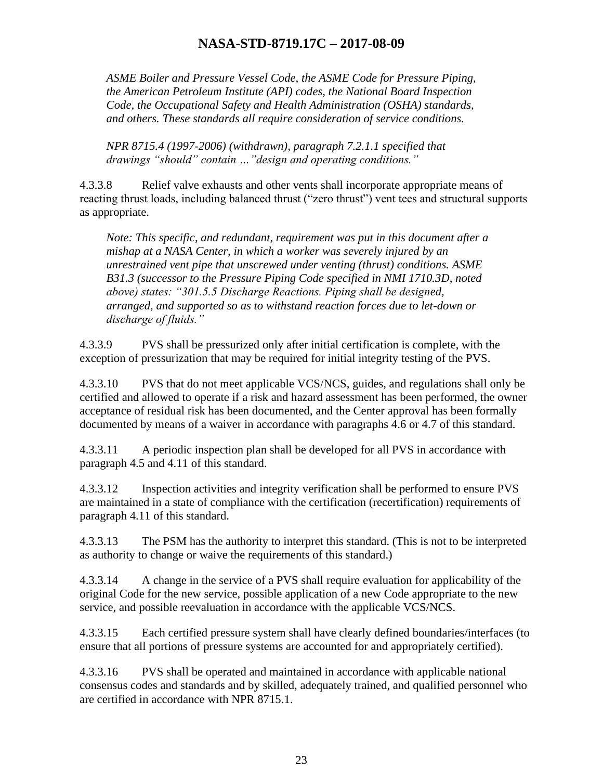*ASME Boiler and Pressure Vessel Code, the ASME Code for Pressure Piping, the American Petroleum Institute (API) codes, the National Board Inspection Code, the Occupational Safety and Health Administration (OSHA) standards, and others. These standards all require consideration of service conditions.*

*NPR 8715.4 (1997-2006) (withdrawn), paragraph 7.2.1.1 specified that drawings "should" contain …"design and operating conditions."*

4.3.3.8 Relief valve exhausts and other vents shall incorporate appropriate means of reacting thrust loads, including balanced thrust ("zero thrust") vent tees and structural supports as appropriate.

*Note: This specific, and redundant, requirement was put in this document after a mishap at a NASA Center, in which a worker was severely injured by an unrestrained vent pipe that unscrewed under venting (thrust) conditions. ASME B31.3 (successor to the Pressure Piping Code specified in NMI 1710.3D, noted above) states: "301.5.5 Discharge Reactions. Piping shall be designed, arranged, and supported so as to withstand reaction forces due to let-down or discharge of fluids."*

4.3.3.9 PVS shall be pressurized only after initial certification is complete, with the exception of pressurization that may be required for initial integrity testing of the PVS.

4.3.3.10 PVS that do not meet applicable VCS/NCS, guides, and regulations shall only be certified and allowed to operate if a risk and hazard assessment has been performed, the owner acceptance of residual risk has been documented, and the Center approval has been formally documented by means of a waiver in accordance with paragraphs 4.6 or 4.7 of this standard.

4.3.3.11 A periodic inspection plan shall be developed for all PVS in accordance with paragraph 4.5 and 4.11 of this standard.

4.3.3.12 Inspection activities and integrity verification shall be performed to ensure PVS are maintained in a state of compliance with the certification (recertification) requirements of paragraph 4.11 of this standard.

4.3.3.13 The PSM has the authority to interpret this standard. (This is not to be interpreted as authority to change or waive the requirements of this standard.)

4.3.3.14 A change in the service of a PVS shall require evaluation for applicability of the original Code for the new service, possible application of a new Code appropriate to the new service, and possible reevaluation in accordance with the applicable VCS/NCS.

4.3.3.15 Each certified pressure system shall have clearly defined boundaries/interfaces (to ensure that all portions of pressure systems are accounted for and appropriately certified).

4.3.3.16 PVS shall be operated and maintained in accordance with applicable national consensus codes and standards and by skilled, adequately trained, and qualified personnel who are certified in accordance with NPR 8715.1.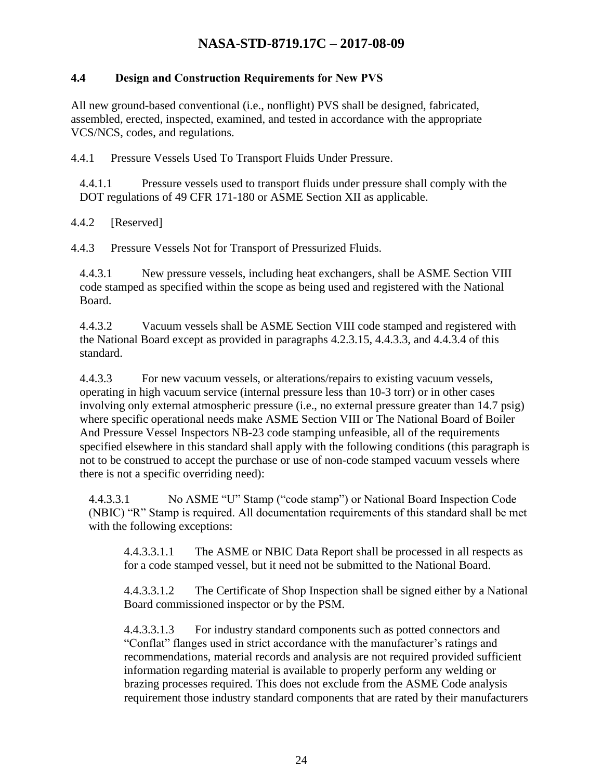#### <span id="page-23-0"></span>**4.4 Design and Construction Requirements for New PVS**

All new ground-based conventional (i.e., nonflight) PVS shall be designed, fabricated, assembled, erected, inspected, examined, and tested in accordance with the appropriate VCS/NCS, codes, and regulations.

4.4.1 Pressure Vessels Used To Transport Fluids Under Pressure.

4.4.1.1 Pressure vessels used to transport fluids under pressure shall comply with the DOT regulations of 49 CFR 171-180 or ASME Section XII as applicable.

4.4.2 [Reserved]

4.4.3 Pressure Vessels Not for Transport of Pressurized Fluids.

4.4.3.1 New pressure vessels, including heat exchangers, shall be ASME Section VIII code stamped as specified within the scope as being used and registered with the National Board.

4.4.3.2 Vacuum vessels shall be ASME Section VIII code stamped and registered with the National Board except as provided in paragraphs 4.2.3.15, 4.4.3.3, and 4.4.3.4 of this standard.

4.4.3.3 For new vacuum vessels, or alterations/repairs to existing vacuum vessels, operating in high vacuum service (internal pressure less than 10-3 torr) or in other cases involving only external atmospheric pressure (i.e., no external pressure greater than 14.7 psig) where specific operational needs make ASME Section VIII or The National Board of Boiler And Pressure Vessel Inspectors NB-23 code stamping unfeasible, all of the requirements specified elsewhere in this standard shall apply with the following conditions (this paragraph is not to be construed to accept the purchase or use of non-code stamped vacuum vessels where there is not a specific overriding need):

4.4.3.3.1 No ASME "U" Stamp ("code stamp") or National Board Inspection Code (NBIC) "R" Stamp is required. All documentation requirements of this standard shall be met with the following exceptions:

4.4.3.3.1.1 The ASME or NBIC Data Report shall be processed in all respects as for a code stamped vessel, but it need not be submitted to the National Board.

4.4.3.3.1.2 The Certificate of Shop Inspection shall be signed either by a National Board commissioned inspector or by the PSM.

4.4.3.3.1.3 For industry standard components such as potted connectors and "Conflat" flanges used in strict accordance with the manufacturer's ratings and recommendations, material records and analysis are not required provided sufficient information regarding material is available to properly perform any welding or brazing processes required. This does not exclude from the ASME Code analysis requirement those industry standard components that are rated by their manufacturers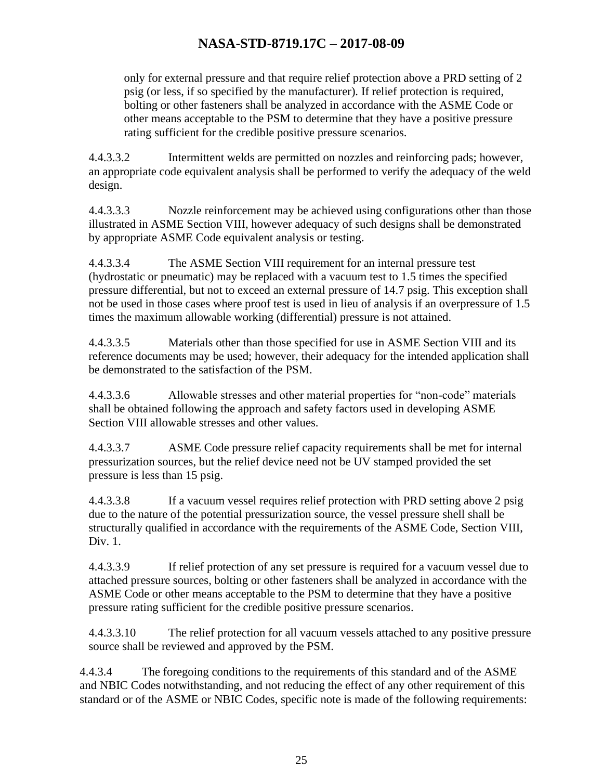only for external pressure and that require relief protection above a PRD setting of 2 psig (or less, if so specified by the manufacturer). If relief protection is required, bolting or other fasteners shall be analyzed in accordance with the ASME Code or other means acceptable to the PSM to determine that they have a positive pressure rating sufficient for the credible positive pressure scenarios.

4.4.3.3.2 Intermittent welds are permitted on nozzles and reinforcing pads; however, an appropriate code equivalent analysis shall be performed to verify the adequacy of the weld design.

4.4.3.3.3 Nozzle reinforcement may be achieved using configurations other than those illustrated in ASME Section VIII, however adequacy of such designs shall be demonstrated by appropriate ASME Code equivalent analysis or testing.

4.4.3.3.4 The ASME Section VIII requirement for an internal pressure test (hydrostatic or pneumatic) may be replaced with a vacuum test to 1.5 times the specified pressure differential, but not to exceed an external pressure of 14.7 psig. This exception shall not be used in those cases where proof test is used in lieu of analysis if an overpressure of 1.5 times the maximum allowable working (differential) pressure is not attained.

4.4.3.3.5 Materials other than those specified for use in ASME Section VIII and its reference documents may be used; however, their adequacy for the intended application shall be demonstrated to the satisfaction of the PSM.

4.4.3.3.6 Allowable stresses and other material properties for "non-code" materials shall be obtained following the approach and safety factors used in developing ASME Section VIII allowable stresses and other values.

4.4.3.3.7 ASME Code pressure relief capacity requirements shall be met for internal pressurization sources, but the relief device need not be UV stamped provided the set pressure is less than 15 psig.

4.4.3.3.8 If a vacuum vessel requires relief protection with PRD setting above 2 psig due to the nature of the potential pressurization source, the vessel pressure shell shall be structurally qualified in accordance with the requirements of the ASME Code, Section VIII, Div. 1.

4.4.3.3.9 If relief protection of any set pressure is required for a vacuum vessel due to attached pressure sources, bolting or other fasteners shall be analyzed in accordance with the ASME Code or other means acceptable to the PSM to determine that they have a positive pressure rating sufficient for the credible positive pressure scenarios.

4.4.3.3.10 The relief protection for all vacuum vessels attached to any positive pressure source shall be reviewed and approved by the PSM.

4.4.3.4 The foregoing conditions to the requirements of this standard and of the ASME and NBIC Codes notwithstanding, and not reducing the effect of any other requirement of this standard or of the ASME or NBIC Codes, specific note is made of the following requirements: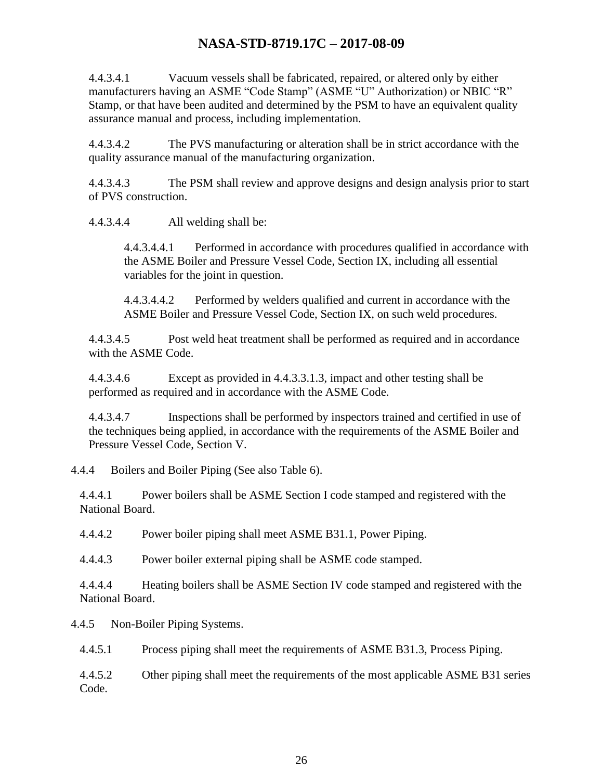4.4.3.4.1 Vacuum vessels shall be fabricated, repaired, or altered only by either manufacturers having an ASME "Code Stamp" (ASME "U" Authorization) or NBIC "R" Stamp, or that have been audited and determined by the PSM to have an equivalent quality assurance manual and process, including implementation.

4.4.3.4.2 The PVS manufacturing or alteration shall be in strict accordance with the quality assurance manual of the manufacturing organization.

4.4.3.4.3 The PSM shall review and approve designs and design analysis prior to start of PVS construction.

4.4.3.4.4 All welding shall be:

4.4.3.4.4.1 Performed in accordance with procedures qualified in accordance with the ASME Boiler and Pressure Vessel Code, Section IX, including all essential variables for the joint in question.

4.4.3.4.4.2 Performed by welders qualified and current in accordance with the ASME Boiler and Pressure Vessel Code, Section IX, on such weld procedures.

4.4.3.4.5 Post weld heat treatment shall be performed as required and in accordance with the ASME Code.

4.4.3.4.6 Except as provided in 4.4.3.3.1.3, impact and other testing shall be performed as required and in accordance with the ASME Code.

4.4.3.4.7 Inspections shall be performed by inspectors trained and certified in use of the techniques being applied, in accordance with the requirements of the ASME Boiler and Pressure Vessel Code, Section V.

4.4.4 Boilers and Boiler Piping (See also Table 6).

4.4.4.1 Power boilers shall be ASME Section I code stamped and registered with the National Board.

4.4.4.2 Power boiler piping shall meet ASME B31.1, Power Piping.

4.4.4.3 Power boiler external piping shall be ASME code stamped.

4.4.4.4 Heating boilers shall be ASME Section IV code stamped and registered with the National Board.

4.4.5 Non-Boiler Piping Systems.

4.4.5.1 Process piping shall meet the requirements of ASME B31.3, Process Piping.

4.4.5.2 Other piping shall meet the requirements of the most applicable ASME B31 series Code.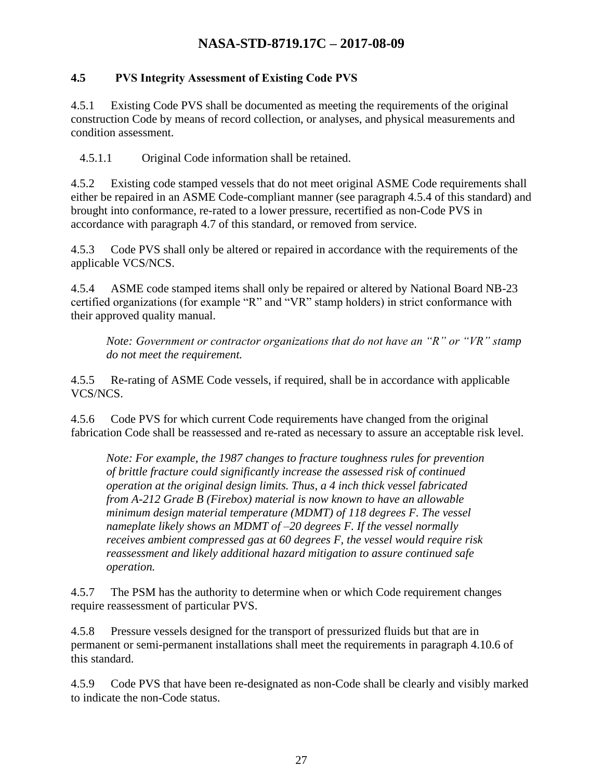#### <span id="page-26-0"></span>**4.5 PVS Integrity Assessment of Existing Code PVS**

4.5.1 Existing Code PVS shall be documented as meeting the requirements of the original construction Code by means of record collection, or analyses, and physical measurements and condition assessment.

4.5.1.1 Original Code information shall be retained.

4.5.2 Existing code stamped vessels that do not meet original ASME Code requirements shall either be repaired in an ASME Code-compliant manner (see paragraph 4.5.4 of this standard) and brought into conformance, re-rated to a lower pressure, recertified as non-Code PVS in accordance with paragraph 4.7 of this standard, or removed from service.

4.5.3 Code PVS shall only be altered or repaired in accordance with the requirements of the applicable VCS/NCS.

4.5.4 ASME code stamped items shall only be repaired or altered by National Board NB-23 certified organizations (for example "R" and "VR" stamp holders) in strict conformance with their approved quality manual.

*Note: Government or contractor organizations that do not have an "R" or "VR" stamp do not meet the requirement.*

4.5.5 Re-rating of ASME Code vessels, if required, shall be in accordance with applicable VCS/NCS.

4.5.6 Code PVS for which current Code requirements have changed from the original fabrication Code shall be reassessed and re-rated as necessary to assure an acceptable risk level.

*Note: For example, the 1987 changes to fracture toughness rules for prevention of brittle fracture could significantly increase the assessed risk of continued operation at the original design limits. Thus, a 4 inch thick vessel fabricated from A-212 Grade B (Firebox) material is now known to have an allowable minimum design material temperature (MDMT) of 118 degrees F. The vessel nameplate likely shows an MDMT of –20 degrees F. If the vessel normally receives ambient compressed gas at 60 degrees F, the vessel would require risk reassessment and likely additional hazard mitigation to assure continued safe operation.*

4.5.7 The PSM has the authority to determine when or which Code requirement changes require reassessment of particular PVS.

4.5.8 Pressure vessels designed for the transport of pressurized fluids but that are in permanent or semi-permanent installations shall meet the requirements in paragraph 4.10.6 of this standard.

4.5.9 Code PVS that have been re-designated as non-Code shall be clearly and visibly marked to indicate the non-Code status.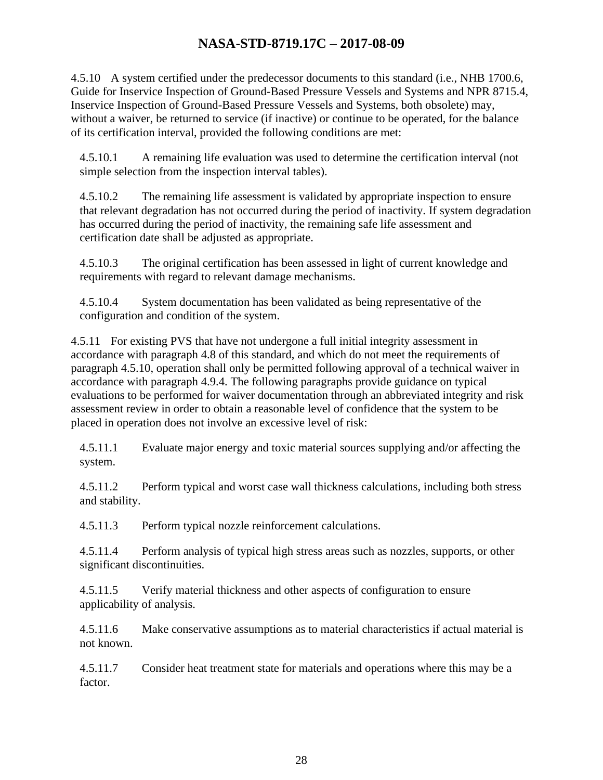4.5.10 A system certified under the predecessor documents to this standard (i.e., NHB 1700.6, Guide for Inservice Inspection of Ground-Based Pressure Vessels and Systems and NPR 8715.4, Inservice Inspection of Ground-Based Pressure Vessels and Systems, both obsolete) may, without a waiver, be returned to service (if inactive) or continue to be operated, for the balance of its certification interval, provided the following conditions are met:

4.5.10.1 A remaining life evaluation was used to determine the certification interval (not simple selection from the inspection interval tables).

4.5.10.2 The remaining life assessment is validated by appropriate inspection to ensure that relevant degradation has not occurred during the period of inactivity. If system degradation has occurred during the period of inactivity, the remaining safe life assessment and certification date shall be adjusted as appropriate.

4.5.10.3 The original certification has been assessed in light of current knowledge and requirements with regard to relevant damage mechanisms.

4.5.10.4 System documentation has been validated as being representative of the configuration and condition of the system.

4.5.11 For existing PVS that have not undergone a full initial integrity assessment in accordance with paragraph 4.8 of this standard, and which do not meet the requirements of paragraph 4.5.10, operation shall only be permitted following approval of a technical waiver in accordance with paragraph 4.9.4. The following paragraphs provide guidance on typical evaluations to be performed for waiver documentation through an abbreviated integrity and risk assessment review in order to obtain a reasonable level of confidence that the system to be placed in operation does not involve an excessive level of risk:

4.5.11.1 Evaluate major energy and toxic material sources supplying and/or affecting the system.

4.5.11.2 Perform typical and worst case wall thickness calculations, including both stress and stability.

4.5.11.3 Perform typical nozzle reinforcement calculations.

4.5.11.4 Perform analysis of typical high stress areas such as nozzles, supports, or other significant discontinuities.

4.5.11.5 Verify material thickness and other aspects of configuration to ensure applicability of analysis.

4.5.11.6 Make conservative assumptions as to material characteristics if actual material is not known.

4.5.11.7 Consider heat treatment state for materials and operations where this may be a factor.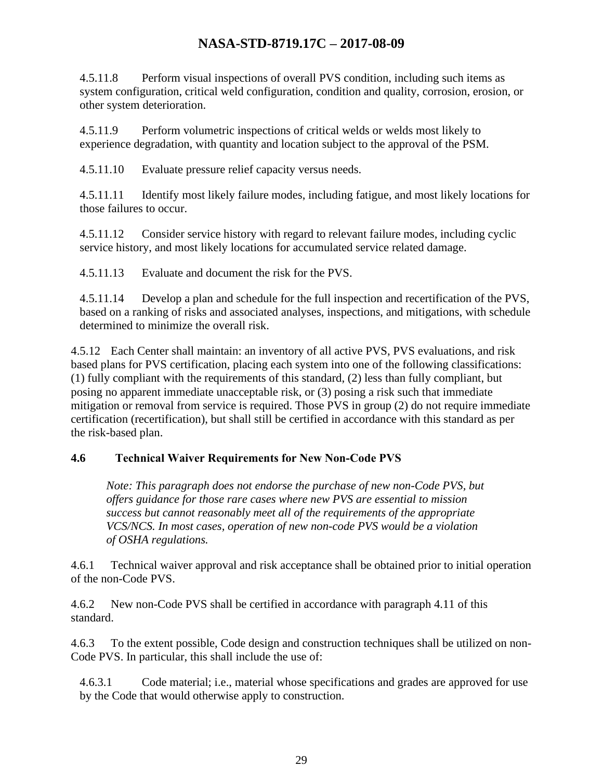4.5.11.8 Perform visual inspections of overall PVS condition, including such items as system configuration, critical weld configuration, condition and quality, corrosion, erosion, or other system deterioration.

4.5.11.9 Perform volumetric inspections of critical welds or welds most likely to experience degradation, with quantity and location subject to the approval of the PSM.

4.5.11.10 Evaluate pressure relief capacity versus needs.

4.5.11.11 Identify most likely failure modes, including fatigue, and most likely locations for those failures to occur.

4.5.11.12 Consider service history with regard to relevant failure modes, including cyclic service history, and most likely locations for accumulated service related damage.

4.5.11.13 Evaluate and document the risk for the PVS.

4.5.11.14 Develop a plan and schedule for the full inspection and recertification of the PVS, based on a ranking of risks and associated analyses, inspections, and mitigations, with schedule determined to minimize the overall risk.

4.5.12 Each Center shall maintain: an inventory of all active PVS, PVS evaluations, and risk based plans for PVS certification, placing each system into one of the following classifications: (1) fully compliant with the requirements of this standard, (2) less than fully compliant, but posing no apparent immediate unacceptable risk, or (3) posing a risk such that immediate mitigation or removal from service is required. Those PVS in group (2) do not require immediate certification (recertification), but shall still be certified in accordance with this standard as per the risk-based plan.

#### **4.6 Technical Waiver Requirements for New Non-Code PVS**

<span id="page-28-0"></span>*Note: This paragraph does not endorse the purchase of new non-Code PVS, but offers guidance for those rare cases where new PVS are essential to mission success but cannot reasonably meet all of the requirements of the appropriate VCS/NCS. In most cases, operation of new non-code PVS would be a violation of OSHA regulations.*

4.6.1 Technical waiver approval and risk acceptance shall be obtained prior to initial operation of the non-Code PVS.

4.6.2 New non-Code PVS shall be certified in accordance with paragraph 4.11 of this standard.

4.6.3 To the extent possible, Code design and construction techniques shall be utilized on non-Code PVS. In particular, this shall include the use of:

4.6.3.1 Code material; i.e., material whose specifications and grades are approved for use by the Code that would otherwise apply to construction.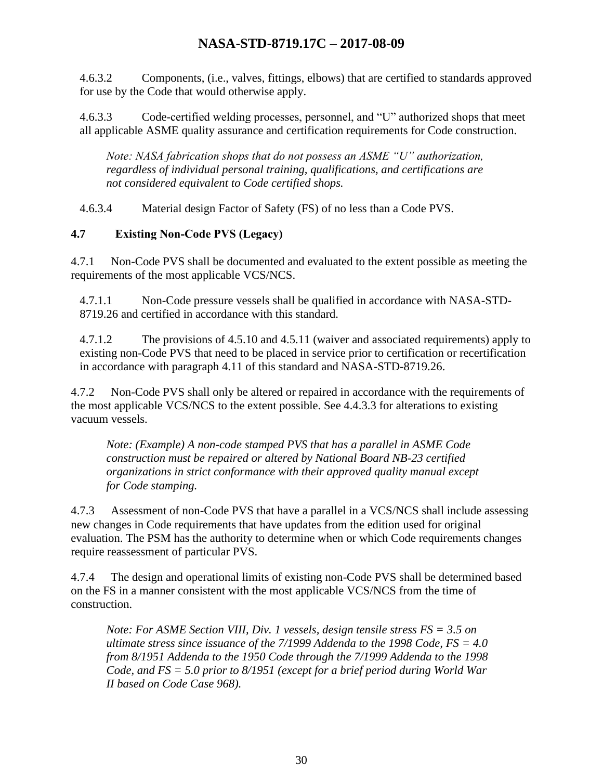4.6.3.2 Components, (i.e., valves, fittings, elbows) that are certified to standards approved for use by the Code that would otherwise apply.

4.6.3.3 Code-certified welding processes, personnel, and "U" authorized shops that meet all applicable ASME quality assurance and certification requirements for Code construction.

*Note: NASA fabrication shops that do not possess an ASME "U" authorization, regardless of individual personal training, qualifications, and certifications are not considered equivalent to Code certified shops.*

4.6.3.4 Material design Factor of Safety (FS) of no less than a Code PVS.

#### <span id="page-29-0"></span>**4.7 Existing Non-Code PVS (Legacy)**

4.7.1 Non-Code PVS shall be documented and evaluated to the extent possible as meeting the requirements of the most applicable VCS/NCS.

4.7.1.1 Non-Code pressure vessels shall be qualified in accordance with NASA-STD-8719.26 and certified in accordance with this standard.

4.7.1.2 The provisions of 4.5.10 and 4.5.11 (waiver and associated requirements) apply to existing non-Code PVS that need to be placed in service prior to certification or recertification in accordance with paragraph 4.11 of this standard and NASA-STD-8719.26.

4.7.2 Non-Code PVS shall only be altered or repaired in accordance with the requirements of the most applicable VCS/NCS to the extent possible. See 4.4.3.3 for alterations to existing vacuum vessels.

*Note: (Example) A non-code stamped PVS that has a parallel in ASME Code construction must be repaired or altered by National Board NB-23 certified organizations in strict conformance with their approved quality manual except for Code stamping.*

4.7.3 Assessment of non-Code PVS that have a parallel in a VCS/NCS shall include assessing new changes in Code requirements that have updates from the edition used for original evaluation. The PSM has the authority to determine when or which Code requirements changes require reassessment of particular PVS.

4.7.4 The design and operational limits of existing non-Code PVS shall be determined based on the FS in a manner consistent with the most applicable VCS/NCS from the time of construction.

*Note: For ASME Section VIII, Div. 1 vessels, design tensile stress FS = 3.5 on ultimate stress since issuance of the 7/1999 Addenda to the 1998 Code, FS = 4.0 from 8/1951 Addenda to the 1950 Code through the 7/1999 Addenda to the 1998 Code, and FS = 5.0 prior to 8/1951 (except for a brief period during World War II based on Code Case 968).*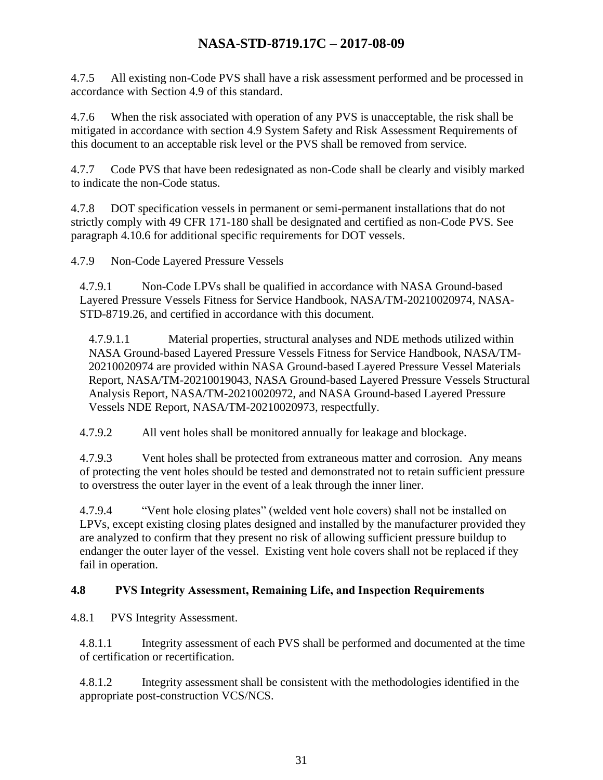4.7.5 All existing non-Code PVS shall have a risk assessment performed and be processed in accordance with Section 4.9 of this standard.

4.7.6 When the risk associated with operation of any PVS is unacceptable, the risk shall be mitigated in accordance with section 4.9 System Safety and Risk Assessment Requirements of this document to an acceptable risk level or the PVS shall be removed from service.

4.7.7 Code PVS that have been redesignated as non-Code shall be clearly and visibly marked to indicate the non-Code status.

4.7.8 DOT specification vessels in permanent or semi-permanent installations that do not strictly comply with 49 CFR 171-180 shall be designated and certified as non-Code PVS. See paragraph 4.10.6 for additional specific requirements for DOT vessels.

4.7.9 Non-Code Layered Pressure Vessels

4.7.9.1 Non-Code LPVs shall be qualified in accordance with NASA Ground-based Layered Pressure Vessels Fitness for Service Handbook, NASA/TM-20210020974, NASA-STD-8719.26, and certified in accordance with this document.

4.7.9.1.1 Material properties, structural analyses and NDE methods utilized within NASA Ground-based Layered Pressure Vessels Fitness for Service Handbook, NASA/TM-20210020974 are provided within NASA Ground-based Layered Pressure Vessel Materials Report, NASA/TM-20210019043, NASA Ground-based Layered Pressure Vessels Structural Analysis Report, NASA/TM-20210020972, and NASA Ground-based Layered Pressure Vessels NDE Report, NASA/TM-20210020973, respectfully.

4.7.9.2 All vent holes shall be monitored annually for leakage and blockage.

4.7.9.3 Vent holes shall be protected from extraneous matter and corrosion. Any means of protecting the vent holes should be tested and demonstrated not to retain sufficient pressure to overstress the outer layer in the event of a leak through the inner liner.

4.7.9.4 "Vent hole closing plates" (welded vent hole covers) shall not be installed on LPVs, except existing closing plates designed and installed by the manufacturer provided they are analyzed to confirm that they present no risk of allowing sufficient pressure buildup to endanger the outer layer of the vessel. Existing vent hole covers shall not be replaced if they fail in operation.

#### <span id="page-30-0"></span>**4.8 PVS Integrity Assessment, Remaining Life, and Inspection Requirements**

4.8.1 PVS Integrity Assessment.

4.8.1.1 Integrity assessment of each PVS shall be performed and documented at the time of certification or recertification.

4.8.1.2 Integrity assessment shall be consistent with the methodologies identified in the appropriate post-construction VCS/NCS.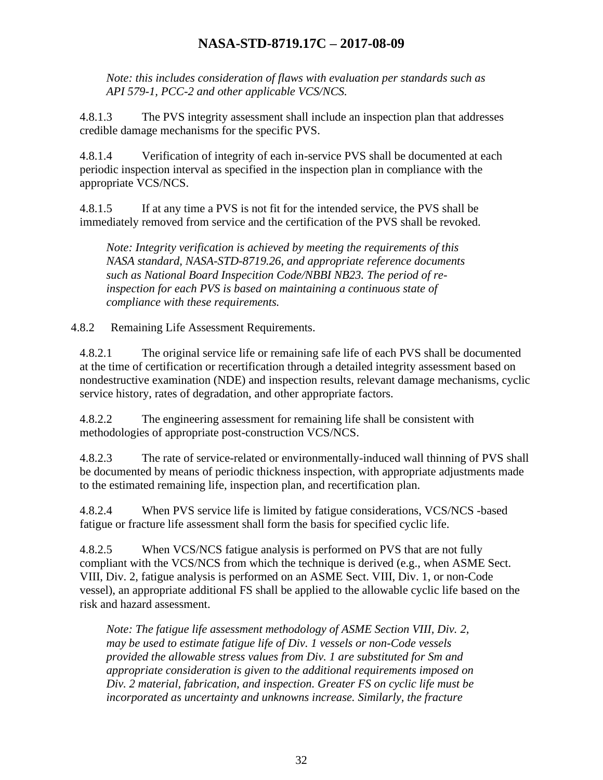*Note: this includes consideration of flaws with evaluation per standards such as API 579-1, PCC-2 and other applicable VCS/NCS.*

4.8.1.3 The PVS integrity assessment shall include an inspection plan that addresses credible damage mechanisms for the specific PVS.

4.8.1.4 Verification of integrity of each in-service PVS shall be documented at each periodic inspection interval as specified in the inspection plan in compliance with the appropriate VCS/NCS.

4.8.1.5 If at any time a PVS is not fit for the intended service, the PVS shall be immediately removed from service and the certification of the PVS shall be revoked.

*Note: Integrity verification is achieved by meeting the requirements of this NASA standard, NASA-STD-8719.26, and appropriate reference documents such as National Board Inspecition Code/NBBI NB23. The period of reinspection for each PVS is based on maintaining a continuous state of compliance with these requirements.*

4.8.2 Remaining Life Assessment Requirements.

4.8.2.1 The original service life or remaining safe life of each PVS shall be documented at the time of certification or recertification through a detailed integrity assessment based on nondestructive examination (NDE) and inspection results, relevant damage mechanisms, cyclic service history, rates of degradation, and other appropriate factors.

4.8.2.2 The engineering assessment for remaining life shall be consistent with methodologies of appropriate post-construction VCS/NCS.

4.8.2.3 The rate of service-related or environmentally-induced wall thinning of PVS shall be documented by means of periodic thickness inspection, with appropriate adjustments made to the estimated remaining life, inspection plan, and recertification plan.

4.8.2.4 When PVS service life is limited by fatigue considerations, VCS/NCS -based fatigue or fracture life assessment shall form the basis for specified cyclic life.

4.8.2.5 When VCS/NCS fatigue analysis is performed on PVS that are not fully compliant with the VCS/NCS from which the technique is derived (e.g., when ASME Sect. VIII, Div. 2, fatigue analysis is performed on an ASME Sect. VIII, Div. 1, or non-Code vessel), an appropriate additional FS shall be applied to the allowable cyclic life based on the risk and hazard assessment.

*Note: The fatigue life assessment methodology of ASME Section VIII, Div. 2, may be used to estimate fatigue life of Div. 1 vessels or non-Code vessels provided the allowable stress values from Div. 1 are substituted for Sm and appropriate consideration is given to the additional requirements imposed on Div. 2 material, fabrication, and inspection. Greater FS on cyclic life must be incorporated as uncertainty and unknowns increase. Similarly, the fracture*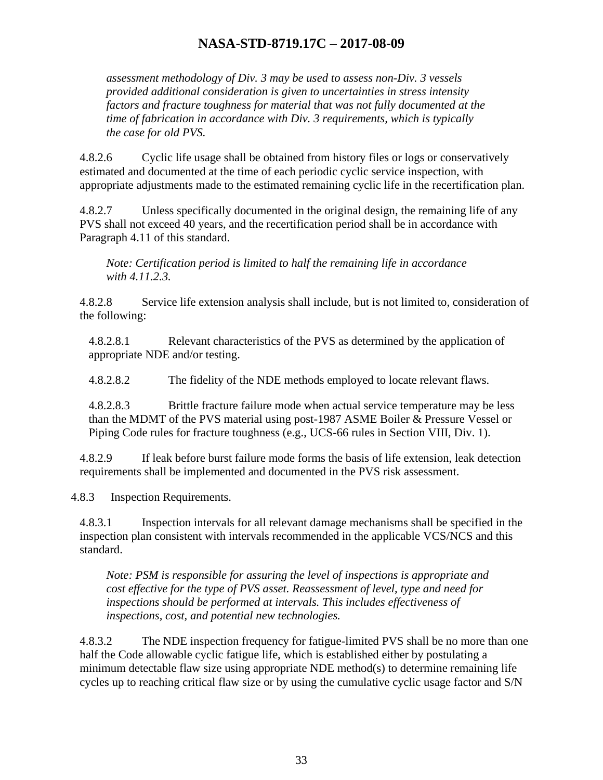*assessment methodology of Div. 3 may be used to assess non-Div. 3 vessels provided additional consideration is given to uncertainties in stress intensity factors and fracture toughness for material that was not fully documented at the time of fabrication in accordance with Div. 3 requirements, which is typically the case for old PVS.*

4.8.2.6 Cyclic life usage shall be obtained from history files or logs or conservatively estimated and documented at the time of each periodic cyclic service inspection, with appropriate adjustments made to the estimated remaining cyclic life in the recertification plan.

4.8.2.7 Unless specifically documented in the original design, the remaining life of any PVS shall not exceed 40 years, and the recertification period shall be in accordance with Paragraph 4.11 of this standard.

*Note: Certification period is limited to half the remaining life in accordance with 4.11.2.3.*

4.8.2.8 Service life extension analysis shall include, but is not limited to, consideration of the following:

4.8.2.8.1 Relevant characteristics of the PVS as determined by the application of appropriate NDE and/or testing.

4.8.2.8.2 The fidelity of the NDE methods employed to locate relevant flaws.

4.8.2.8.3 Brittle fracture failure mode when actual service temperature may be less than the MDMT of the PVS material using post-1987 ASME Boiler & Pressure Vessel or Piping Code rules for fracture toughness (e.g., UCS-66 rules in Section VIII, Div. 1).

4.8.2.9 If leak before burst failure mode forms the basis of life extension, leak detection requirements shall be implemented and documented in the PVS risk assessment.

4.8.3 Inspection Requirements.

4.8.3.1 Inspection intervals for all relevant damage mechanisms shall be specified in the inspection plan consistent with intervals recommended in the applicable VCS/NCS and this standard.

*Note: PSM is responsible for assuring the level of inspections is appropriate and cost effective for the type of PVS asset. Reassessment of level, type and need for inspections should be performed at intervals. This includes effectiveness of inspections, cost, and potential new technologies.*

4.8.3.2 The NDE inspection frequency for fatigue-limited PVS shall be no more than one half the Code allowable cyclic fatigue life, which is established either by postulating a minimum detectable flaw size using appropriate NDE method(s) to determine remaining life cycles up to reaching critical flaw size or by using the cumulative cyclic usage factor and S/N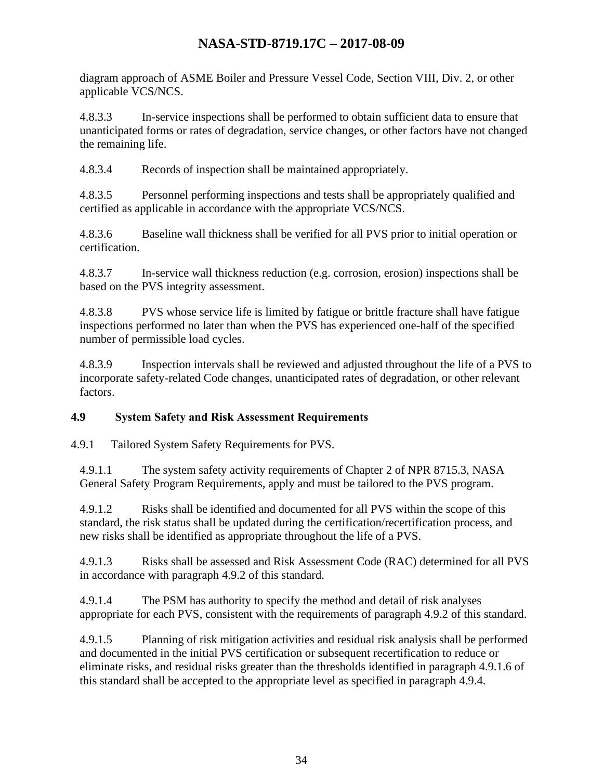diagram approach of ASME Boiler and Pressure Vessel Code, Section VIII, Div. 2, or other applicable VCS/NCS.

4.8.3.3 In-service inspections shall be performed to obtain sufficient data to ensure that unanticipated forms or rates of degradation, service changes, or other factors have not changed the remaining life.

4.8.3.4 Records of inspection shall be maintained appropriately.

4.8.3.5 Personnel performing inspections and tests shall be appropriately qualified and certified as applicable in accordance with the appropriate VCS/NCS.

4.8.3.6 Baseline wall thickness shall be verified for all PVS prior to initial operation or certification.

4.8.3.7 In-service wall thickness reduction (e.g. corrosion, erosion) inspections shall be based on the PVS integrity assessment.

4.8.3.8 PVS whose service life is limited by fatigue or brittle fracture shall have fatigue inspections performed no later than when the PVS has experienced one-half of the specified number of permissible load cycles.

4.8.3.9 Inspection intervals shall be reviewed and adjusted throughout the life of a PVS to incorporate safety-related Code changes, unanticipated rates of degradation, or other relevant factors.

#### <span id="page-33-0"></span>**4.9 System Safety and Risk Assessment Requirements**

4.9.1 Tailored System Safety Requirements for PVS.

4.9.1.1 The system safety activity requirements of Chapter 2 of NPR 8715.3, NASA General Safety Program Requirements, apply and must be tailored to the PVS program.

4.9.1.2 Risks shall be identified and documented for all PVS within the scope of this standard, the risk status shall be updated during the certification/recertification process, and new risks shall be identified as appropriate throughout the life of a PVS.

4.9.1.3 Risks shall be assessed and Risk Assessment Code (RAC) determined for all PVS in accordance with paragraph 4.9.2 of this standard.

4.9.1.4 The PSM has authority to specify the method and detail of risk analyses appropriate for each PVS, consistent with the requirements of paragraph 4.9.2 of this standard.

4.9.1.5 Planning of risk mitigation activities and residual risk analysis shall be performed and documented in the initial PVS certification or subsequent recertification to reduce or eliminate risks, and residual risks greater than the thresholds identified in paragraph 4.9.1.6 of this standard shall be accepted to the appropriate level as specified in paragraph 4.9.4.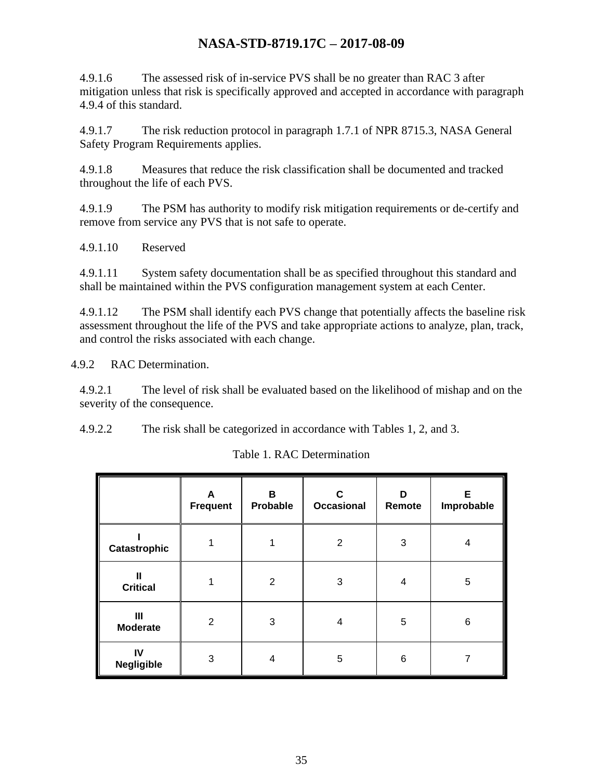4.9.1.6 The assessed risk of in-service PVS shall be no greater than RAC 3 after mitigation unless that risk is specifically approved and accepted in accordance with paragraph 4.9.4 of this standard.

4.9.1.7 The risk reduction protocol in paragraph 1.7.1 of NPR 8715.3, NASA General Safety Program Requirements applies.

4.9.1.8 Measures that reduce the risk classification shall be documented and tracked throughout the life of each PVS.

4.9.1.9 The PSM has authority to modify risk mitigation requirements or de-certify and remove from service any PVS that is not safe to operate.

4.9.1.10 Reserved

4.9.1.11 System safety documentation shall be as specified throughout this standard and shall be maintained within the PVS configuration management system at each Center.

4.9.1.12 The PSM shall identify each PVS change that potentially affects the baseline risk assessment throughout the life of the PVS and take appropriate actions to analyze, plan, track, and control the risks associated with each change.

4.9.2 RAC Determination.

4.9.2.1 The level of risk shall be evaluated based on the likelihood of mishap and on the severity of the consequence.

<span id="page-34-0"></span>4.9.2.2 The risk shall be categorized in accordance with Tables 1, 2, and 3.

|                                   | A<br><b>Frequent</b> | В<br>Probable  | C<br>Occasional | D<br>Remote | Е<br>Improbable |
|-----------------------------------|----------------------|----------------|-----------------|-------------|-----------------|
| Catastrophic                      |                      |                | 2               | 3           | 4               |
| Ш<br><b>Critical</b>              |                      | $\overline{2}$ | 3               | 4           | 5               |
| $\mathbf{III}$<br><b>Moderate</b> | $\overline{2}$       | 3              | 4               | 5           | $\,6\,$         |
| IV<br><b>Negligible</b>           | 3                    | 4              | 5               | 6           | 7               |

Table 1. RAC Determination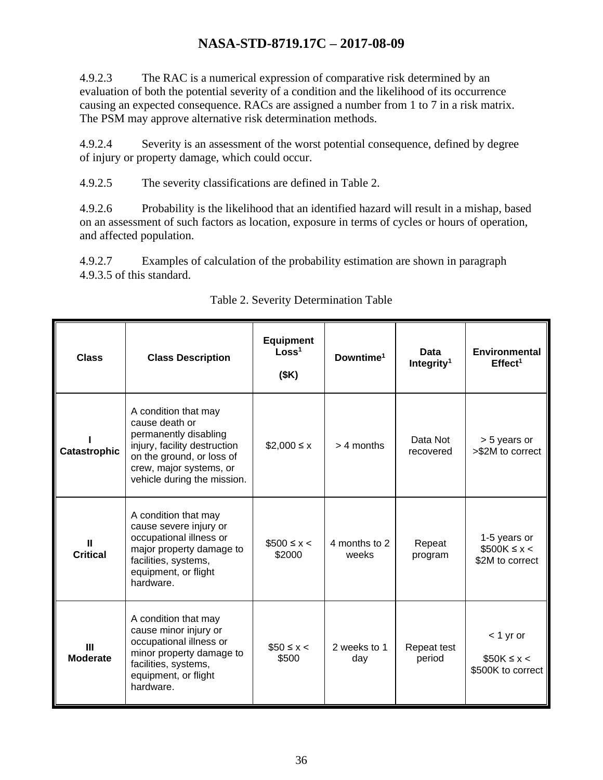4.9.2.3 The RAC is a numerical expression of comparative risk determined by an evaluation of both the potential severity of a condition and the likelihood of its occurrence causing an expected consequence. RACs are assigned a number from 1 to 7 in a risk matrix. The PSM may approve alternative risk determination methods.

4.9.2.4 Severity is an assessment of the worst potential consequence, defined by degree of injury or property damage, which could occur.

4.9.2.5 The severity classifications are defined in Table 2.

4.9.2.6 Probability is the likelihood that an identified hazard will result in a mishap, based on an assessment of such factors as location, exposure in terms of cycles or hours of operation, and affected population.

4.9.2.7 Examples of calculation of the probability estimation are shown in paragraph 4.9.3.5 of this standard.

<span id="page-35-0"></span>

| <b>Class</b>                    | <b>Class Description</b>                                                                                                                                                               | <b>Equipment</b><br>Loss <sup>1</sup><br>(SK) | Downtime <sup>1</sup>  | Data<br>Integrity <sup>1</sup> | <b>Environmental</b><br>$E$ ffect <sup>1</sup>    |
|---------------------------------|----------------------------------------------------------------------------------------------------------------------------------------------------------------------------------------|-----------------------------------------------|------------------------|--------------------------------|---------------------------------------------------|
| <b>Catastrophic</b>             | A condition that may<br>cause death or<br>permanently disabling<br>injury, facility destruction<br>on the ground, or loss of<br>crew, major systems, or<br>vehicle during the mission. | $$2,000 \le x$                                | $> 4$ months           | Data Not<br>recovered          | > 5 years or<br>>\$2M to correct                  |
| Ш<br><b>Critical</b>            | A condition that may<br>cause severe injury or<br>occupational illness or<br>major property damage to<br>facilities, systems,<br>equipment, or flight<br>hardware.                     | $$500 \le x <$<br>\$2000                      | 4 months to 2<br>weeks | Repeat<br>program              | 1-5 years or<br>$$500K \leq x$<br>\$2M to correct |
| $\mathbf{m}$<br><b>Moderate</b> | A condition that may<br>cause minor injury or<br>occupational illness or<br>minor property damage to<br>facilities, systems,<br>equipment, or flight<br>hardware.                      | $$50 \leq x$<br>\$500                         | 2 weeks to 1<br>day    | Repeat test<br>period          | $<$ 1 yr or<br>$$50K \leq x$<br>\$500K to correct |

#### Table 2. Severity Determination Table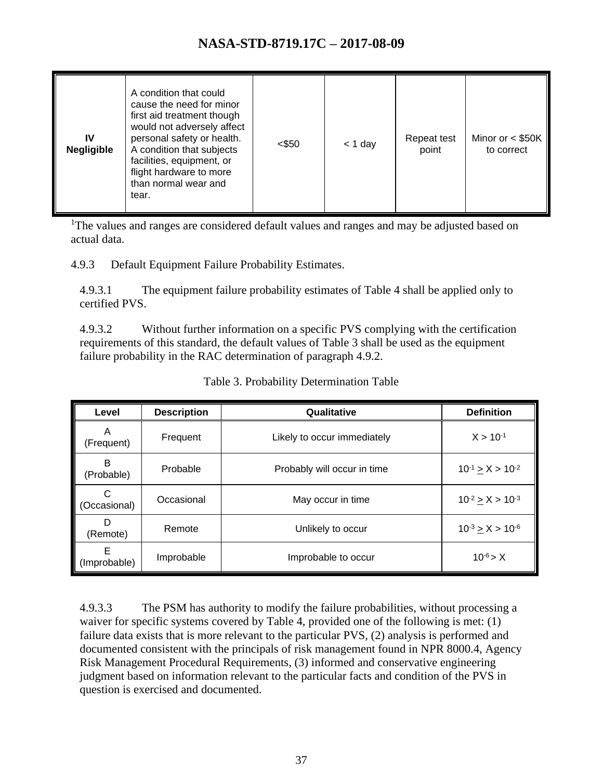| A condition that could<br>cause the need for minor<br>first aid treatment though<br>would not adversely affect<br>personal safety or health.<br>IV<br>A condition that subjects<br><b>Negligible</b><br>facilities, equipment, or<br>flight hardware to more<br>than normal wear and<br>tear. | <\$50 | $<$ 1 day | Repeat test<br>point | Minor or $<$ \$50K<br>to correct |
|-----------------------------------------------------------------------------------------------------------------------------------------------------------------------------------------------------------------------------------------------------------------------------------------------|-------|-----------|----------------------|----------------------------------|
|-----------------------------------------------------------------------------------------------------------------------------------------------------------------------------------------------------------------------------------------------------------------------------------------------|-------|-----------|----------------------|----------------------------------|

<sup>1</sup>The values and ranges are considered default values and ranges and may be adjusted based on actual data.

4.9.3 Default Equipment Failure Probability Estimates.

4.9.3.1 The equipment failure probability estimates of Table 4 shall be applied only to certified PVS.

4.9.3.2 Without further information on a specific PVS complying with the certification requirements of this standard, the default values of Table 3 shall be used as the equipment failure probability in the RAC determination of paragraph 4.9.2.

<span id="page-36-0"></span>

| Level             | <b>Description</b> | Qualitative                 | <b>Definition</b>         |
|-------------------|--------------------|-----------------------------|---------------------------|
| A<br>(Frequent)   | Frequent           | Likely to occur immediately | $X > 10^{-1}$             |
| B<br>(Probable)   | Probable           | Probably will occur in time | $10^{-1} \ge X > 10^{-2}$ |
| C<br>(Occasional) | Occasional         | May occur in time           | $10^{-2}$ > X > $10^{-3}$ |
| D<br>(Remote)     | Remote             | Unlikely to occur           | $10^{-3} \ge X > 10^{-6}$ |
| Е<br>(Improbable) | Improbable         | Improbable to occur         | $10^{-6}$ > X             |

Table 3. Probability Determination Table

4.9.3.3 The PSM has authority to modify the failure probabilities, without processing a waiver for specific systems covered by Table 4, provided one of the following is met: (1) failure data exists that is more relevant to the particular PVS, (2) analysis is performed and documented consistent with the principals of risk management found in NPR 8000.4, Agency Risk Management Procedural Requirements, (3) informed and conservative engineering judgment based on information relevant to the particular facts and condition of the PVS in question is exercised and documented.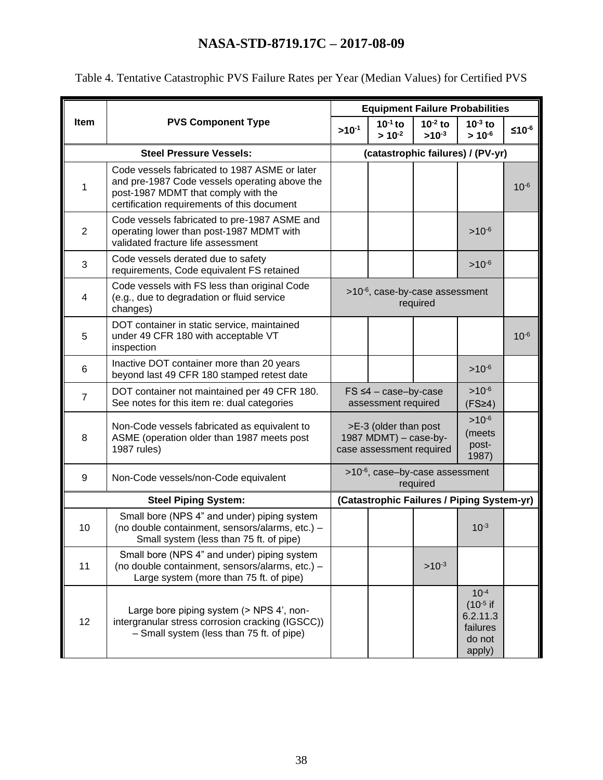|                |                                                                                                                                                                                      |            |                                                                            |                            | <b>Equipment Failure Probabilities</b>                                 |           |
|----------------|--------------------------------------------------------------------------------------------------------------------------------------------------------------------------------------|------------|----------------------------------------------------------------------------|----------------------------|------------------------------------------------------------------------|-----------|
| Item           | <b>PVS Component Type</b>                                                                                                                                                            | $>10^{-1}$ | $10^{-1}$ to<br>$> 10^{-2}$                                                | $10^{-2}$ to<br>$>10^{-3}$ | $10^{-3}$ to<br>$> 10^{-6}$                                            | $≤10-6$   |
|                | <b>Steel Pressure Vessels:</b>                                                                                                                                                       |            |                                                                            |                            | (catastrophic failures) / (PV-yr)                                      |           |
| 1              | Code vessels fabricated to 1987 ASME or later<br>and pre-1987 Code vessels operating above the<br>post-1987 MDMT that comply with the<br>certification requirements of this document |            |                                                                            |                            |                                                                        | $10^{-6}$ |
| $\overline{2}$ | Code vessels fabricated to pre-1987 ASME and<br>operating lower than post-1987 MDMT with<br>validated fracture life assessment                                                       |            |                                                                            |                            | $>10^{-6}$                                                             |           |
| 3              | Code vessels derated due to safety<br>requirements, Code equivalent FS retained                                                                                                      |            |                                                                            |                            | $>10^{-6}$                                                             |           |
| 4              | Code vessels with FS less than original Code<br>(e.g., due to degradation or fluid service<br>changes)                                                                               |            | >10 <sup>-6</sup> , case-by-case assessment                                | required                   |                                                                        |           |
| 5              | DOT container in static service, maintained<br>under 49 CFR 180 with acceptable VT<br>inspection                                                                                     |            |                                                                            |                            |                                                                        | $10^{-6}$ |
| 6              | Inactive DOT container more than 20 years<br>beyond last 49 CFR 180 stamped retest date                                                                                              |            |                                                                            |                            | $>10^{-6}$                                                             |           |
| $\overline{7}$ | DOT container not maintained per 49 CFR 180.<br>See notes for this item re: dual categories                                                                                          |            | $FS \leq 4 - case-by-case$<br>assessment required                          |                            | $>10^{-6}$<br>(FS <sup>24</sup> )                                      |           |
| 8              | Non-Code vessels fabricated as equivalent to<br>ASME (operation older than 1987 meets post<br>1987 rules)                                                                            |            | >E-3 (older than post<br>1987 MDMT) - case-by-<br>case assessment required |                            | $>10^{-6}$<br>(meets<br>post-<br>1987)                                 |           |
| 9              | Non-Code vessels/non-Code equivalent                                                                                                                                                 |            | >10 <sup>-6</sup> , case-by-case assessment                                | required                   |                                                                        |           |
|                | <b>Steel Piping System:</b>                                                                                                                                                          |            |                                                                            |                            | (Catastrophic Failures / Piping System-yr)                             |           |
| 10             | Small bore (NPS 4" and under) piping system<br>(no double containment, sensors/alarms, etc.) -<br>Small system (less than 75 ft. of pipe)                                            |            |                                                                            |                            | $10^{-3}$                                                              |           |
| 11             | Small bore (NPS 4" and under) piping system<br>(no double containment, sensors/alarms, etc.) -<br>Large system (more than 75 ft. of pipe)                                            |            |                                                                            | $>10^{-3}$                 |                                                                        |           |
| 12             | Large bore piping system (> NPS 4', non-<br>intergranular stress corrosion cracking (IGSCC))<br>- Small system (less than 75 ft. of pipe)                                            |            |                                                                            |                            | $10^{-4}$<br>$(10^{-5}$ if<br>6.2.11.3<br>failures<br>do not<br>apply) |           |

<span id="page-37-0"></span>Table 4. Tentative Catastrophic PVS Failure Rates per Year (Median Values) for Certified PVS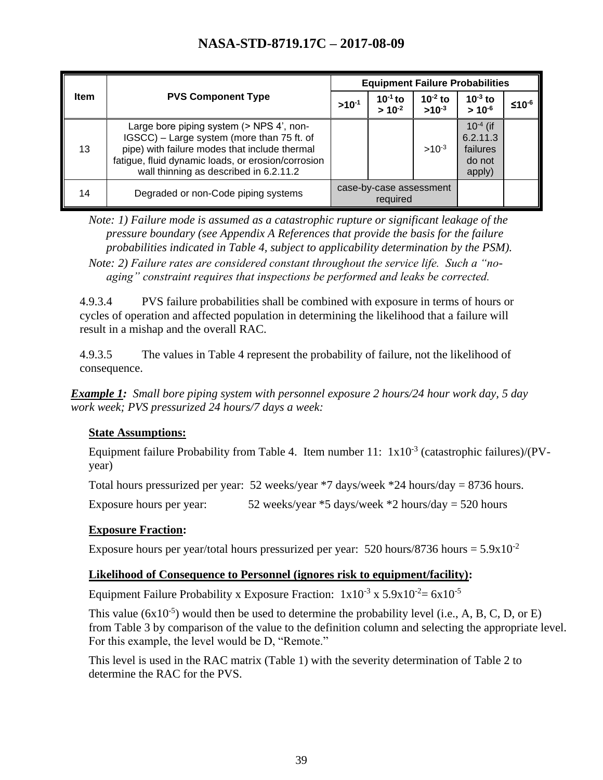|             |                                                                                                                                                                                                                                         | <b>Equipment Failure Probabilities</b> |                                     |                            |                                                           |         |
|-------------|-----------------------------------------------------------------------------------------------------------------------------------------------------------------------------------------------------------------------------------------|----------------------------------------|-------------------------------------|----------------------------|-----------------------------------------------------------|---------|
| <b>Item</b> | <b>PVS Component Type</b>                                                                                                                                                                                                               |                                        | $10-1$ to<br>$> 10^{-2}$            | $10^{-2}$ to<br>$>10^{-3}$ | $10^{-3}$ to<br>$> 10^{-6}$                               | $≤10-6$ |
| 13          | Large bore piping system (> NPS 4', non-<br>IGSCC) - Large system (more than 75 ft. of<br>pipe) with failure modes that include thermal<br>fatigue, fluid dynamic loads, or erosion/corrosion<br>wall thinning as described in 6.2.11.2 |                                        |                                     | $>10^{-3}$                 | $10^{-4}$ (if<br>6.2.11.3<br>failures<br>do not<br>apply) |         |
| 14          | Degraded or non-Code piping systems                                                                                                                                                                                                     |                                        | case-by-case assessment<br>required |                            |                                                           |         |

*Note: 1) Failure mode is assumed as a catastrophic rupture or significant leakage of the pressure boundary (see Appendix A References that provide the basis for the failure probabilities indicated in Table 4, subject to applicability determination by the PSM). Note: 2) Failure rates are considered constant throughout the service life. Such a "noaging" constraint requires that inspections be performed and leaks be corrected.*

4.9.3.4 PVS failure probabilities shall be combined with exposure in terms of hours or cycles of operation and affected population in determining the likelihood that a failure will result in a mishap and the overall RAC.

4.9.3.5 The values in Table 4 represent the probability of failure, not the likelihood of consequence.

*Example 1: Small bore piping system with personnel exposure 2 hours/24 hour work day, 5 day work week; PVS pressurized 24 hours/7 days a week:*

#### **State Assumptions:**

Equipment failure Probability from Table 4. Item number  $11: 1x10^{-3}$  (catastrophic failures)/(PVyear)

Total hours pressurized per year: 52 weeks/year \*7 days/week \*24 hours/day = 8736 hours.

Exposure hours per year:  $52$  weeks/year  $*5$  days/week  $*2$  hours/day = 520 hours

#### **Exposure Fraction:**

Exposure hours per year/total hours pressurized per year: 520 hours/8736 hours =  $5.9 \times 10^{-2}$ 

#### **Likelihood of Consequence to Personnel (ignores risk to equipment/facility):**

Equipment Failure Probability x Exposure Fraction:  $1x10^{-3}$  x  $5.9x10^{-2} = 6x10^{-5}$ 

This value  $(6x10^{-5})$  would then be used to determine the probability level (i.e., A, B, C, D, or E) from Table 3 by comparison of the value to the definition column and selecting the appropriate level. For this example, the level would be D, "Remote."

This level is used in the RAC matrix (Table 1) with the severity determination of Table 2 to determine the RAC for the PVS.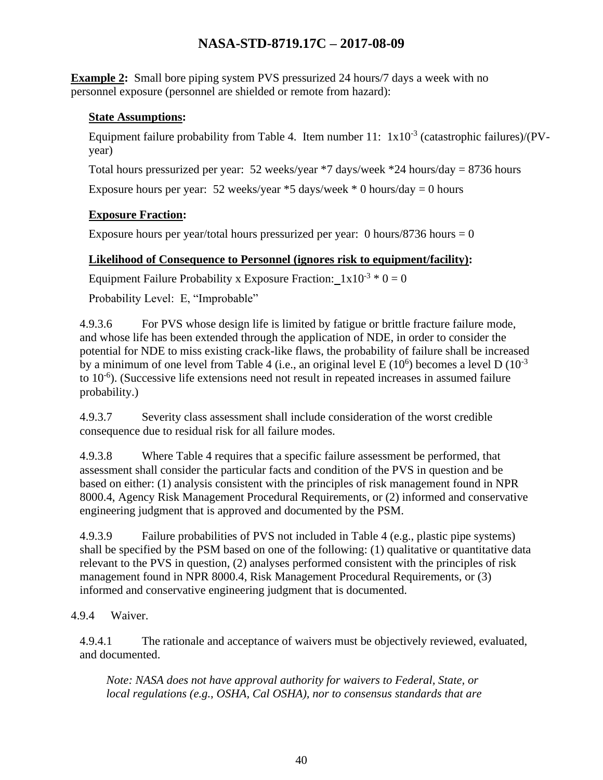**Example 2:** Small bore piping system PVS pressurized 24 hours/7 days a week with no personnel exposure (personnel are shielded or remote from hazard):

#### **State Assumptions:**

Equipment failure probability from Table 4. Item number  $11: 1x10^{-3}$  (catastrophic failures)/(PVyear)

Total hours pressurized per year: 52 weeks/year \*7 days/week \*24 hours/day = 8736 hours

Exposure hours per year: 52 weeks/year  $*5$  days/week  $*0$  hours/day = 0 hours

#### **Exposure Fraction:**

Exposure hours per year/total hours pressurized per year: 0 hours/8736 hours  $= 0$ 

#### **Likelihood of Consequence to Personnel (ignores risk to equipment/facility):**

Equipment Failure Probability x Exposure Fraction:  $1x10^{-3} * 0 = 0$ 

Probability Level: E, "Improbable"

4.9.3.6 For PVS whose design life is limited by fatigue or brittle fracture failure mode, and whose life has been extended through the application of NDE, in order to consider the potential for NDE to miss existing crack-like flaws, the probability of failure shall be increased by a minimum of one level from Table 4 (i.e., an original level E  $(10^6)$  becomes a level D  $(10^{-3})$ to 10<sup>-6</sup>). (Successive life extensions need not result in repeated increases in assumed failure probability.)

4.9.3.7 Severity class assessment shall include consideration of the worst credible consequence due to residual risk for all failure modes.

4.9.3.8 Where Table 4 requires that a specific failure assessment be performed, that assessment shall consider the particular facts and condition of the PVS in question and be based on either: (1) analysis consistent with the principles of risk management found in NPR 8000.4, Agency Risk Management Procedural Requirements, or (2) informed and conservative engineering judgment that is approved and documented by the PSM.

4.9.3.9 Failure probabilities of PVS not included in Table 4 (e.g., plastic pipe systems) shall be specified by the PSM based on one of the following: (1) qualitative or quantitative data relevant to the PVS in question, (2) analyses performed consistent with the principles of risk management found in NPR 8000.4, Risk Management Procedural Requirements, or (3) informed and conservative engineering judgment that is documented.

#### 4.9.4 Waiver.

4.9.4.1 The rationale and acceptance of waivers must be objectively reviewed, evaluated, and documented.

*Note: NASA does not have approval authority for waivers to Federal, State, or local regulations (e.g., OSHA, Cal OSHA), nor to consensus standards that are*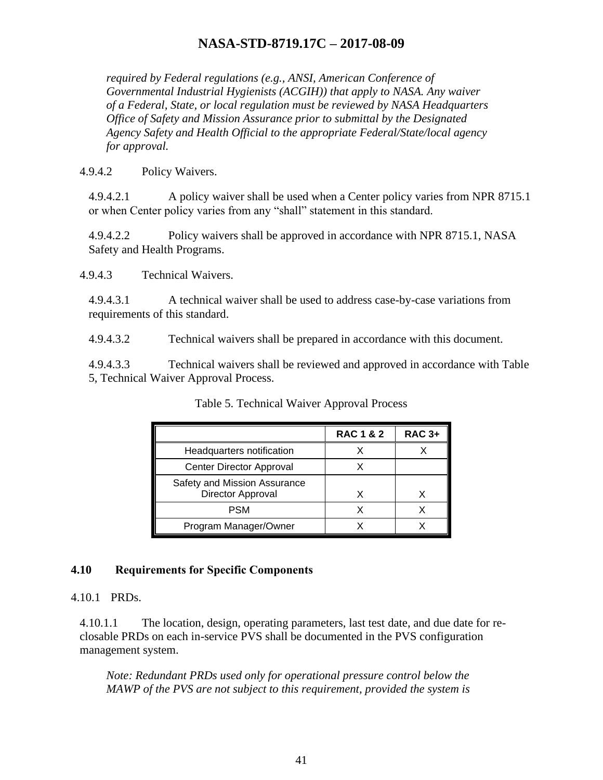*required by Federal regulations (e.g., ANSI, American Conference of Governmental Industrial Hygienists (ACGIH)) that apply to NASA. Any waiver of a Federal, State, or local regulation must be reviewed by NASA Headquarters Office of Safety and Mission Assurance prior to submittal by the Designated Agency Safety and Health Official to the appropriate Federal/State/local agency for approval.*

4.9.4.2 Policy Waivers.

4.9.4.2.1 A policy waiver shall be used when a Center policy varies from NPR 8715.1 or when Center policy varies from any "shall" statement in this standard.

4.9.4.2.2 Policy waivers shall be approved in accordance with NPR 8715.1, NASA Safety and Health Programs.

4.9.4.3 Technical Waivers.

4.9.4.3.1 A technical waiver shall be used to address case-by-case variations from requirements of this standard.

4.9.4.3.2 Technical waivers shall be prepared in accordance with this document.

<span id="page-40-1"></span>4.9.4.3.3 Technical waivers shall be reviewed and approved in accordance with Table 5, Technical Waiver Approval Process.

|                                                   | <b>RAC 1 &amp; 2</b> | <b>RAC 3+</b> |
|---------------------------------------------------|----------------------|---------------|
| Headquarters notification                         |                      |               |
| Center Director Approval                          |                      |               |
| Safety and Mission Assurance<br>Director Approval | x                    |               |
| PSM                                               |                      |               |
| Program Manager/Owner                             |                      |               |

Table 5. Technical Waiver Approval Process

#### <span id="page-40-0"></span>**4.10 Requirements for Specific Components**

4.10.1 PRDs.

4.10.1.1 The location, design, operating parameters, last test date, and due date for reclosable PRDs on each in-service PVS shall be documented in the PVS configuration management system.

*Note: Redundant PRDs used only for operational pressure control below the MAWP of the PVS are not subject to this requirement, provided the system is*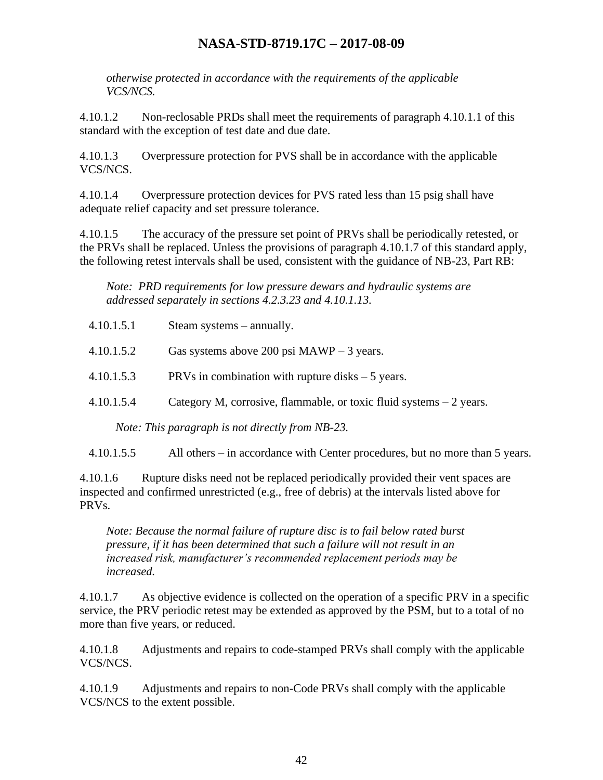*otherwise protected in accordance with the requirements of the applicable VCS/NCS.*

4.10.1.2 Non-reclosable PRDs shall meet the requirements of paragraph 4.10.1.1 of this standard with the exception of test date and due date.

4.10.1.3 Overpressure protection for PVS shall be in accordance with the applicable VCS/NCS.

4.10.1.4 Overpressure protection devices for PVS rated less than 15 psig shall have adequate relief capacity and set pressure tolerance.

4.10.1.5 The accuracy of the pressure set point of PRVs shall be periodically retested, or the PRVs shall be replaced. Unless the provisions of paragraph 4.10.1.7 of this standard apply, the following retest intervals shall be used, consistent with the guidance of NB-23, Part RB:

*Note: PRD requirements for low pressure dewars and hydraulic systems are addressed separately in sections 4.2.3.23 and 4.10.1.13.*

| 4.10.1.5.1 | Steam systems – annually.                                            |
|------------|----------------------------------------------------------------------|
| 4.10.1.5.2 | Gas systems above 200 psi $MAWP - 3$ years.                          |
| 4.10.1.5.3 | PRVs in combination with rupture disks $-5$ years.                   |
| 4.10.1.5.4 | Category M, corrosive, flammable, or toxic fluid systems $-2$ years. |
|            | Note: This paragraph is not directly from NB-23.                     |

4.10.1.5.5 All others – in accordance with Center procedures, but no more than 5 years.

4.10.1.6 Rupture disks need not be replaced periodically provided their vent spaces are inspected and confirmed unrestricted (e.g., free of debris) at the intervals listed above for PRVs.

*Note: Because the normal failure of rupture disc is to fail below rated burst pressure, if it has been determined that such a failure will not result in an increased risk, manufacturer's recommended replacement periods may be increased.*

4.10.1.7 As objective evidence is collected on the operation of a specific PRV in a specific service, the PRV periodic retest may be extended as approved by the PSM, but to a total of no more than five years, or reduced.

4.10.1.8 Adjustments and repairs to code-stamped PRVs shall comply with the applicable VCS/NCS.

4.10.1.9 Adjustments and repairs to non-Code PRVs shall comply with the applicable VCS/NCS to the extent possible.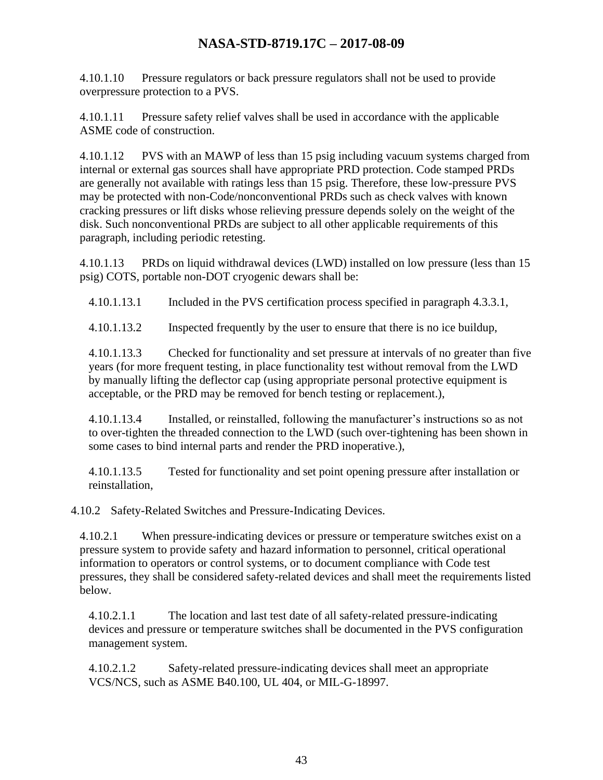4.10.1.10 Pressure regulators or back pressure regulators shall not be used to provide overpressure protection to a PVS.

4.10.1.11 Pressure safety relief valves shall be used in accordance with the applicable ASME code of construction.

4.10.1.12 PVS with an MAWP of less than 15 psig including vacuum systems charged from internal or external gas sources shall have appropriate PRD protection. Code stamped PRDs are generally not available with ratings less than 15 psig. Therefore, these low-pressure PVS may be protected with non-Code/nonconventional PRDs such as check valves with known cracking pressures or lift disks whose relieving pressure depends solely on the weight of the disk. Such nonconventional PRDs are subject to all other applicable requirements of this paragraph, including periodic retesting.

4.10.1.13 PRDs on liquid withdrawal devices (LWD) installed on low pressure (less than 15 psig) COTS, portable non-DOT cryogenic dewars shall be:

4.10.1.13.1 Included in the PVS certification process specified in paragraph 4.3.3.1,

4.10.1.13.2 Inspected frequently by the user to ensure that there is no ice buildup,

4.10.1.13.3 Checked for functionality and set pressure at intervals of no greater than five years (for more frequent testing, in place functionality test without removal from the LWD by manually lifting the deflector cap (using appropriate personal protective equipment is acceptable, or the PRD may be removed for bench testing or replacement.),

4.10.1.13.4 Installed, or reinstalled, following the manufacturer's instructions so as not to over-tighten the threaded connection to the LWD (such over-tightening has been shown in some cases to bind internal parts and render the PRD inoperative.),

4.10.1.13.5 Tested for functionality and set point opening pressure after installation or reinstallation,

4.10.2 Safety-Related Switches and Pressure-Indicating Devices.

4.10.2.1 When pressure-indicating devices or pressure or temperature switches exist on a pressure system to provide safety and hazard information to personnel, critical operational information to operators or control systems, or to document compliance with Code test pressures, they shall be considered safety-related devices and shall meet the requirements listed below.

4.10.2.1.1 The location and last test date of all safety-related pressure-indicating devices and pressure or temperature switches shall be documented in the PVS configuration management system.

4.10.2.1.2 Safety-related pressure-indicating devices shall meet an appropriate VCS/NCS, such as ASME B40.100, UL 404, or MIL-G-18997.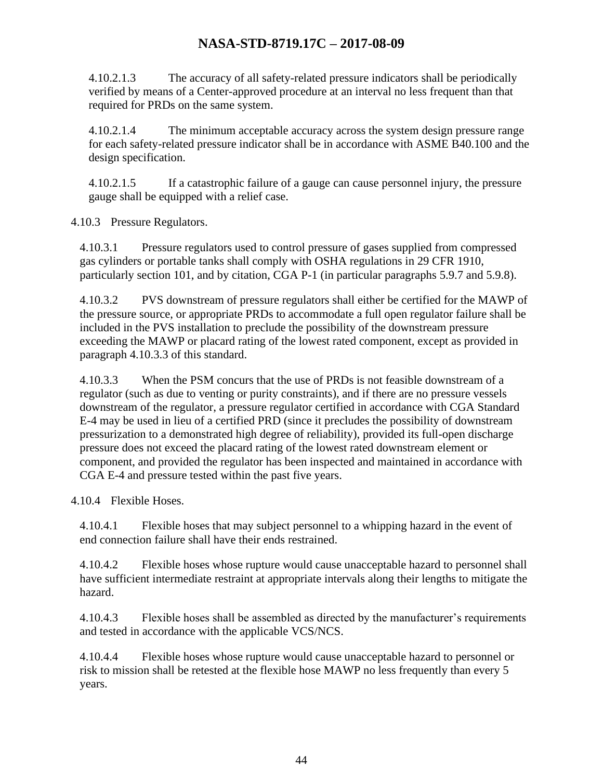4.10.2.1.3 The accuracy of all safety-related pressure indicators shall be periodically verified by means of a Center-approved procedure at an interval no less frequent than that required for PRDs on the same system.

4.10.2.1.4 The minimum acceptable accuracy across the system design pressure range for each safety-related pressure indicator shall be in accordance with ASME B40.100 and the design specification.

4.10.2.1.5 If a catastrophic failure of a gauge can cause personnel injury, the pressure gauge shall be equipped with a relief case.

4.10.3 Pressure Regulators.

4.10.3.1 Pressure regulators used to control pressure of gases supplied from compressed gas cylinders or portable tanks shall comply with OSHA regulations in 29 CFR 1910, particularly section 101, and by citation, CGA P-1 (in particular paragraphs 5.9.7 and 5.9.8).

4.10.3.2 PVS downstream of pressure regulators shall either be certified for the MAWP of the pressure source, or appropriate PRDs to accommodate a full open regulator failure shall be included in the PVS installation to preclude the possibility of the downstream pressure exceeding the MAWP or placard rating of the lowest rated component, except as provided in paragraph 4.10.3.3 of this standard.

4.10.3.3 When the PSM concurs that the use of PRDs is not feasible downstream of a regulator (such as due to venting or purity constraints), and if there are no pressure vessels downstream of the regulator, a pressure regulator certified in accordance with CGA Standard E-4 may be used in lieu of a certified PRD (since it precludes the possibility of downstream pressurization to a demonstrated high degree of reliability), provided its full-open discharge pressure does not exceed the placard rating of the lowest rated downstream element or component, and provided the regulator has been inspected and maintained in accordance with CGA E-4 and pressure tested within the past five years.

4.10.4 Flexible Hoses.

4.10.4.1 Flexible hoses that may subject personnel to a whipping hazard in the event of end connection failure shall have their ends restrained.

4.10.4.2 Flexible hoses whose rupture would cause unacceptable hazard to personnel shall have sufficient intermediate restraint at appropriate intervals along their lengths to mitigate the hazard.

4.10.4.3 Flexible hoses shall be assembled as directed by the manufacturer's requirements and tested in accordance with the applicable VCS/NCS.

4.10.4.4 Flexible hoses whose rupture would cause unacceptable hazard to personnel or risk to mission shall be retested at the flexible hose MAWP no less frequently than every 5 years.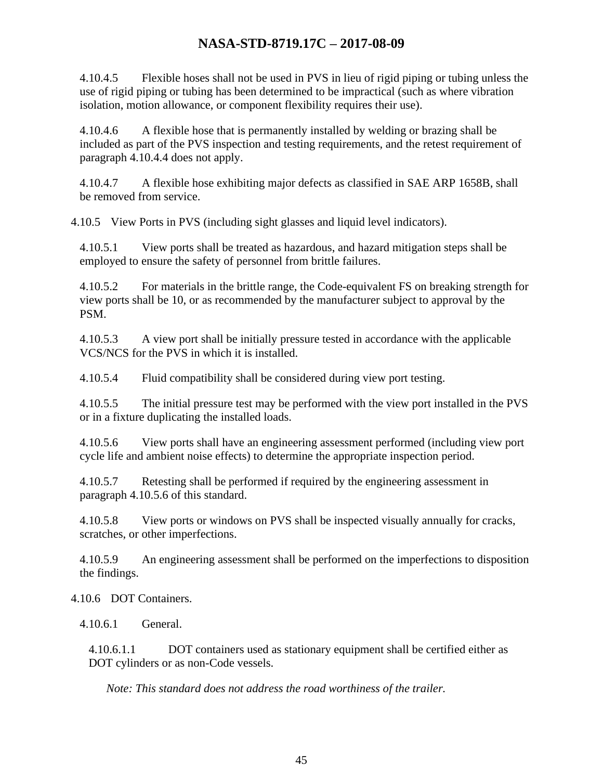4.10.4.5 Flexible hoses shall not be used in PVS in lieu of rigid piping or tubing unless the use of rigid piping or tubing has been determined to be impractical (such as where vibration isolation, motion allowance, or component flexibility requires their use).

4.10.4.6 A flexible hose that is permanently installed by welding or brazing shall be included as part of the PVS inspection and testing requirements, and the retest requirement of paragraph 4.10.4.4 does not apply.

4.10.4.7 A flexible hose exhibiting major defects as classified in SAE ARP 1658B, shall be removed from service.

4.10.5 View Ports in PVS (including sight glasses and liquid level indicators).

4.10.5.1 View ports shall be treated as hazardous, and hazard mitigation steps shall be employed to ensure the safety of personnel from brittle failures.

4.10.5.2 For materials in the brittle range, the Code-equivalent FS on breaking strength for view ports shall be 10, or as recommended by the manufacturer subject to approval by the PSM.

4.10.5.3 A view port shall be initially pressure tested in accordance with the applicable VCS/NCS for the PVS in which it is installed.

4.10.5.4 Fluid compatibility shall be considered during view port testing.

4.10.5.5 The initial pressure test may be performed with the view port installed in the PVS or in a fixture duplicating the installed loads.

4.10.5.6 View ports shall have an engineering assessment performed (including view port cycle life and ambient noise effects) to determine the appropriate inspection period.

4.10.5.7 Retesting shall be performed if required by the engineering assessment in paragraph 4.10.5.6 of this standard.

4.10.5.8 View ports or windows on PVS shall be inspected visually annually for cracks, scratches, or other imperfections.

4.10.5.9 An engineering assessment shall be performed on the imperfections to disposition the findings.

4.10.6 DOT Containers.

4.10.6.1 General.

4.10.6.1.1 DOT containers used as stationary equipment shall be certified either as DOT cylinders or as non-Code vessels.

*Note: This standard does not address the road worthiness of the trailer.*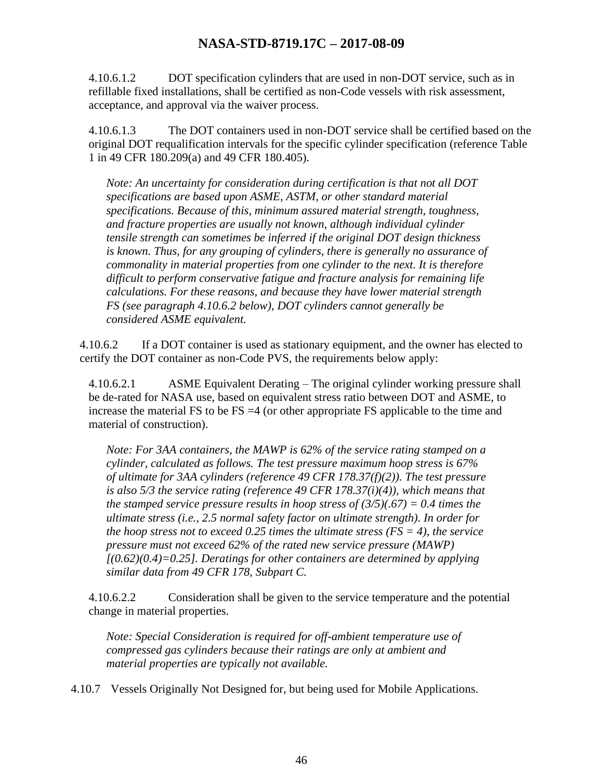4.10.6.1.2 DOT specification cylinders that are used in non-DOT service, such as in refillable fixed installations, shall be certified as non-Code vessels with risk assessment, acceptance, and approval via the waiver process.

4.10.6.1.3 The DOT containers used in non-DOT service shall be certified based on the original DOT requalification intervals for the specific cylinder specification (reference Table 1 in 49 CFR 180.209(a) and 49 CFR 180.405).

*Note: An uncertainty for consideration during certification is that not all DOT specifications are based upon ASME, ASTM, or other standard material specifications. Because of this, minimum assured material strength, toughness, and fracture properties are usually not known, although individual cylinder tensile strength can sometimes be inferred if the original DOT design thickness is known. Thus, for any grouping of cylinders, there is generally no assurance of commonality in material properties from one cylinder to the next. It is therefore difficult to perform conservative fatigue and fracture analysis for remaining life calculations. For these reasons, and because they have lower material strength FS (see paragraph 4.10.6.2 below), DOT cylinders cannot generally be considered ASME equivalent.*

4.10.6.2 If a DOT container is used as stationary equipment, and the owner has elected to certify the DOT container as non-Code PVS, the requirements below apply:

4.10.6.2.1 ASME Equivalent Derating – The original cylinder working pressure shall be de-rated for NASA use, based on equivalent stress ratio between DOT and ASME, to increase the material FS to be FS =4 (or other appropriate FS applicable to the time and material of construction).

*Note: For 3AA containers, the MAWP is 62% of the service rating stamped on a cylinder, calculated as follows. The test pressure maximum hoop stress is 67% of ultimate for 3AA cylinders (reference 49 CFR 178.37(f)(2)). The test pressure is also 5/3 the service rating (reference 49 CFR 178.37(i)(4)), which means that the stamped service pressure results in hoop stress of*  $(3/5)(.67) = 0.4$  *times the ultimate stress (i.e., 2.5 normal safety factor on ultimate strength). In order for the hoop stress not to exceed 0.25 times the ultimate stress (* $FS = 4$ *), the service pressure must not exceed 62% of the rated new service pressure (MAWP) [(0.62)(0.4)=0.25]. Deratings for other containers are determined by applying similar data from 49 CFR 178, Subpart C.*

4.10.6.2.2 Consideration shall be given to the service temperature and the potential change in material properties.

*Note: Special Consideration is required for off-ambient temperature use of compressed gas cylinders because their ratings are only at ambient and material properties are typically not available.*

4.10.7 Vessels Originally Not Designed for, but being used for Mobile Applications.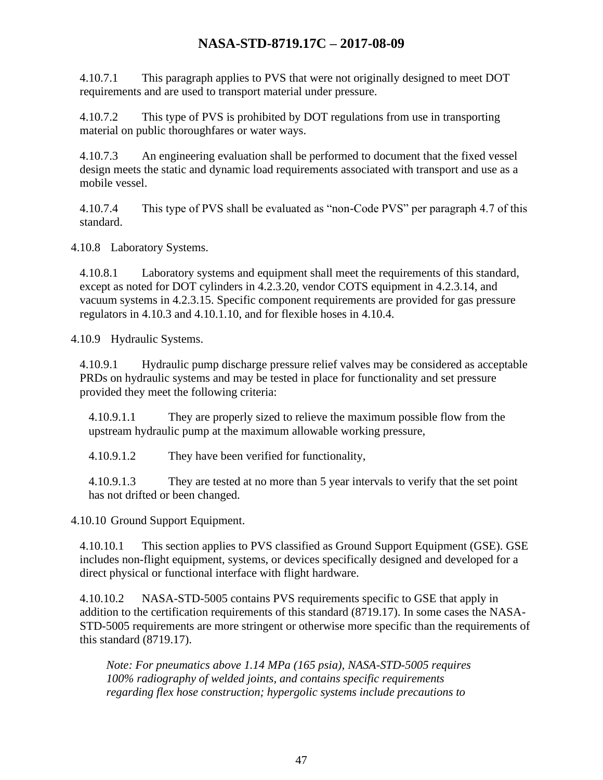4.10.7.1 This paragraph applies to PVS that were not originally designed to meet DOT requirements and are used to transport material under pressure.

4.10.7.2 This type of PVS is prohibited by DOT regulations from use in transporting material on public thoroughfares or water ways.

4.10.7.3 An engineering evaluation shall be performed to document that the fixed vessel design meets the static and dynamic load requirements associated with transport and use as a mobile vessel.

4.10.7.4 This type of PVS shall be evaluated as "non-Code PVS" per paragraph 4.7 of this standard.

4.10.8 Laboratory Systems.

4.10.8.1 Laboratory systems and equipment shall meet the requirements of this standard, except as noted for DOT cylinders in 4.2.3.20, vendor COTS equipment in 4.2.3.14, and vacuum systems in 4.2.3.15. Specific component requirements are provided for gas pressure regulators in 4.10.3 and 4.10.1.10, and for flexible hoses in 4.10.4.

4.10.9 Hydraulic Systems.

4.10.9.1 Hydraulic pump discharge pressure relief valves may be considered as acceptable PRDs on hydraulic systems and may be tested in place for functionality and set pressure provided they meet the following criteria:

4.10.9.1.1 They are properly sized to relieve the maximum possible flow from the upstream hydraulic pump at the maximum allowable working pressure,

4.10.9.1.2 They have been verified for functionality,

4.10.9.1.3 They are tested at no more than 5 year intervals to verify that the set point has not drifted or been changed.

4.10.10 Ground Support Equipment.

4.10.10.1 This section applies to PVS classified as Ground Support Equipment (GSE). GSE includes non-flight equipment, systems, or devices specifically designed and developed for a direct physical or functional interface with flight hardware.

4.10.10.2 NASA-STD-5005 contains PVS requirements specific to GSE that apply in addition to the certification requirements of this standard (8719.17). In some cases the NASA-STD-5005 requirements are more stringent or otherwise more specific than the requirements of this standard (8719.17).

*Note: For pneumatics above 1.14 MPa (165 psia), NASA-STD-5005 requires 100% radiography of welded joints, and contains specific requirements regarding flex hose construction; hypergolic systems include precautions to*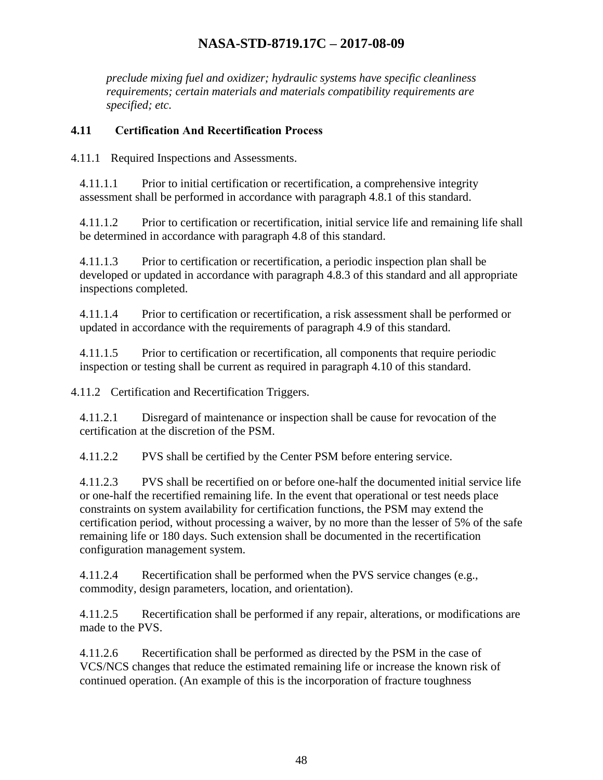*preclude mixing fuel and oxidizer; hydraulic systems have specific cleanliness requirements; certain materials and materials compatibility requirements are specified; etc.*

#### <span id="page-47-0"></span>**4.11 Certification And Recertification Process**

4.11.1 Required Inspections and Assessments.

4.11.1.1 Prior to initial certification or recertification, a comprehensive integrity assessment shall be performed in accordance with paragraph 4.8.1 of this standard.

4.11.1.2 Prior to certification or recertification, initial service life and remaining life shall be determined in accordance with paragraph 4.8 of this standard.

4.11.1.3 Prior to certification or recertification, a periodic inspection plan shall be developed or updated in accordance with paragraph 4.8.3 of this standard and all appropriate inspections completed.

4.11.1.4 Prior to certification or recertification, a risk assessment shall be performed or updated in accordance with the requirements of paragraph 4.9 of this standard.

4.11.1.5 Prior to certification or recertification, all components that require periodic inspection or testing shall be current as required in paragraph 4.10 of this standard.

4.11.2 Certification and Recertification Triggers.

4.11.2.1 Disregard of maintenance or inspection shall be cause for revocation of the certification at the discretion of the PSM.

4.11.2.2 PVS shall be certified by the Center PSM before entering service.

4.11.2.3 PVS shall be recertified on or before one-half the documented initial service life or one-half the recertified remaining life. In the event that operational or test needs place constraints on system availability for certification functions, the PSM may extend the certification period, without processing a waiver, by no more than the lesser of 5% of the safe remaining life or 180 days. Such extension shall be documented in the recertification configuration management system.

4.11.2.4 Recertification shall be performed when the PVS service changes (e.g., commodity, design parameters, location, and orientation).

4.11.2.5 Recertification shall be performed if any repair, alterations, or modifications are made to the PVS.

4.11.2.6 Recertification shall be performed as directed by the PSM in the case of VCS/NCS changes that reduce the estimated remaining life or increase the known risk of continued operation. (An example of this is the incorporation of fracture toughness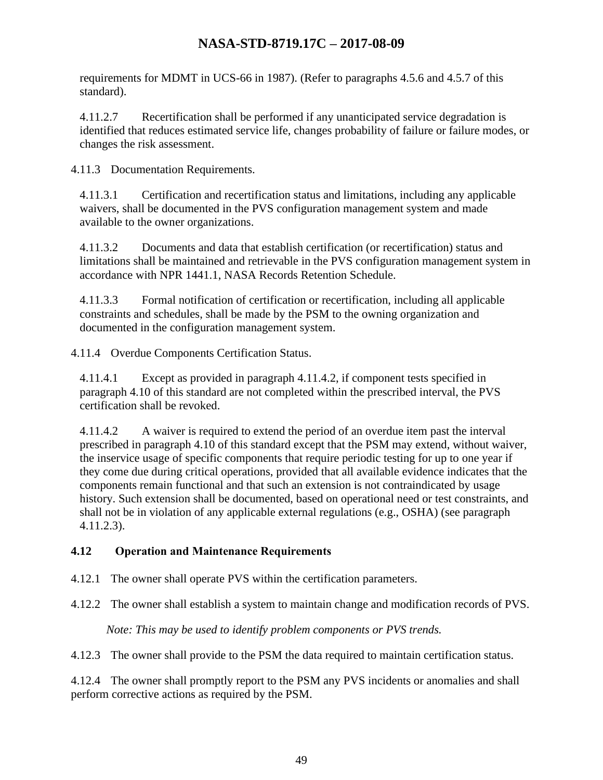requirements for MDMT in UCS-66 in 1987). (Refer to paragraphs 4.5.6 and 4.5.7 of this standard).

4.11.2.7 Recertification shall be performed if any unanticipated service degradation is identified that reduces estimated service life, changes probability of failure or failure modes, or changes the risk assessment.

4.11.3 Documentation Requirements.

4.11.3.1 Certification and recertification status and limitations, including any applicable waivers, shall be documented in the PVS configuration management system and made available to the owner organizations.

4.11.3.2 Documents and data that establish certification (or recertification) status and limitations shall be maintained and retrievable in the PVS configuration management system in accordance with NPR 1441.1, NASA Records Retention Schedule.

4.11.3.3 Formal notification of certification or recertification, including all applicable constraints and schedules, shall be made by the PSM to the owning organization and documented in the configuration management system.

4.11.4 Overdue Components Certification Status.

4.11.4.1 Except as provided in paragraph 4.11.4.2, if component tests specified in paragraph 4.10 of this standard are not completed within the prescribed interval, the PVS certification shall be revoked.

4.11.4.2 A waiver is required to extend the period of an overdue item past the interval prescribed in paragraph 4.10 of this standard except that the PSM may extend, without waiver, the inservice usage of specific components that require periodic testing for up to one year if they come due during critical operations, provided that all available evidence indicates that the components remain functional and that such an extension is not contraindicated by usage history. Such extension shall be documented, based on operational need or test constraints, and shall not be in violation of any applicable external regulations (e.g., OSHA) (see paragraph 4.11.2.3).

#### <span id="page-48-0"></span>**4.12 Operation and Maintenance Requirements**

4.12.1 The owner shall operate PVS within the certification parameters.

4.12.2 The owner shall establish a system to maintain change and modification records of PVS.

*Note: This may be used to identify problem components or PVS trends.*

4.12.3 The owner shall provide to the PSM the data required to maintain certification status.

4.12.4 The owner shall promptly report to the PSM any PVS incidents or anomalies and shall perform corrective actions as required by the PSM.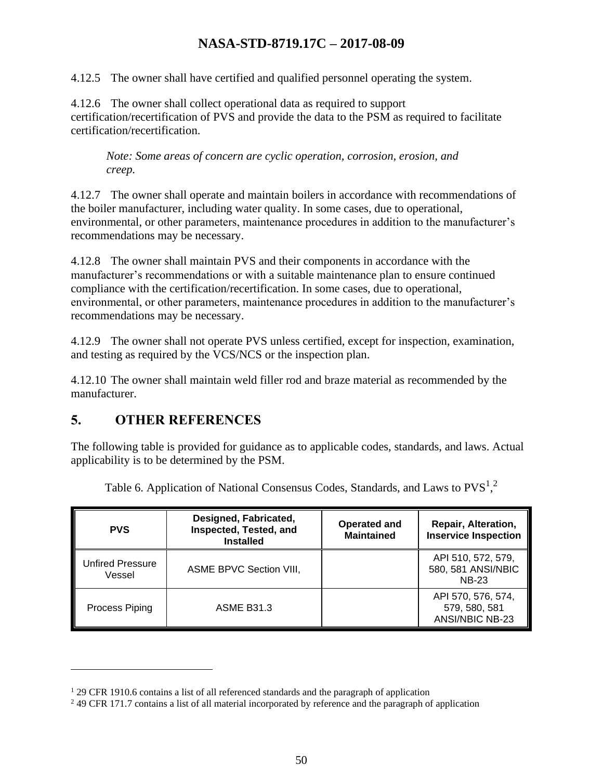4.12.5 The owner shall have certified and qualified personnel operating the system.

4.12.6 The owner shall collect operational data as required to support certification/recertification of PVS and provide the data to the PSM as required to facilitate certification/recertification.

*Note: Some areas of concern are cyclic operation, corrosion, erosion, and creep.*

4.12.7 The owner shall operate and maintain boilers in accordance with recommendations of the boiler manufacturer, including water quality. In some cases, due to operational, environmental, or other parameters, maintenance procedures in addition to the manufacturer's recommendations may be necessary.

4.12.8 The owner shall maintain PVS and their components in accordance with the manufacturer's recommendations or with a suitable maintenance plan to ensure continued compliance with the certification/recertification. In some cases, due to operational, environmental, or other parameters, maintenance procedures in addition to the manufacturer's recommendations may be necessary.

4.12.9 The owner shall not operate PVS unless certified, except for inspection, examination, and testing as required by the VCS/NCS or the inspection plan.

4.12.10 The owner shall maintain weld filler rod and braze material as recommended by the manufacturer.

## <span id="page-49-0"></span>**5. OTHER REFERENCES**

The following table is provided for guidance as to applicable codes, standards, and laws. Actual applicability is to be determined by the PSM.

<span id="page-49-1"></span>

| <b>PVS</b>                        | Designed, Fabricated,<br>Inspected, Tested, and<br><b>Installed</b> | <b>Operated and</b><br><b>Maintained</b> | Repair, Alteration,<br><b>Inservice Inspection</b>       |
|-----------------------------------|---------------------------------------------------------------------|------------------------------------------|----------------------------------------------------------|
| <b>Unfired Pressure</b><br>Vessel | <b>ASME BPVC Section VIII,</b>                                      |                                          | API 510, 572, 579,<br>580, 581 ANSI/NBIC<br><b>NB-23</b> |
| Process Piping                    | <b>ASME B31.3</b>                                                   |                                          | API 570, 576, 574,<br>579, 580, 581<br>ANSI/NBIC NB-23   |

Table 6. Application of National Consensus Codes, Standards, and Laws to  $PVS<sup>1,2</sup>$ 

<sup>&</sup>lt;sup>1</sup> 29 CFR 1910.6 contains a list of all referenced standards and the paragraph of application

<sup>&</sup>lt;sup>2</sup> 49 CFR 171.7 contains a list of all material incorporated by reference and the paragraph of application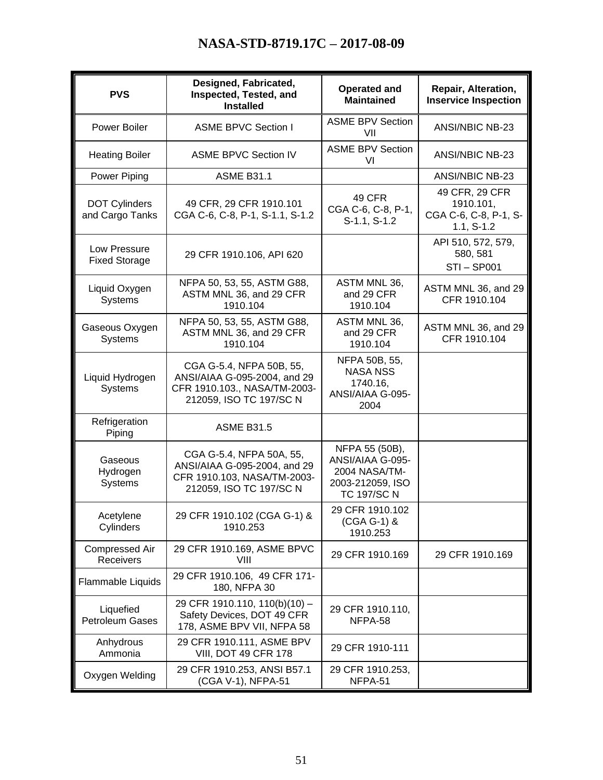| <b>PVS</b>                              | Designed, Fabricated,<br>Inspected, Tested, and<br><b>Installed</b>                                                 | <b>Operated and</b><br><b>Maintained</b>                                                      | Repair, Alteration,<br><b>Inservice Inspection</b>                   |
|-----------------------------------------|---------------------------------------------------------------------------------------------------------------------|-----------------------------------------------------------------------------------------------|----------------------------------------------------------------------|
| Power Boiler                            | <b>ASME BPVC Section I</b>                                                                                          | <b>ASME BPV Section</b><br>VII                                                                | ANSI/NBIC NB-23                                                      |
| <b>Heating Boiler</b>                   | <b>ASME BPVC Section IV</b>                                                                                         | <b>ASME BPV Section</b><br>VI                                                                 | ANSI/NBIC NB-23                                                      |
| Power Piping                            | <b>ASME B31.1</b>                                                                                                   |                                                                                               | ANSI/NBIC NB-23                                                      |
| <b>DOT Cylinders</b><br>and Cargo Tanks | 49 CFR, 29 CFR 1910.101<br>CGA C-6, C-8, P-1, S-1.1, S-1.2                                                          | 49 CFR<br>CGA C-6, C-8, P-1,<br>S-1.1, S-1.2                                                  | 49 CFR, 29 CFR<br>1910.101,<br>CGA C-6, C-8, P-1, S-<br>$1.1, S-1.2$ |
| Low Pressure<br><b>Fixed Storage</b>    | 29 CFR 1910.106, API 620                                                                                            |                                                                                               | API 510, 572, 579,<br>580, 581<br><b>STI-SP001</b>                   |
| Liquid Oxygen<br>Systems                | NFPA 50, 53, 55, ASTM G88,<br>ASTM MNL 36, and 29 CFR<br>1910.104                                                   | ASTM MNL 36,<br>and 29 CFR<br>1910.104                                                        | ASTM MNL 36, and 29<br>CFR 1910.104                                  |
| Gaseous Oxygen<br><b>Systems</b>        | NFPA 50, 53, 55, ASTM G88,<br>ASTM MNL 36, and 29 CFR<br>1910.104                                                   | ASTM MNL 36,<br>and 29 CFR<br>1910.104                                                        | ASTM MNL 36, and 29<br>CFR 1910.104                                  |
| Liquid Hydrogen<br>Systems              | CGA G-5.4, NFPA 50B, 55,<br>ANSI/AIAA G-095-2004, and 29<br>CFR 1910.103., NASA/TM-2003-<br>212059, ISO TC 197/SC N | NFPA 50B, 55,<br><b>NASA NSS</b><br>1740.16,<br>ANSI/AIAA G-095-<br>2004                      |                                                                      |
| Refrigeration<br>Piping                 | <b>ASME B31.5</b>                                                                                                   |                                                                                               |                                                                      |
| Gaseous<br>Hydrogen<br>Systems          | CGA G-5.4, NFPA 50A, 55,<br>ANSI/AIAA G-095-2004, and 29<br>CFR 1910.103, NASA/TM-2003-<br>212059, ISO TC 197/SC N  | NFPA 55 (50B),<br>ANSI/AIAA G-095-<br>2004 NASA/TM-<br>2003-212059, ISO<br><b>TC 197/SC N</b> |                                                                      |
| Acetylene<br>Cylinders                  | 29 CFR 1910.102 (CGA G-1) &<br>1910.253                                                                             | 29 CFR 1910.102<br>(CGA G-1) &<br>1910.253                                                    |                                                                      |
| Compressed Air<br>Receivers             | 29 CFR 1910.169, ASME BPVC<br>VIII                                                                                  | 29 CFR 1910.169                                                                               | 29 CFR 1910.169                                                      |
| Flammable Liquids                       | 29 CFR 1910.106, 49 CFR 171-<br>180, NFPA 30                                                                        |                                                                                               |                                                                      |
| Liquefied<br><b>Petroleum Gases</b>     | 29 CFR 1910.110, 110(b)(10) -<br>Safety Devices, DOT 49 CFR<br>178, ASME BPV VII, NFPA 58                           | 29 CFR 1910.110,<br>NFPA-58                                                                   |                                                                      |
| Anhydrous<br>Ammonia                    | 29 CFR 1910.111, ASME BPV<br><b>VIII, DOT 49 CFR 178</b>                                                            | 29 CFR 1910-111                                                                               |                                                                      |
| Oxygen Welding                          | 29 CFR 1910.253, ANSI B57.1<br>(CGA V-1), NFPA-51                                                                   | 29 CFR 1910.253,<br>NFPA-51                                                                   |                                                                      |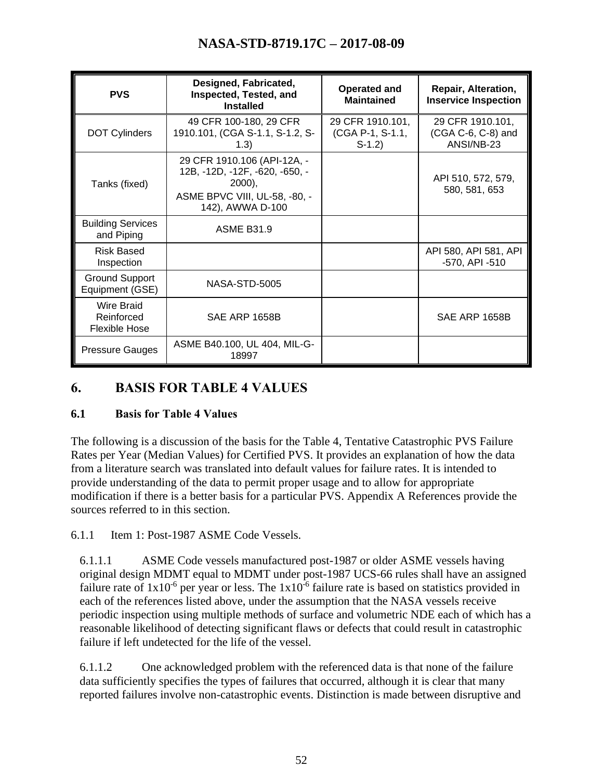| <b>PVS</b>                                       | Designed, Fabricated,<br>Inspected, Tested, and<br><b>Installed</b>                                                            | <b>Operated and</b><br><b>Maintained</b>        | <b>Repair, Alteration,</b><br><b>Inservice Inspection</b> |
|--------------------------------------------------|--------------------------------------------------------------------------------------------------------------------------------|-------------------------------------------------|-----------------------------------------------------------|
| <b>DOT Cylinders</b>                             | 49 CFR 100-180, 29 CFR<br>1910.101, (CGA S-1.1, S-1.2, S-<br>(1.3)                                                             | 29 CFR 1910.101,<br>(CGA P-1, S-1.1,<br>$S-1.2$ | 29 CFR 1910.101,<br>(CGA C-6, C-8) and<br>ANSI/NB-23      |
| Tanks (fixed)                                    | 29 CFR 1910.106 (API-12A, -<br>12B, -12D, -12F, -620, -650, -<br>$2000$ ,<br>ASME BPVC VIII, UL-58, -80, -<br>142), AWWA D-100 |                                                 | API 510, 572, 579,<br>580, 581, 653                       |
| <b>Building Services</b><br>and Piping           | <b>ASME B31.9</b>                                                                                                              |                                                 |                                                           |
| <b>Risk Based</b><br>Inspection                  |                                                                                                                                |                                                 | API 580, API 581, API<br>-570, API -510                   |
| <b>Ground Support</b><br>Equipment (GSE)         | NASA-STD-5005                                                                                                                  |                                                 |                                                           |
| Wire Braid<br>Reinforced<br><b>Flexible Hose</b> | SAE ARP 1658B                                                                                                                  |                                                 | SAE ARP 1658B                                             |
| <b>Pressure Gauges</b>                           | ASME B40.100, UL 404, MIL-G-<br>18997                                                                                          |                                                 |                                                           |

## <span id="page-51-0"></span>**6. BASIS FOR TABLE 4 VALUES**

#### <span id="page-51-1"></span>**6.1 Basis for Table 4 Values**

The following is a discussion of the basis for the Table 4, Tentative Catastrophic PVS Failure Rates per Year (Median Values) for Certified PVS. It provides an explanation of how the data from a literature search was translated into default values for failure rates. It is intended to provide understanding of the data to permit proper usage and to allow for appropriate modification if there is a better basis for a particular PVS. Appendix A References provide the sources referred to in this section.

6.1.1 Item 1: Post-1987 ASME Code Vessels.

6.1.1.1 ASME Code vessels manufactured post-1987 or older ASME vessels having original design MDMT equal to MDMT under post-1987 UCS-66 rules shall have an assigned failure rate of  $1x10^{-6}$  per year or less. The  $1x10^{-6}$  failure rate is based on statistics provided in each of the references listed above, under the assumption that the NASA vessels receive periodic inspection using multiple methods of surface and volumetric NDE each of which has a reasonable likelihood of detecting significant flaws or defects that could result in catastrophic failure if left undetected for the life of the vessel.

6.1.1.2 One acknowledged problem with the referenced data is that none of the failure data sufficiently specifies the types of failures that occurred, although it is clear that many reported failures involve non-catastrophic events. Distinction is made between disruptive and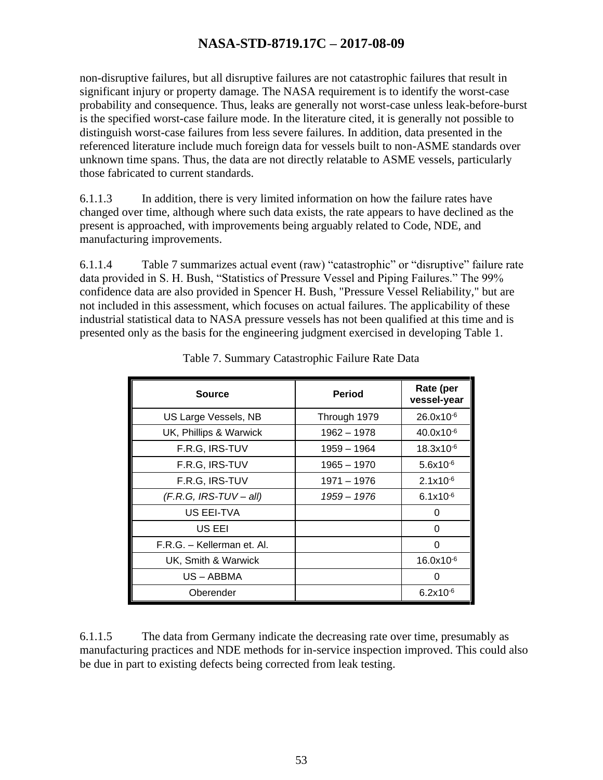non-disruptive failures, but all disruptive failures are not catastrophic failures that result in significant injury or property damage. The NASA requirement is to identify the worst-case probability and consequence. Thus, leaks are generally not worst-case unless leak-before-burst is the specified worst-case failure mode. In the literature cited, it is generally not possible to distinguish worst-case failures from less severe failures. In addition, data presented in the referenced literature include much foreign data for vessels built to non-ASME standards over unknown time spans. Thus, the data are not directly relatable to ASME vessels, particularly those fabricated to current standards.

6.1.1.3 In addition, there is very limited information on how the failure rates have changed over time, although where such data exists, the rate appears to have declined as the present is approached, with improvements being arguably related to Code, NDE, and manufacturing improvements.

6.1.1.4 Table 7 summarizes actual event (raw) "catastrophic" or "disruptive" failure rate data provided in S. H. Bush, "Statistics of Pressure Vessel and Piping Failures." The 99% confidence data are also provided in Spencer H. Bush, "Pressure Vessel Reliability," but are not included in this assessment, which focuses on actual failures. The applicability of these industrial statistical data to NASA pressure vessels has not been qualified at this time and is presented only as the basis for the engineering judgment exercised in developing Table 1.

<span id="page-52-0"></span>

| <b>Source</b>              | Period       | Rate (per<br>vessel-year |
|----------------------------|--------------|--------------------------|
| US Large Vessels, NB       | Through 1979 | $26.0x10^{-6}$           |
| UK, Phillips & Warwick     | 1962 - 1978  | $40.0x10^{-6}$           |
| F.R.G, IRS-TUV             | 1959 - 1964  | $18.3x10^{-6}$           |
| F.R.G, IRS-TUV             | 1965 - 1970  | $5.6x10^{-6}$            |
| F.R.G, IRS-TUV             | 1971 - 1976  | $2.1x10^{-6}$            |
| $(F.R.G, IRS-TUV-all)$     | 1959 - 1976  | $6.1x10^{-6}$            |
| US EEI-TVA                 |              | 0                        |
| US EEI                     |              | 0                        |
| F.R.G. - Kellerman et. Al. |              | O                        |
| UK, Smith & Warwick        |              | $16.0x10^{-6}$           |
| US – ABBMA                 |              | 0                        |
| Oberender                  |              | $6.2x10^{-6}$            |

Table 7. Summary Catastrophic Failure Rate Data

6.1.1.5 The data from Germany indicate the decreasing rate over time, presumably as manufacturing practices and NDE methods for in-service inspection improved. This could also be due in part to existing defects being corrected from leak testing.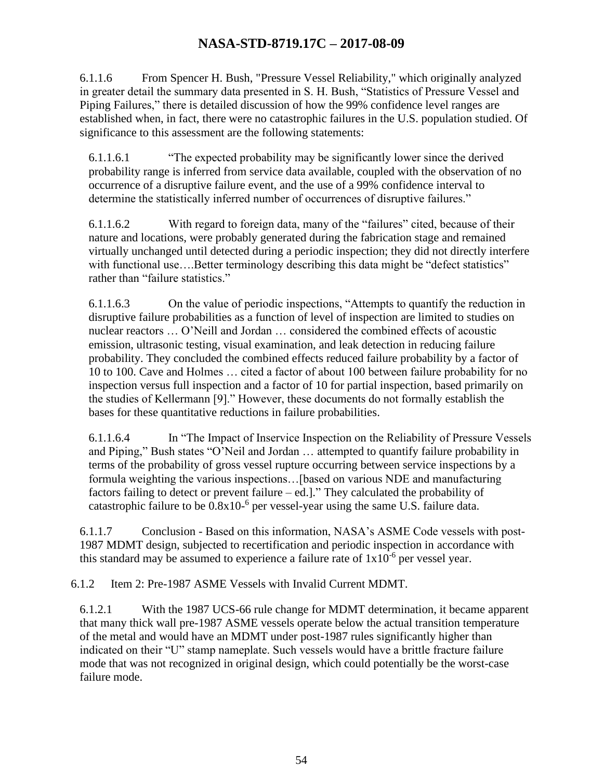6.1.1.6 From Spencer H. Bush, "Pressure Vessel Reliability," which originally analyzed in greater detail the summary data presented in S. H. Bush, "Statistics of Pressure Vessel and Piping Failures," there is detailed discussion of how the 99% confidence level ranges are established when, in fact, there were no catastrophic failures in the U.S. population studied. Of significance to this assessment are the following statements:

6.1.1.6.1 "The expected probability may be significantly lower since the derived probability range is inferred from service data available, coupled with the observation of no occurrence of a disruptive failure event, and the use of a 99% confidence interval to determine the statistically inferred number of occurrences of disruptive failures."

6.1.1.6.2 With regard to foreign data, many of the "failures" cited, because of their nature and locations, were probably generated during the fabrication stage and remained virtually unchanged until detected during a periodic inspection; they did not directly interfere with functional use....Better terminology describing this data might be "defect statistics" rather than "failure statistics."

6.1.1.6.3 On the value of periodic inspections, "Attempts to quantify the reduction in disruptive failure probabilities as a function of level of inspection are limited to studies on nuclear reactors … O'Neill and Jordan … considered the combined effects of acoustic emission, ultrasonic testing, visual examination, and leak detection in reducing failure probability. They concluded the combined effects reduced failure probability by a factor of 10 to 100. Cave and Holmes … cited a factor of about 100 between failure probability for no inspection versus full inspection and a factor of 10 for partial inspection, based primarily on the studies of Kellermann [9]." However, these documents do not formally establish the bases for these quantitative reductions in failure probabilities.

6.1.1.6.4 In "The Impact of Inservice Inspection on the Reliability of Pressure Vessels and Piping," Bush states "O'Neil and Jordan … attempted to quantify failure probability in terms of the probability of gross vessel rupture occurring between service inspections by a formula weighting the various inspections…[based on various NDE and manufacturing factors failing to detect or prevent failure – ed.]." They calculated the probability of catastrophic failure to be  $0.8x10^{-6}$  per vessel-year using the same U.S. failure data.

6.1.1.7 Conclusion - Based on this information, NASA's ASME Code vessels with post-1987 MDMT design, subjected to recertification and periodic inspection in accordance with this standard may be assumed to experience a failure rate of  $1x10^{-6}$  per vessel year.

6.1.2 Item 2: Pre-1987 ASME Vessels with Invalid Current MDMT.

6.1.2.1 With the 1987 UCS-66 rule change for MDMT determination, it became apparent that many thick wall pre-1987 ASME vessels operate below the actual transition temperature of the metal and would have an MDMT under post-1987 rules significantly higher than indicated on their "U" stamp nameplate. Such vessels would have a brittle fracture failure mode that was not recognized in original design, which could potentially be the worst-case failure mode.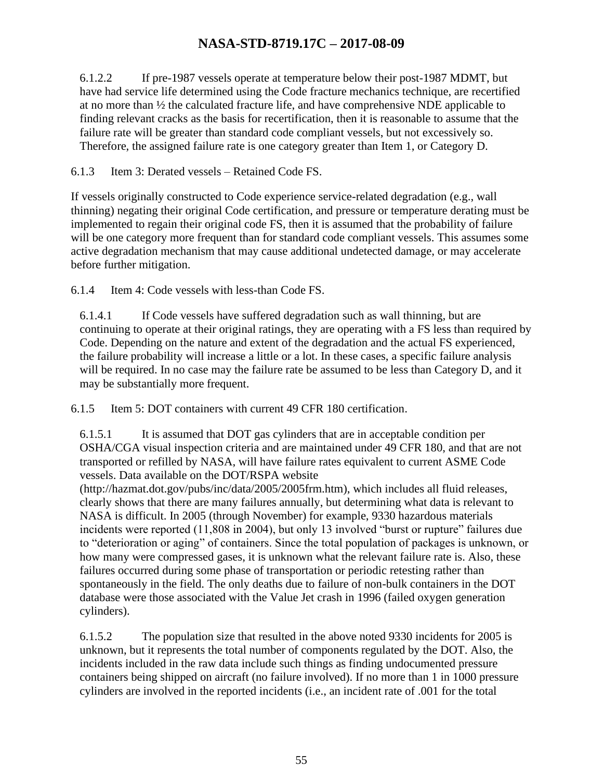6.1.2.2 If pre-1987 vessels operate at temperature below their post-1987 MDMT, but have had service life determined using the Code fracture mechanics technique, are recertified at no more than  $\frac{1}{2}$  the calculated fracture life, and have comprehensive NDE applicable to finding relevant cracks as the basis for recertification, then it is reasonable to assume that the failure rate will be greater than standard code compliant vessels, but not excessively so. Therefore, the assigned failure rate is one category greater than Item 1, or Category D.

6.1.3 Item 3: Derated vessels – Retained Code FS.

If vessels originally constructed to Code experience service-related degradation (e.g., wall thinning) negating their original Code certification, and pressure or temperature derating must be implemented to regain their original code FS, then it is assumed that the probability of failure will be one category more frequent than for standard code compliant vessels. This assumes some active degradation mechanism that may cause additional undetected damage, or may accelerate before further mitigation.

6.1.4 Item 4: Code vessels with less-than Code FS.

6.1.4.1 If Code vessels have suffered degradation such as wall thinning, but are continuing to operate at their original ratings, they are operating with a FS less than required by Code. Depending on the nature and extent of the degradation and the actual FS experienced, the failure probability will increase a little or a lot. In these cases, a specific failure analysis will be required. In no case may the failure rate be assumed to be less than Category D, and it may be substantially more frequent.

6.1.5 Item 5: DOT containers with current 49 CFR 180 certification.

6.1.5.1 It is assumed that DOT gas cylinders that are in acceptable condition per OSHA/CGA visual inspection criteria and are maintained under 49 CFR 180, and that are not transported or refilled by NASA, will have failure rates equivalent to current ASME Code vessels. Data available on the DOT/RSPA website

(http://hazmat.dot.gov/pubs/inc/data/2005/2005frm.htm), which includes all fluid releases, clearly shows that there are many failures annually, but determining what data is relevant to NASA is difficult. In 2005 (through November) for example, 9330 hazardous materials incidents were reported (11,808 in 2004), but only 13 involved "burst or rupture" failures due to "deterioration or aging" of containers. Since the total population of packages is unknown, or how many were compressed gases, it is unknown what the relevant failure rate is. Also, these failures occurred during some phase of transportation or periodic retesting rather than spontaneously in the field. The only deaths due to failure of non-bulk containers in the DOT database were those associated with the Value Jet crash in 1996 (failed oxygen generation cylinders).

6.1.5.2 The population size that resulted in the above noted 9330 incidents for 2005 is unknown, but it represents the total number of components regulated by the DOT. Also, the incidents included in the raw data include such things as finding undocumented pressure containers being shipped on aircraft (no failure involved). If no more than 1 in 1000 pressure cylinders are involved in the reported incidents (i.e., an incident rate of .001 for the total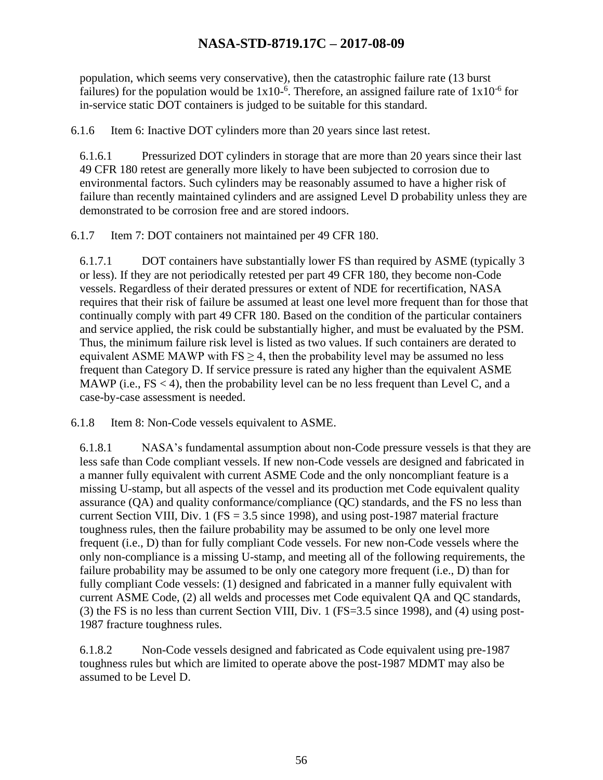population, which seems very conservative), then the catastrophic failure rate (13 burst failures) for the population would be  $1x10^{-6}$ . Therefore, an assigned failure rate of  $1x10^{-6}$  for in-service static DOT containers is judged to be suitable for this standard.

6.1.6 Item 6: Inactive DOT cylinders more than 20 years since last retest.

6.1.6.1 Pressurized DOT cylinders in storage that are more than 20 years since their last 49 CFR 180 retest are generally more likely to have been subjected to corrosion due to environmental factors. Such cylinders may be reasonably assumed to have a higher risk of failure than recently maintained cylinders and are assigned Level D probability unless they are demonstrated to be corrosion free and are stored indoors.

6.1.7 Item 7: DOT containers not maintained per 49 CFR 180.

6.1.7.1 DOT containers have substantially lower FS than required by ASME (typically 3 or less). If they are not periodically retested per part 49 CFR 180, they become non-Code vessels. Regardless of their derated pressures or extent of NDE for recertification, NASA requires that their risk of failure be assumed at least one level more frequent than for those that continually comply with part 49 CFR 180. Based on the condition of the particular containers and service applied, the risk could be substantially higher, and must be evaluated by the PSM. Thus, the minimum failure risk level is listed as two values. If such containers are derated to equivalent ASME MAWP with  $FS \geq 4$ , then the probability level may be assumed no less frequent than Category D. If service pressure is rated any higher than the equivalent ASME MAWP (i.e.,  $FS < 4$ ), then the probability level can be no less frequent than Level C, and a case-by-case assessment is needed.

6.1.8 Item 8: Non-Code vessels equivalent to ASME.

6.1.8.1 NASA's fundamental assumption about non-Code pressure vessels is that they are less safe than Code compliant vessels. If new non-Code vessels are designed and fabricated in a manner fully equivalent with current ASME Code and the only noncompliant feature is a missing U-stamp, but all aspects of the vessel and its production met Code equivalent quality assurance (QA) and quality conformance/compliance (QC) standards, and the FS no less than current Section VIII, Div. 1 (FS =  $3.5$  since 1998), and using post-1987 material fracture toughness rules, then the failure probability may be assumed to be only one level more frequent (i.e., D) than for fully compliant Code vessels. For new non-Code vessels where the only non-compliance is a missing U-stamp, and meeting all of the following requirements, the failure probability may be assumed to be only one category more frequent (i.e., D) than for fully compliant Code vessels: (1) designed and fabricated in a manner fully equivalent with current ASME Code, (2) all welds and processes met Code equivalent QA and QC standards, (3) the FS is no less than current Section VIII, Div. 1 (FS=3.5 since 1998), and (4) using post-1987 fracture toughness rules.

6.1.8.2 Non-Code vessels designed and fabricated as Code equivalent using pre-1987 toughness rules but which are limited to operate above the post-1987 MDMT may also be assumed to be Level D.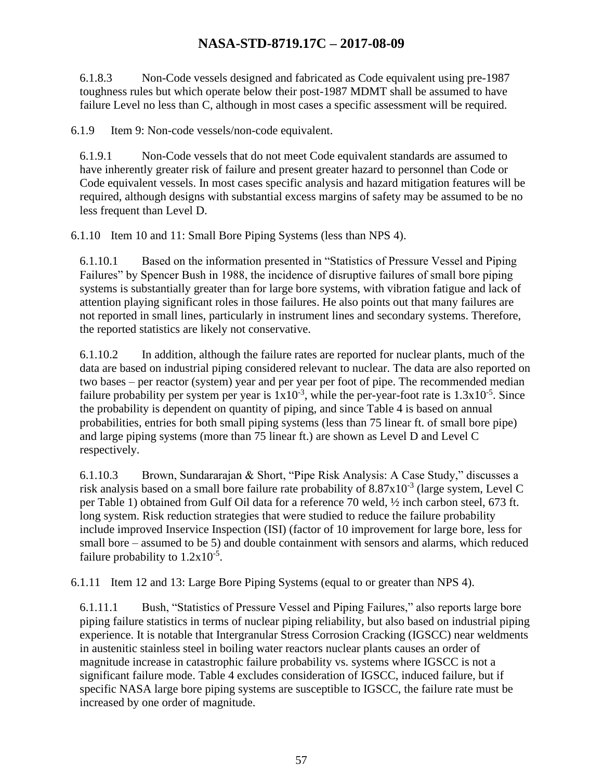6.1.8.3 Non-Code vessels designed and fabricated as Code equivalent using pre-1987 toughness rules but which operate below their post-1987 MDMT shall be assumed to have failure Level no less than C, although in most cases a specific assessment will be required.

6.1.9 Item 9: Non-code vessels/non-code equivalent.

6.1.9.1 Non-Code vessels that do not meet Code equivalent standards are assumed to have inherently greater risk of failure and present greater hazard to personnel than Code or Code equivalent vessels. In most cases specific analysis and hazard mitigation features will be required, although designs with substantial excess margins of safety may be assumed to be no less frequent than Level D.

6.1.10 Item 10 and 11: Small Bore Piping Systems (less than NPS 4).

6.1.10.1 Based on the information presented in "Statistics of Pressure Vessel and Piping Failures" by Spencer Bush in 1988, the incidence of disruptive failures of small bore piping systems is substantially greater than for large bore systems, with vibration fatigue and lack of attention playing significant roles in those failures. He also points out that many failures are not reported in small lines, particularly in instrument lines and secondary systems. Therefore, the reported statistics are likely not conservative.

6.1.10.2 In addition, although the failure rates are reported for nuclear plants, much of the data are based on industrial piping considered relevant to nuclear. The data are also reported on two bases – per reactor (system) year and per year per foot of pipe. The recommended median failure probability per system per year is  $1x10^{-3}$ , while the per-year-foot rate is  $1.3x10^{-5}$ . Since the probability is dependent on quantity of piping, and since Table 4 is based on annual probabilities, entries for both small piping systems (less than 75 linear ft. of small bore pipe) and large piping systems (more than 75 linear ft.) are shown as Level D and Level C respectively.

6.1.10.3 Brown, Sundararajan & Short, "Pipe Risk Analysis: A Case Study," discusses a risk analysis based on a small bore failure rate probability of  $8.87 \times 10^{-3}$  (large system, Level C per Table 1) obtained from Gulf Oil data for a reference 70 weld, ½ inch carbon steel, 673 ft. long system. Risk reduction strategies that were studied to reduce the failure probability include improved Inservice Inspection (ISI) (factor of 10 improvement for large bore, less for small bore – assumed to be 5) and double containment with sensors and alarms, which reduced failure probability to  $1.2x10^{-5}$ .

6.1.11 Item 12 and 13: Large Bore Piping Systems (equal to or greater than NPS 4).

6.1.11.1 Bush, "Statistics of Pressure Vessel and Piping Failures," also reports large bore piping failure statistics in terms of nuclear piping reliability, but also based on industrial piping experience. It is notable that Intergranular Stress Corrosion Cracking (IGSCC) near weldments in austenitic stainless steel in boiling water reactors nuclear plants causes an order of magnitude increase in catastrophic failure probability vs. systems where IGSCC is not a significant failure mode. Table 4 excludes consideration of IGSCC, induced failure, but if specific NASA large bore piping systems are susceptible to IGSCC, the failure rate must be increased by one order of magnitude.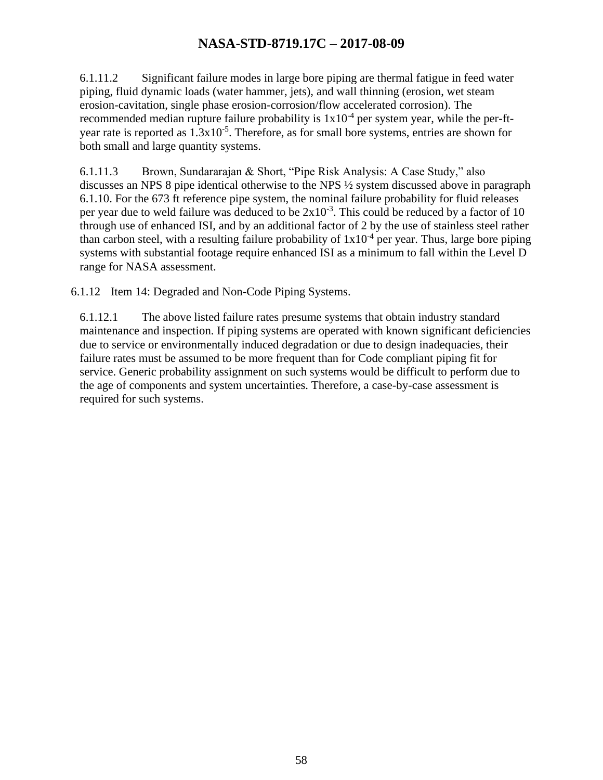6.1.11.2 Significant failure modes in large bore piping are thermal fatigue in feed water piping, fluid dynamic loads (water hammer, jets), and wall thinning (erosion, wet steam erosion-cavitation, single phase erosion-corrosion/flow accelerated corrosion). The recommended median rupture failure probability is  $1x10^{-4}$  per system year, while the per-ftyear rate is reported as  $1.3x10^{-5}$ . Therefore, as for small bore systems, entries are shown for both small and large quantity systems.

6.1.11.3 Brown, Sundararajan & Short, "Pipe Risk Analysis: A Case Study," also discusses an NPS 8 pipe identical otherwise to the NPS ½ system discussed above in paragraph 6.1.10. For the 673 ft reference pipe system, the nominal failure probability for fluid releases per year due to weld failure was deduced to be  $2x10^{-3}$ . This could be reduced by a factor of 10 through use of enhanced ISI, and by an additional factor of 2 by the use of stainless steel rather than carbon steel, with a resulting failure probability of  $1x10<sup>-4</sup>$  per year. Thus, large bore piping systems with substantial footage require enhanced ISI as a minimum to fall within the Level D range for NASA assessment.

6.1.12 Item 14: Degraded and Non-Code Piping Systems.

6.1.12.1 The above listed failure rates presume systems that obtain industry standard maintenance and inspection. If piping systems are operated with known significant deficiencies due to service or environmentally induced degradation or due to design inadequacies, their failure rates must be assumed to be more frequent than for Code compliant piping fit for service. Generic probability assignment on such systems would be difficult to perform due to the age of components and system uncertainties. Therefore, a case-by-case assessment is required for such systems.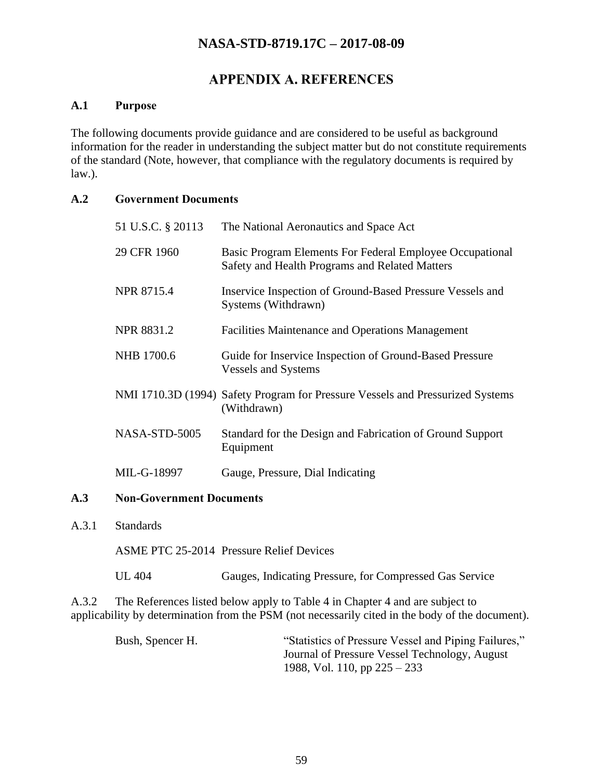### **APPENDIX A. REFERENCES**

#### <span id="page-58-0"></span>**A.1 Purpose**

The following documents provide guidance and are considered to be useful as background information for the reader in understanding the subject matter but do not constitute requirements of the standard (Note, however, that compliance with the regulatory documents is required by law.).

#### **A.2 Government Documents**

| 51 U.S.C. § 20113 | The National Aeronautics and Space Act                                                                     |
|-------------------|------------------------------------------------------------------------------------------------------------|
| 29 CFR 1960       | Basic Program Elements For Federal Employee Occupational<br>Safety and Health Programs and Related Matters |
| <b>NPR 8715.4</b> | Inservice Inspection of Ground-Based Pressure Vessels and<br>Systems (Withdrawn)                           |
| <b>NPR 8831.2</b> | Facilities Maintenance and Operations Management                                                           |
| NHB 1700.6        | Guide for Inservice Inspection of Ground-Based Pressure<br><b>Vessels and Systems</b>                      |
|                   | NMI 1710.3D (1994) Safety Program for Pressure Vessels and Pressurized Systems<br>(Withdrawn)              |
| NASA-STD-5005     | Standard for the Design and Fabrication of Ground Support<br>Equipment                                     |
| MIL-G-18997       | Gauge, Pressure, Dial Indicating                                                                           |

#### **A.3 Non-Government Documents**

A.3.1 Standards

ASME PTC 25-2014 Pressure Relief Devices

UL 404 Gauges, Indicating Pressure, for Compressed Gas Service

A.3.2 The References listed below apply to Table 4 in Chapter 4 and are subject to applicability by determination from the PSM (not necessarily cited in the body of the document).

| Bush, Spencer H. | "Statistics of Pressure Vessel and Piping Failures," |
|------------------|------------------------------------------------------|
|                  | Journal of Pressure Vessel Technology, August        |
|                  | 1988, Vol. 110, pp $225 - 233$                       |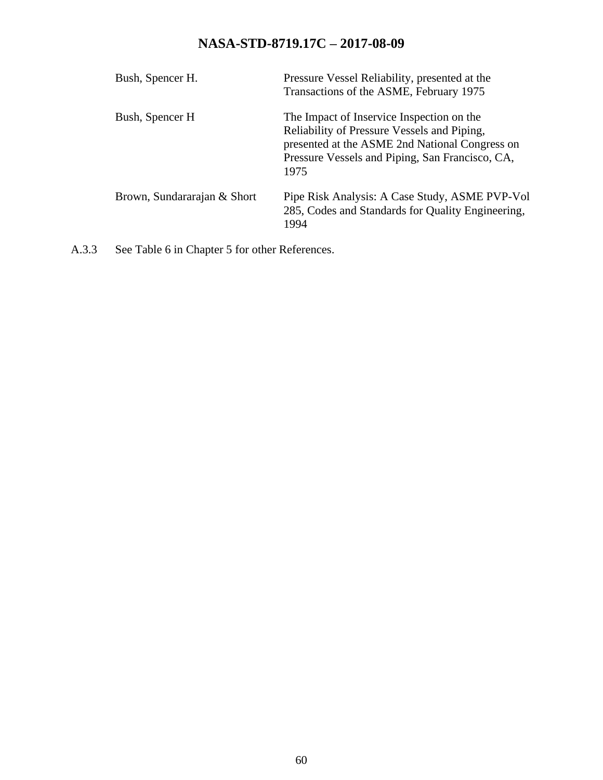| Bush, Spencer H.            | Pressure Vessel Reliability, presented at the<br>Transactions of the ASME, February 1975                                                                                                              |
|-----------------------------|-------------------------------------------------------------------------------------------------------------------------------------------------------------------------------------------------------|
| Bush, Spencer H             | The Impact of Inservice Inspection on the<br>Reliability of Pressure Vessels and Piping,<br>presented at the ASME 2nd National Congress on<br>Pressure Vessels and Piping, San Francisco, CA,<br>1975 |
| Brown, Sundararajan & Short | Pipe Risk Analysis: A Case Study, ASME PVP-Vol<br>285, Codes and Standards for Quality Engineering,<br>1994                                                                                           |

A.3.3 See Table 6 in Chapter 5 for other References.